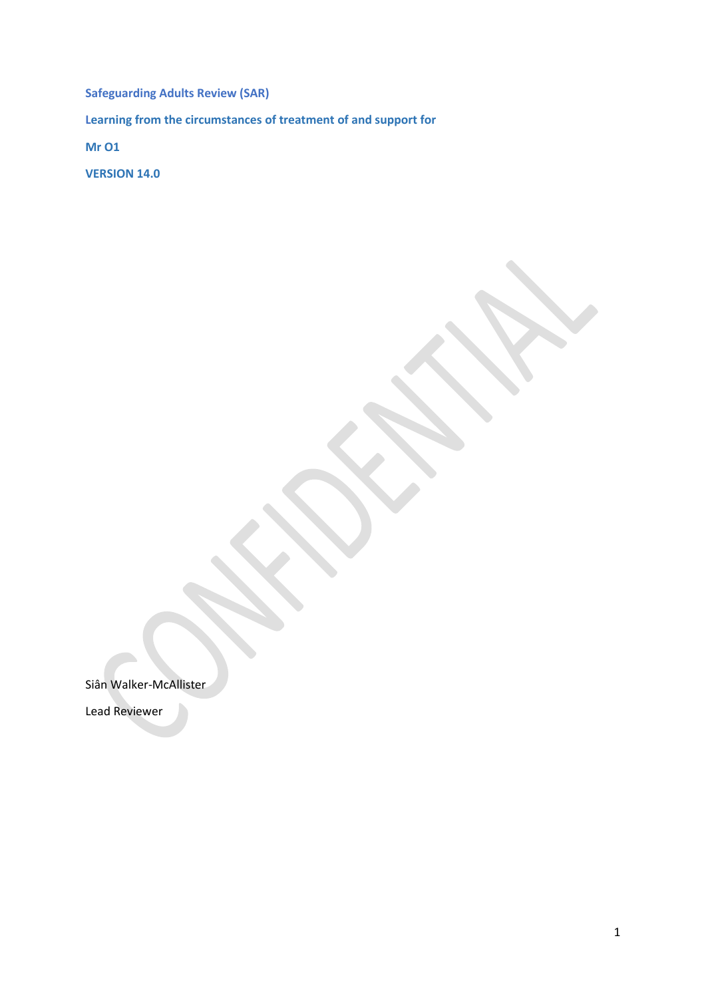**Safeguarding Adults Review (SAR) Learning from the circumstances of treatment of and support for Mr O1**

**VERSION 14.0**

Siân Walker-McAllister

Lead Reviewer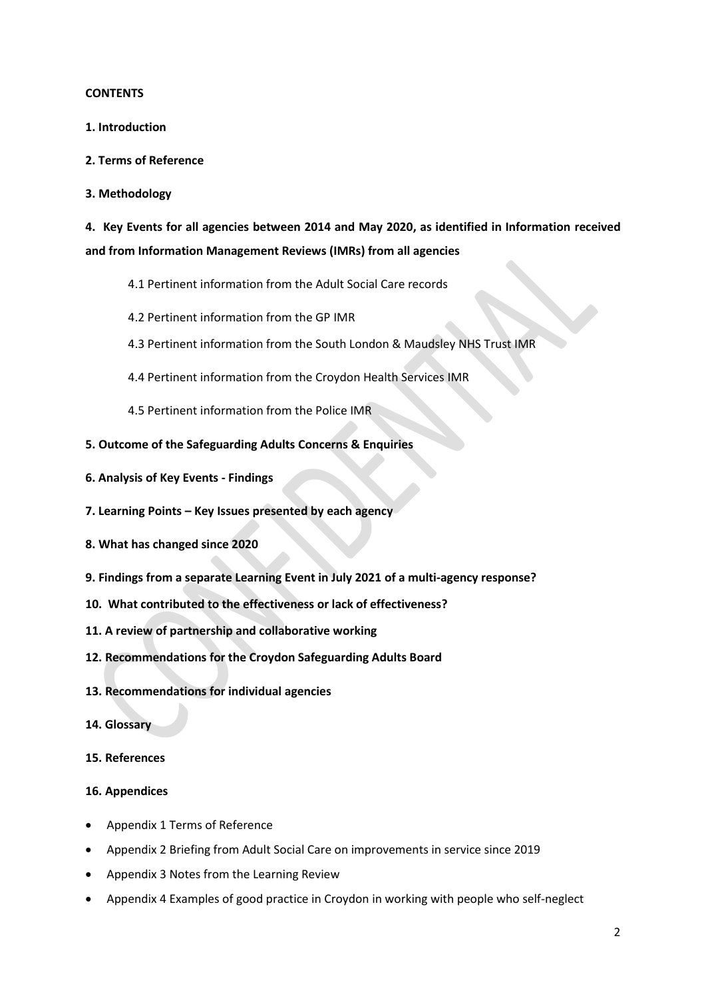#### **CONTENTS**

- **1. Introduction**
- **2. Terms of Reference**
- **3. Methodology**

**4. Key Events for all agencies between 2014 and May 2020, as identified in Information received and from Information Management Reviews (IMRs) from all agencies**

- 4.1 Pertinent information from the Adult Social Care records
- 4.2 Pertinent information from the GP IMR
- 4.3 Pertinent information from the South London & Maudsley NHS Trust IMR
- 4.4 Pertinent information from the Croydon Health Services IMR
- 4.5 Pertinent information from the Police IMR
- **5. Outcome of the Safeguarding Adults Concerns & Enquiries**
- **6. Analysis of Key Events - Findings**
- **7. Learning Points – Key Issues presented by each agency**
- **8. What has changed since 2020**
- **9. Findings from a separate Learning Event in July 2021 of a multi-agency response?**
- **10. What contributed to the effectiveness or lack of effectiveness?**
- **11. A review of partnership and collaborative working**
- **12. Recommendations for the Croydon Safeguarding Adults Board**
- **13. Recommendations for individual agencies**
- **14. Glossary**
- **15. References**

#### **16. Appendices**

- Appendix 1 Terms of Reference
- Appendix 2 Briefing from Adult Social Care on improvements in service since 2019
- Appendix 3 Notes from the Learning Review
- Appendix 4 Examples of good practice in Croydon in working with people who self-neglect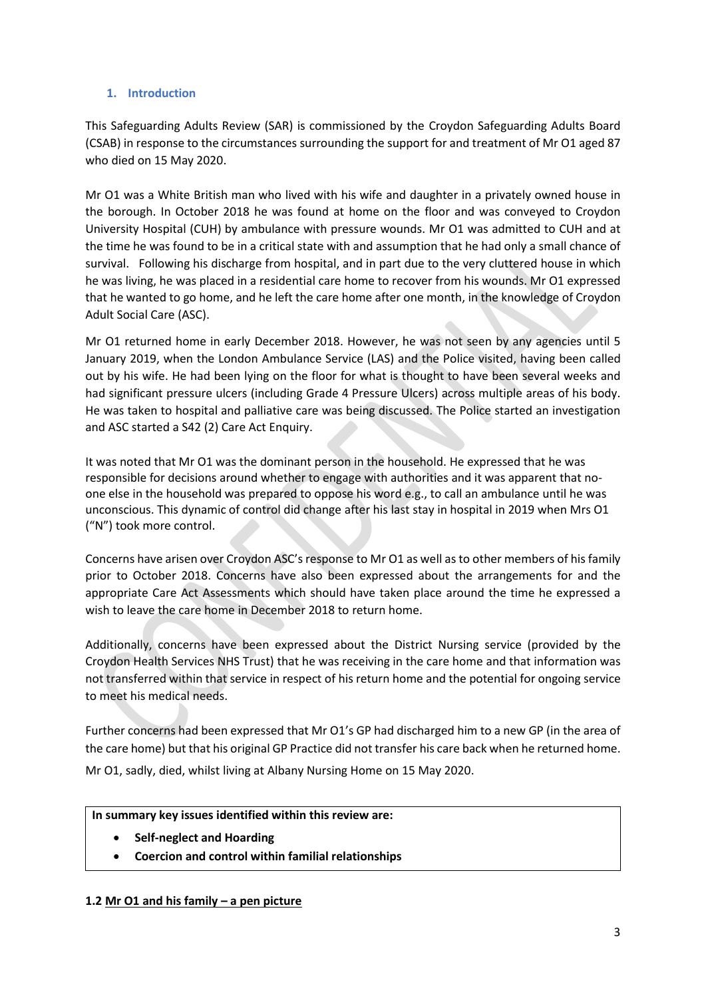# **1. Introduction**

This Safeguarding Adults Review (SAR) is commissioned by the Croydon Safeguarding Adults Board (CSAB) in response to the circumstances surrounding the support for and treatment of Mr O1 aged 87 who died on 15 May 2020.

Mr O1 was a White British man who lived with his wife and daughter in a privately owned house in the borough. In October 2018 he was found at home on the floor and was conveyed to Croydon University Hospital (CUH) by ambulance with pressure wounds. Mr O1 was admitted to CUH and at the time he was found to be in a critical state with and assumption that he had only a small chance of survival. Following his discharge from hospital, and in part due to the very cluttered house in which he was living, he was placed in a residential care home to recover from his wounds. Mr O1 expressed that he wanted to go home, and he left the care home after one month, in the knowledge of Croydon Adult Social Care (ASC).

Mr O1 returned home in early December 2018. However, he was not seen by any agencies until 5 January 2019, when the London Ambulance Service (LAS) and the Police visited, having been called out by his wife. He had been lying on the floor for what is thought to have been several weeks and had significant pressure ulcers (including Grade 4 Pressure Ulcers) across multiple areas of his body. He was taken to hospital and palliative care was being discussed. The Police started an investigation and ASC started a S42 (2) Care Act Enquiry.

It was noted that Mr O1 was the dominant person in the household. He expressed that he was responsible for decisions around whether to engage with authorities and it was apparent that noone else in the household was prepared to oppose his word e.g., to call an ambulance until he was unconscious. This dynamic of control did change after his last stay in hospital in 2019 when Mrs O1 ("N") took more control.

Concerns have arisen over Croydon ASC's response to Mr O1 as well as to other members of his family prior to October 2018. Concerns have also been expressed about the arrangements for and the appropriate Care Act Assessments which should have taken place around the time he expressed a wish to leave the care home in December 2018 to return home.

Additionally, concerns have been expressed about the District Nursing service (provided by the Croydon Health Services NHS Trust) that he was receiving in the care home and that information was not transferred within that service in respect of his return home and the potential for ongoing service to meet his medical needs.

Further concerns had been expressed that Mr O1's GP had discharged him to a new GP (in the area of the care home) but that his original GP Practice did not transfer his care back when he returned home.

Mr O1, sadly, died, whilst living at Albany Nursing Home on 15 May 2020.

# **In summary key issues identified within this review are:**

- **Self-neglect and Hoarding**
- **Coercion and control within familial relationships**

# **1.2 Mr O1 and his family – a pen picture**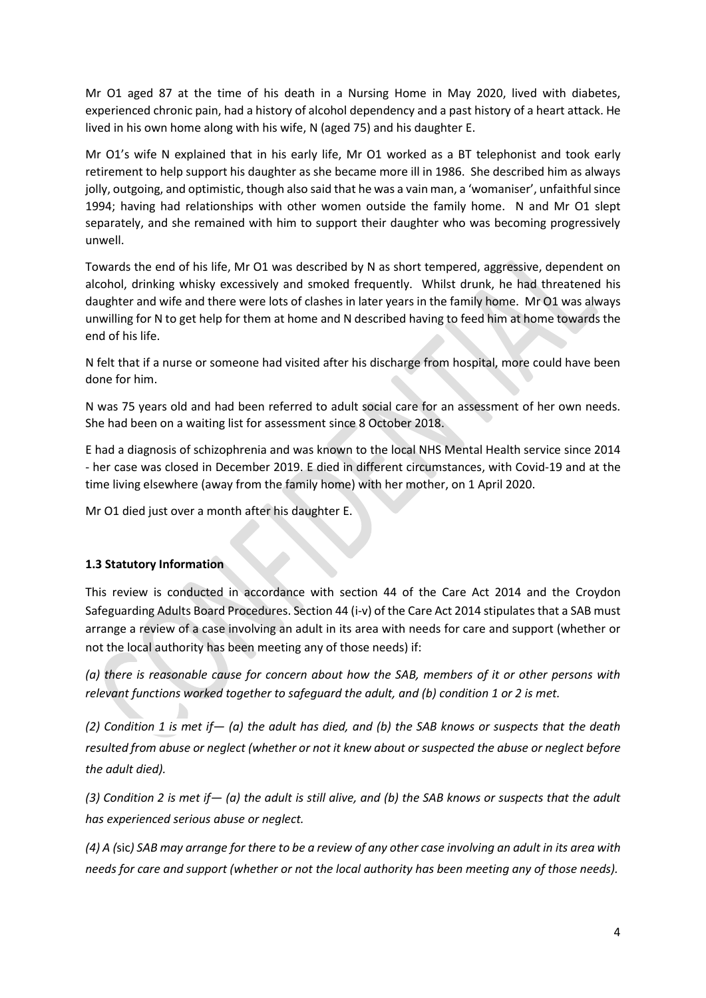Mr O1 aged 87 at the time of his death in a Nursing Home in May 2020, lived with diabetes, experienced chronic pain, had a history of alcohol dependency and a past history of a heart attack. He lived in his own home along with his wife, N (aged 75) and his daughter E.

Mr O1's wife N explained that in his early life, Mr O1 worked as a BT telephonist and took early retirement to help support his daughter as she became more ill in 1986. She described him as always jolly, outgoing, and optimistic, though also said that he was a vain man, a 'womaniser', unfaithful since 1994; having had relationships with other women outside the family home. N and Mr O1 slept separately, and she remained with him to support their daughter who was becoming progressively unwell.

Towards the end of his life, Mr O1 was described by N as short tempered, aggressive, dependent on alcohol, drinking whisky excessively and smoked frequently. Whilst drunk, he had threatened his daughter and wife and there were lots of clashes in later years in the family home. Mr O1 was always unwilling for N to get help for them at home and N described having to feed him at home towards the end of his life.

N felt that if a nurse or someone had visited after his discharge from hospital, more could have been done for him.

N was 75 years old and had been referred to adult social care for an assessment of her own needs. She had been on a waiting list for assessment since 8 October 2018.

E had a diagnosis of schizophrenia and was known to the local NHS Mental Health service since 2014 - her case was closed in December 2019. E died in different circumstances, with Covid-19 and at the time living elsewhere (away from the family home) with her mother, on 1 April 2020.

Mr O1 died just over a month after his daughter E.

# **1.3 Statutory Information**

This review is conducted in accordance with section 44 of the Care Act 2014 and the Croydon Safeguarding Adults Board Procedures. Section 44 (i-v) of the Care Act 2014 stipulates that a SAB must arrange a review of a case involving an adult in its area with needs for care and support (whether or not the local authority has been meeting any of those needs) if:

*(a) there is reasonable cause for concern about how the SAB, members of it or other persons with relevant functions worked together to safeguard the adult, and (b) condition 1 or 2 is met.*

*(2) Condition 1 is met if— (a) the adult has died, and (b) the SAB knows or suspects that the death resulted from abuse or neglect (whether or not it knew about or suspected the abuse or neglect before the adult died).*

*(3) Condition 2 is met if— (a) the adult is still alive, and (b) the SAB knows or suspects that the adult has experienced serious abuse or neglect.*

*(4) A (*sic*) SAB may arrange for there to be a review of any other case involving an adult in its area with needs for care and support (whether or not the local authority has been meeting any of those needs).*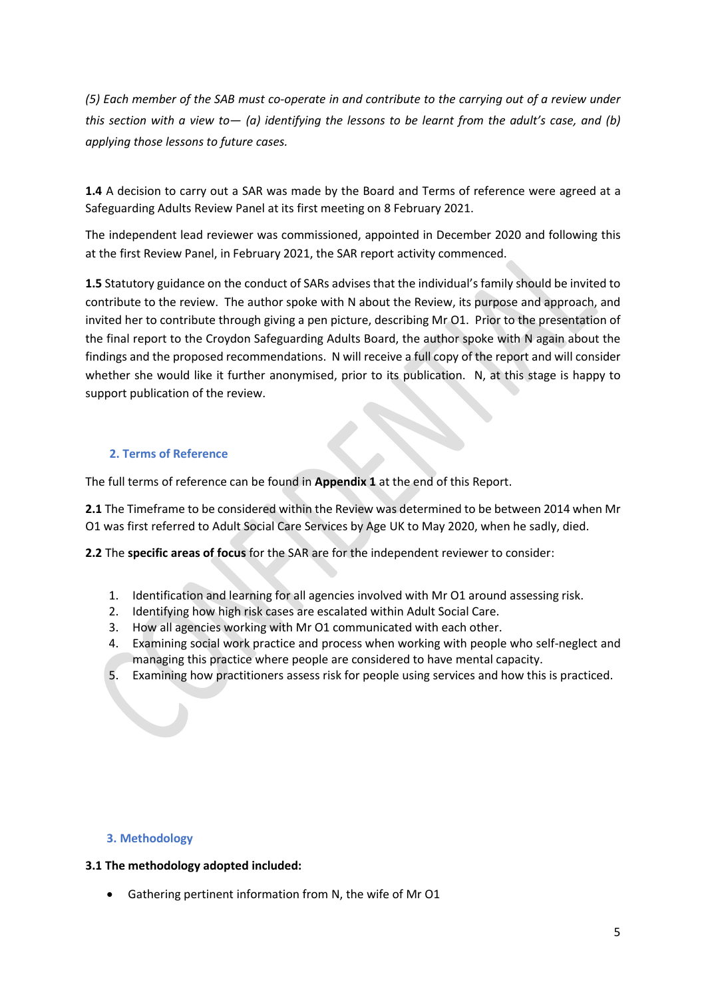*(5) Each member of the SAB must co-operate in and contribute to the carrying out of a review under this section with a view to— (a) identifying the lessons to be learnt from the adult's case, and (b) applying those lessons to future cases.*

**1.4** A decision to carry out a SAR was made by the Board and Terms of reference were agreed at a Safeguarding Adults Review Panel at its first meeting on 8 February 2021.

The independent lead reviewer was commissioned, appointed in December 2020 and following this at the first Review Panel, in February 2021, the SAR report activity commenced.

**1.5** Statutory guidance on the conduct of SARs advises that the individual's family should be invited to contribute to the review. The author spoke with N about the Review, its purpose and approach, and invited her to contribute through giving a pen picture, describing Mr O1. Prior to the presentation of the final report to the Croydon Safeguarding Adults Board, the author spoke with N again about the findings and the proposed recommendations. N will receive a full copy of the report and will consider whether she would like it further anonymised, prior to its publication. N, at this stage is happy to support publication of the review.

# **2. Terms of Reference**

The full terms of reference can be found in **Appendix 1** at the end of this Report.

**2.1** The Timeframe to be considered within the Review was determined to be between 2014 when Mr O1 was first referred to Adult Social Care Services by Age UK to May 2020, when he sadly, died.

**2.2** The **specific areas of focus** for the SAR are for the independent reviewer to consider:

- 1. Identification and learning for all agencies involved with Mr O1 around assessing risk.
- 2. Identifying how high risk cases are escalated within Adult Social Care.
- 3. How all agencies working with Mr O1 communicated with each other.
- 4. Examining social work practice and process when working with people who self-neglect and managing this practice where people are considered to have mental capacity.
- 5. Examining how practitioners assess risk for people using services and how this is practiced.

#### **3. Methodology**

#### **3.1 The methodology adopted included:**

• Gathering pertinent information from N, the wife of Mr O1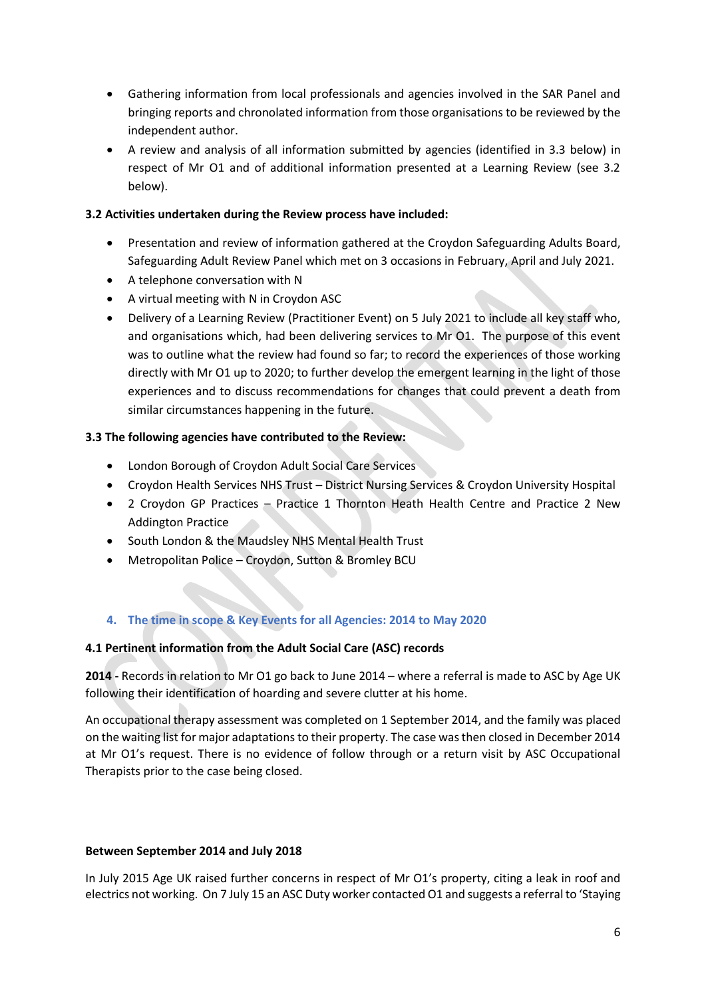- Gathering information from local professionals and agencies involved in the SAR Panel and bringing reports and chronolated information from those organisations to be reviewed by the independent author.
- A review and analysis of all information submitted by agencies (identified in 3.3 below) in respect of Mr O1 and of additional information presented at a Learning Review (see 3.2 below).

## **3.2 Activities undertaken during the Review process have included:**

- Presentation and review of information gathered at the Croydon Safeguarding Adults Board, Safeguarding Adult Review Panel which met on 3 occasions in February, April and July 2021.
- A telephone conversation with N
- A virtual meeting with N in Croydon ASC
- Delivery of a Learning Review (Practitioner Event) on 5 July 2021 to include all key staff who, and organisations which, had been delivering services to Mr O1. The purpose of this event was to outline what the review had found so far; to record the experiences of those working directly with Mr O1 up to 2020; to further develop the emergent learning in the light of those experiences and to discuss recommendations for changes that could prevent a death from similar circumstances happening in the future.

## **3.3 The following agencies have contributed to the Review:**

- London Borough of Croydon Adult Social Care Services
- Croydon Health Services NHS Trust District Nursing Services & Croydon University Hospital
- 2 Croydon GP Practices Practice 1 Thornton Heath Health Centre and Practice 2 New Addington Practice
- South London & the Maudsley NHS Mental Health Trust
- Metropolitan Police Croydon, Sutton & Bromley BCU

# **4. The time in scope & Key Events for all Agencies: 2014 to May 2020**

#### **4.1 Pertinent information from the Adult Social Care (ASC) records**

**2014 -** Records in relation to Mr O1 go back to June 2014 – where a referral is made to ASC by Age UK following their identification of hoarding and severe clutter at his home.

An occupational therapy assessment was completed on 1 September 2014, and the family was placed on the waiting list for major adaptationsto their property. The case wasthen closed in December 2014 at Mr O1's request. There is no evidence of follow through or a return visit by ASC Occupational Therapists prior to the case being closed.

#### **Between September 2014 and July 2018**

In July 2015 Age UK raised further concerns in respect of Mr O1's property, citing a leak in roof and electrics not working. On 7 July 15 an ASC Duty worker contacted O1 and suggests a referral to 'Staying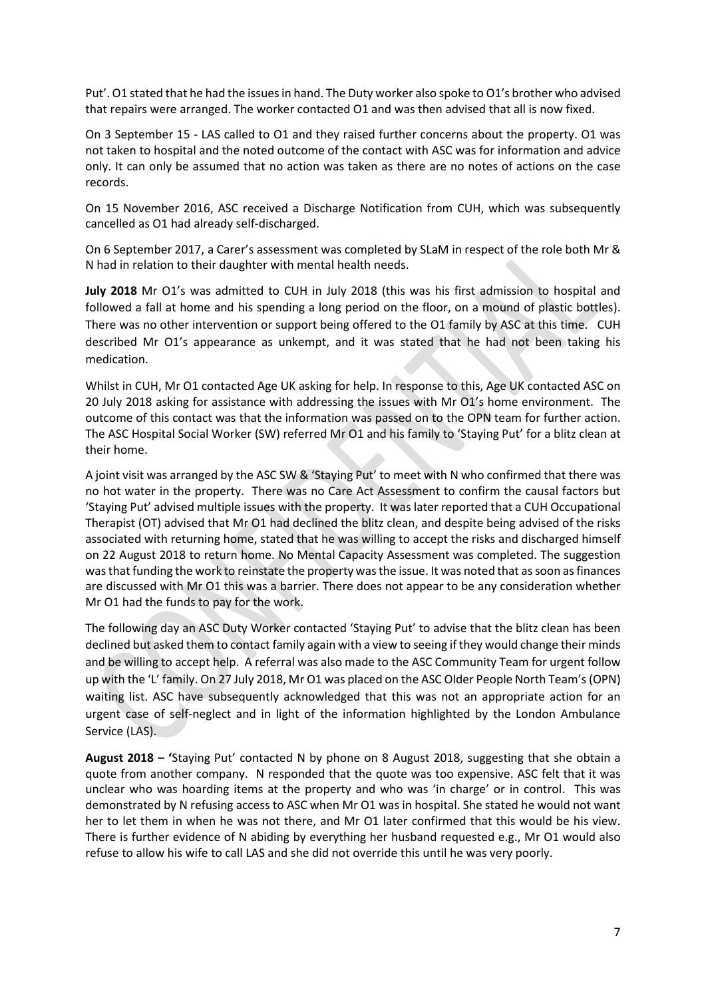Put'. O1 stated that he had the issues in hand. The Duty worker also spoke to O1's brother who advised that repairs were arranged. The worker contacted O1 and was then advised that all is now fixed.

On 3 September 15 - LAS called to O1 and they raised further concerns about the property. O1 was not taken to hospital and the noted outcome of the contact with ASC was for information and advice only. It can only be assumed that no action was taken as there are no notes of actions on the case records.

On 15 November 2016, ASC received a Discharge Notification from CUH, which was subsequently cancelled as O1 had already self-discharged.

On 6 September 2017, a Carer's assessment was completed by SLaM in respect of the role both Mr & N had in relation to their daughter with mental health needs.

July 2018 Mr O1's was admitted to CUH in July 2018 (this was his first admission to hospital and followed a fall at home and his spending a long period on the floor, on a mound of plastic bottles). There was no other intervention or support being offered to the O1 family by ASC at this time. CUH described Mr O1's appearance as unkempt, and it was stated that he had not been taking his medication.

Whilst in CUH, Mr O1 contacted Age UK asking for help. In response to this, Age UK contacted ASC on 20 July 2018 asking for assistance with addressing the issues with Mr O1's home environment. The outcome of this contact was that the information was passed on to the OPN team for further action. The ASC Hospital Social Worker (SW) referred Mr O1 and his family to 'Staying Put' for a blitz clean at their home.

A joint visit was arranged by the ASC SW & 'Staying Put' to meet with N who confirmed that there was no hot water in the property. There was no Care Act Assessment to confirm the causal factors but 'Staying Put' advised multiple issues with the property. It was later reported that a CUH Occupational Therapist (OT) advised that Mr O1 had declined the blitz clean, and despite being advised of the risks associated with returning home, stated that he was willing to accept the risks and discharged himself on 22 August 2018 to return home. No Mental Capacity Assessment was completed. The suggestion was that funding the work to reinstate the property was the issue. It was noted that as soon as finances are discussed with Mr O1 this was a barrier. There does not appear to be any consideration whether Mr O1 had the funds to pay for the work.

The following day an ASC Duty Worker contacted 'Staying Put' to advise that the blitz clean has been declined but asked them to contact family again with a view to seeing if they would change their minds and be willing to accept help. A referral was also made to the ASC Community Team for urgent follow up with the 'L' family. On 27 July 2018, Mr O1 was placed on the ASC Older People North Team's (OPN) waiting list. ASC have subsequently acknowledged that this was not an appropriate action for an urgent case of self-neglect and in light of the information highlighted by the London Ambulance Service (LAS).

**August 2018 – '**Staying Put' contacted N by phone on 8 August 2018, suggesting that she obtain a quote from another company. N responded that the quote was too expensive. ASC felt that it was unclear who was hoarding items at the property and who was 'in charge' or in control. This was demonstrated by N refusing access to ASC when Mr O1 was in hospital. She stated he would not want her to let them in when he was not there, and Mr O1 later confirmed that this would be his view. There is further evidence of N abiding by everything her husband requested e.g., Mr O1 would also refuse to allow his wife to call LAS and she did not override this until he was very poorly.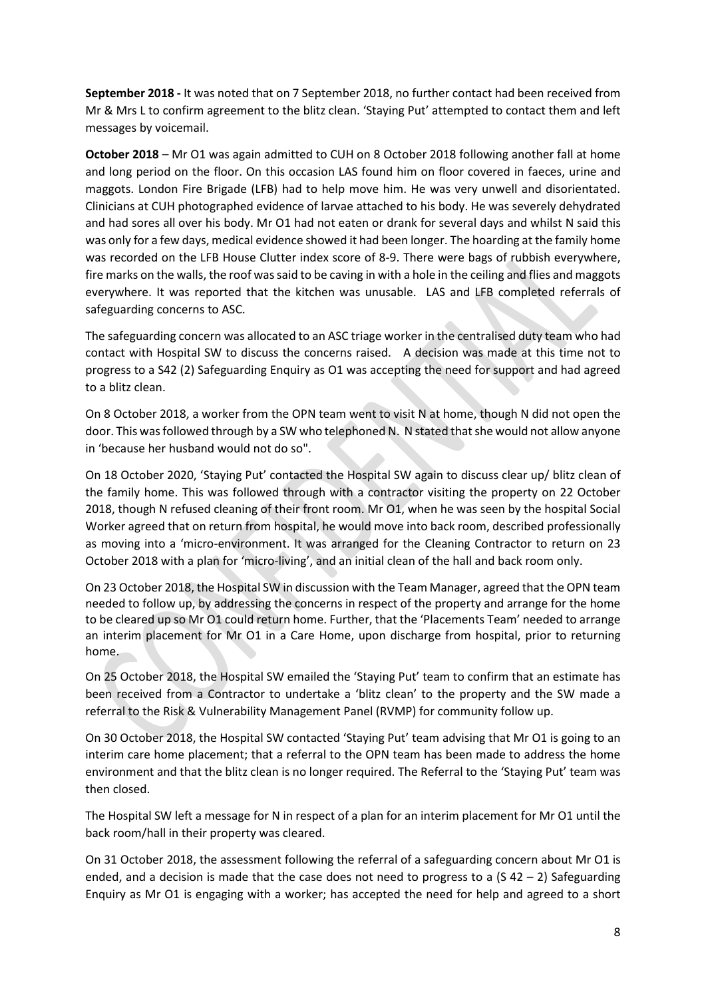**September 2018 -** It was noted that on 7 September 2018, no further contact had been received from Mr & Mrs L to confirm agreement to the blitz clean. 'Staying Put' attempted to contact them and left messages by voicemail.

**October 2018** – Mr O1 was again admitted to CUH on 8 October 2018 following another fall at home and long period on the floor. On this occasion LAS found him on floor covered in faeces, urine and maggots. London Fire Brigade (LFB) had to help move him. He was very unwell and disorientated. Clinicians at CUH photographed evidence of larvae attached to his body. He was severely dehydrated and had sores all over his body. Mr O1 had not eaten or drank for several days and whilst N said this was only for a few days, medical evidence showed it had been longer. The hoarding at the family home was recorded on the LFB House Clutter index score of 8-9. There were bags of rubbish everywhere, fire marks on the walls, the roof was said to be caving in with a hole in the ceiling and flies and maggots everywhere. It was reported that the kitchen was unusable. LAS and LFB completed referrals of safeguarding concerns to ASC.

The safeguarding concern was allocated to an ASC triage worker in the centralised duty team who had contact with Hospital SW to discuss the concerns raised. A decision was made at this time not to progress to a S42 (2) Safeguarding Enquiry as O1 was accepting the need for support and had agreed to a blitz clean.

On 8 October 2018, a worker from the OPN team went to visit N at home, though N did not open the door. This was followed through by a SW who telephoned N. N stated that she would not allow anyone in 'because her husband would not do so".

On 18 October 2020, 'Staying Put' contacted the Hospital SW again to discuss clear up/ blitz clean of the family home. This was followed through with a contractor visiting the property on 22 October 2018, though N refused cleaning of their front room. Mr O1, when he was seen by the hospital Social Worker agreed that on return from hospital, he would move into back room, described professionally as moving into a 'micro-environment. It was arranged for the Cleaning Contractor to return on 23 October 2018 with a plan for 'micro-living', and an initial clean of the hall and back room only.

On 23 October 2018, the Hospital SW in discussion with the Team Manager, agreed that the OPN team needed to follow up, by addressing the concerns in respect of the property and arrange for the home to be cleared up so Mr O1 could return home. Further, that the 'Placements Team' needed to arrange an interim placement for Mr O1 in a Care Home, upon discharge from hospital, prior to returning home.

On 25 October 2018, the Hospital SW emailed the 'Staying Put' team to confirm that an estimate has been received from a Contractor to undertake a 'blitz clean' to the property and the SW made a referral to the Risk & Vulnerability Management Panel (RVMP) for community follow up.

On 30 October 2018, the Hospital SW contacted 'Staying Put' team advising that Mr O1 is going to an interim care home placement; that a referral to the OPN team has been made to address the home environment and that the blitz clean is no longer required. The Referral to the 'Staying Put' team was then closed.

The Hospital SW left a message for N in respect of a plan for an interim placement for Mr O1 until the back room/hall in their property was cleared.

On 31 October 2018, the assessment following the referral of a safeguarding concern about Mr O1 is ended, and a decision is made that the case does not need to progress to a  $(5 42 - 2)$  Safeguarding Enquiry as Mr O1 is engaging with a worker; has accepted the need for help and agreed to a short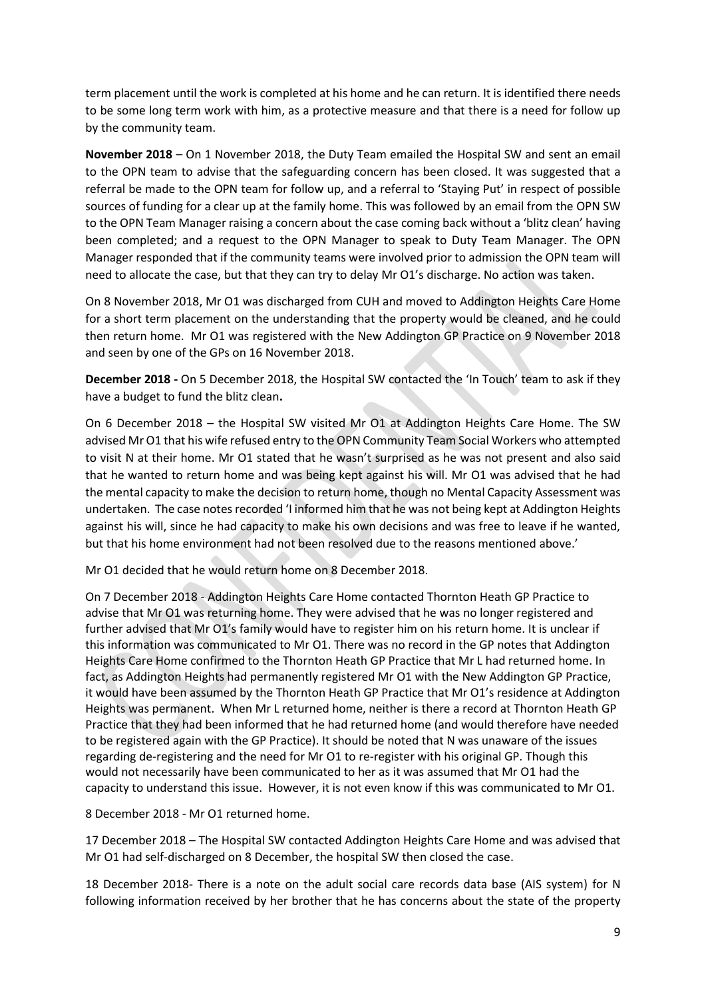term placement until the work is completed at his home and he can return. It is identified there needs to be some long term work with him, as a protective measure and that there is a need for follow up by the community team.

**November 2018** – On 1 November 2018, the Duty Team emailed the Hospital SW and sent an email to the OPN team to advise that the safeguarding concern has been closed. It was suggested that a referral be made to the OPN team for follow up, and a referral to 'Staying Put' in respect of possible sources of funding for a clear up at the family home. This was followed by an email from the OPN SW to the OPN Team Manager raising a concern about the case coming back without a 'blitz clean' having been completed; and a request to the OPN Manager to speak to Duty Team Manager. The OPN Manager responded that if the community teams were involved prior to admission the OPN team will need to allocate the case, but that they can try to delay Mr O1's discharge. No action was taken.

On 8 November 2018, Mr O1 was discharged from CUH and moved to Addington Heights Care Home for a short term placement on the understanding that the property would be cleaned, and he could then return home. Mr O1 was registered with the New Addington GP Practice on 9 November 2018 and seen by one of the GPs on 16 November 2018.

**December 2018 -** On 5 December 2018, the Hospital SW contacted the 'In Touch' team to ask if they have a budget to fund the blitz clean**.** 

On 6 December 2018 – the Hospital SW visited Mr O1 at Addington Heights Care Home. The SW advised Mr O1 that his wife refused entry to the OPN Community Team Social Workers who attempted to visit N at their home. Mr O1 stated that he wasn't surprised as he was not present and also said that he wanted to return home and was being kept against his will. Mr O1 was advised that he had the mental capacity to make the decision to return home, though no Mental Capacity Assessment was undertaken. The case notes recorded 'I informed him that he was not being kept at Addington Heights against his will, since he had capacity to make his own decisions and was free to leave if he wanted, but that his home environment had not been resolved due to the reasons mentioned above.'

Mr O1 decided that he would return home on 8 December 2018.

On 7 December 2018 - Addington Heights Care Home contacted Thornton Heath GP Practice to advise that Mr O1 was returning home. They were advised that he was no longer registered and further advised that Mr O1's family would have to register him on his return home. It is unclear if this information was communicated to Mr O1. There was no record in the GP notes that Addington Heights Care Home confirmed to the Thornton Heath GP Practice that Mr L had returned home. In fact, as Addington Heights had permanently registered Mr O1 with the New Addington GP Practice, it would have been assumed by the Thornton Heath GP Practice that Mr O1's residence at Addington Heights was permanent. When Mr L returned home, neither is there a record at Thornton Heath GP Practice that they had been informed that he had returned home (and would therefore have needed to be registered again with the GP Practice). It should be noted that N was unaware of the issues regarding de-registering and the need for Mr O1 to re-register with his original GP. Though this would not necessarily have been communicated to her as it was assumed that Mr O1 had the capacity to understand this issue. However, it is not even know if this was communicated to Mr O1.

8 December 2018 - Mr O1 returned home.

17 December 2018 – The Hospital SW contacted Addington Heights Care Home and was advised that Mr O1 had self-discharged on 8 December, the hospital SW then closed the case.

18 December 2018- There is a note on the adult social care records data base (AIS system) for N following information received by her brother that he has concerns about the state of the property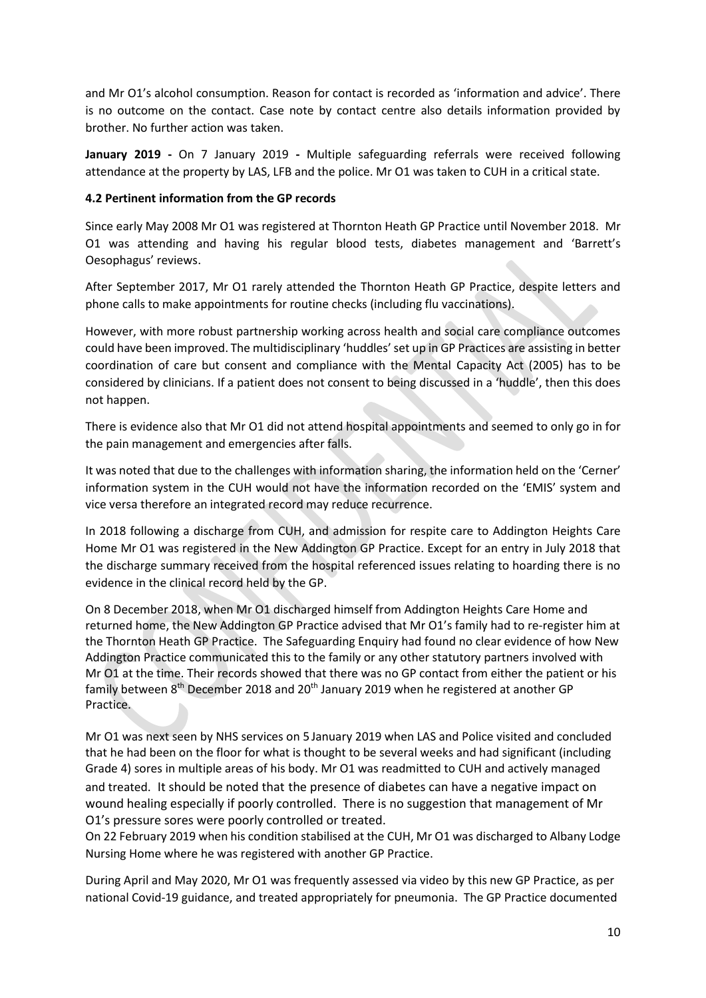and Mr O1's alcohol consumption. Reason for contact is recorded as 'information and advice'. There is no outcome on the contact. Case note by contact centre also details information provided by brother. No further action was taken.

**January 2019 -** On 7 January 2019 **-** Multiple safeguarding referrals were received following attendance at the property by LAS, LFB and the police. Mr O1 was taken to CUH in a critical state.

## **4.2 Pertinent information from the GP records**

Since early May 2008 Mr O1 was registered at Thornton Heath GP Practice until November 2018. Mr O1 was attending and having his regular blood tests, diabetes management and 'Barrett's Oesophagus' reviews.

After September 2017, Mr O1 rarely attended the Thornton Heath GP Practice, despite letters and phone calls to make appointments for routine checks (including flu vaccinations).

However, with more robust partnership working across health and social care compliance outcomes could have been improved. The multidisciplinary 'huddles'set up in GP Practices are assisting in better coordination of care but consent and compliance with the Mental Capacity Act (2005) has to be considered by clinicians. If a patient does not consent to being discussed in a 'huddle', then this does not happen.

There is evidence also that Mr O1 did not attend hospital appointments and seemed to only go in for the pain management and emergencies after falls.

It was noted that due to the challenges with information sharing, the information held on the 'Cerner' information system in the CUH would not have the information recorded on the 'EMIS' system and vice versa therefore an integrated record may reduce recurrence.

In 2018 following a discharge from CUH, and admission for respite care to Addington Heights Care Home Mr O1 was registered in the New Addington GP Practice. Except for an entry in July 2018 that the discharge summary received from the hospital referenced issues relating to hoarding there is no evidence in the clinical record held by the GP.

On 8 December 2018, when Mr O1 discharged himself from Addington Heights Care Home and returned home, the New Addington GP Practice advised that Mr O1's family had to re-register him at the Thornton Heath GP Practice. The Safeguarding Enquiry had found no clear evidence of how New Addington Practice communicated this to the family or any other statutory partners involved with Mr O1 at the time. Their records showed that there was no GP contact from either the patient or his family between 8<sup>th</sup> December 2018 and 20<sup>th</sup> January 2019 when he registered at another GP Practice.

Mr O1 was next seen by NHS services on 5 January 2019 when LAS and Police visited and concluded that he had been on the floor for what is thought to be several weeks and had significant (including Grade 4) sores in multiple areas of his body. Mr O1 was readmitted to CUH and actively managed and treated. It should be noted that the presence of diabetes can have a negative impact on wound healing especially if poorly controlled. There is no suggestion that management of Mr O1's pressure sores were poorly controlled or treated.

On 22 February 2019 when his condition stabilised at the CUH, Mr O1 was discharged to Albany Lodge Nursing Home where he was registered with another GP Practice.

During April and May 2020, Mr O1 was frequently assessed via video by this new GP Practice, as per national Covid-19 guidance, and treated appropriately for pneumonia. The GP Practice documented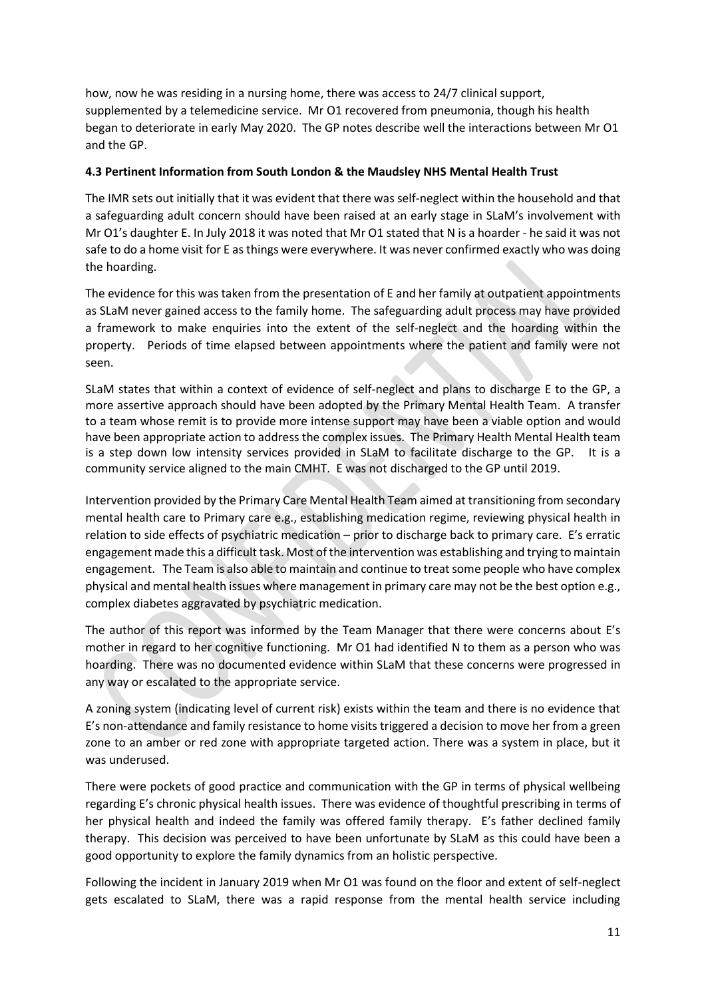how, now he was residing in a nursing home, there was access to 24/7 clinical support, supplemented by a telemedicine service. Mr O1 recovered from pneumonia, though his health began to deteriorate in early May 2020. The GP notes describe well the interactions between Mr O1 and the GP.

#### **4.3 Pertinent Information from South London & the Maudsley NHS Mental Health Trust**

The IMR sets out initially that it was evident that there was self-neglect within the household and that a safeguarding adult concern should have been raised at an early stage in SLaM's involvement with Mr O1's daughter E. In July 2018 it was noted that Mr O1 stated that N is a hoarder - he said it was not safe to do a home visit for E as things were everywhere. It was never confirmed exactly who was doing the hoarding.

The evidence for this was taken from the presentation of E and her family at outpatient appointments as SLaM never gained access to the family home. The safeguarding adult process may have provided a framework to make enquiries into the extent of the self-neglect and the hoarding within the property. Periods of time elapsed between appointments where the patient and family were not seen.

SLaM states that within a context of evidence of self-neglect and plans to discharge E to the GP, a more assertive approach should have been adopted by the Primary Mental Health Team. A transfer to a team whose remit is to provide more intense support may have been a viable option and would have been appropriate action to address the complex issues. The Primary Health Mental Health team is a step down low intensity services provided in SLaM to facilitate discharge to the GP. It is a community service aligned to the main CMHT. E was not discharged to the GP until 2019.

Intervention provided by the Primary Care Mental Health Team aimed at transitioning from secondary mental health care to Primary care e.g., establishing medication regime, reviewing physical health in relation to side effects of psychiatric medication – prior to discharge back to primary care. E's erratic engagement made this a difficult task. Most of the intervention was establishing and trying to maintain engagement. The Team is also able to maintain and continue to treat some people who have complex physical and mental health issues where management in primary care may not be the best option e.g., complex diabetes aggravated by psychiatric medication.

The author of this report was informed by the Team Manager that there were concerns about E's mother in regard to her cognitive functioning. Mr O1 had identified N to them as a person who was hoarding. There was no documented evidence within SLaM that these concerns were progressed in any way or escalated to the appropriate service.

A zoning system (indicating level of current risk) exists within the team and there is no evidence that E's non-attendance and family resistance to home visits triggered a decision to move her from a green zone to an amber or red zone with appropriate targeted action. There was a system in place, but it was underused.

There were pockets of good practice and communication with the GP in terms of physical wellbeing regarding E's chronic physical health issues. There was evidence of thoughtful prescribing in terms of her physical health and indeed the family was offered family therapy. E's father declined family therapy. This decision was perceived to have been unfortunate by SLaM as this could have been a good opportunity to explore the family dynamics from an holistic perspective.

Following the incident in January 2019 when Mr O1 was found on the floor and extent of self-neglect gets escalated to SLaM, there was a rapid response from the mental health service including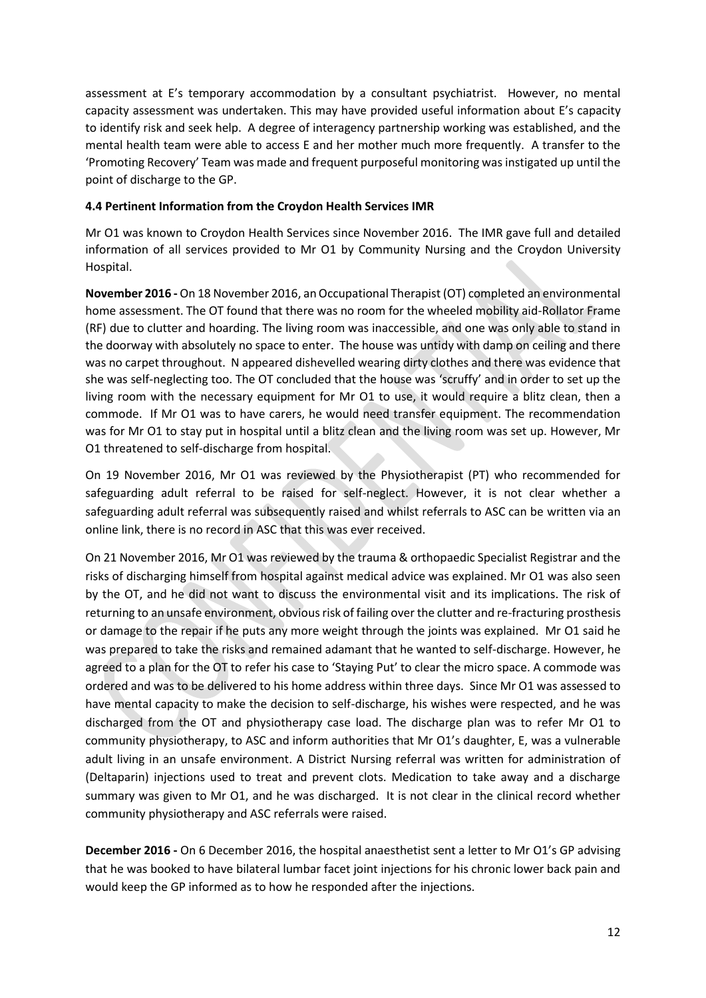assessment at E's temporary accommodation by a consultant psychiatrist. However, no mental capacity assessment was undertaken. This may have provided useful information about E's capacity to identify risk and seek help. A degree of interagency partnership working was established, and the mental health team were able to access E and her mother much more frequently. A transfer to the 'Promoting Recovery' Team was made and frequent purposeful monitoring was instigated up until the point of discharge to the GP.

## **4.4 Pertinent Information from the Croydon Health Services IMR**

Mr O1 was known to Croydon Health Services since November 2016. The IMR gave full and detailed information of all services provided to Mr O1 by Community Nursing and the Croydon University Hospital.

**November 2016 -** On 18 November 2016, an Occupational Therapist (OT) completed an environmental home assessment. The OT found that there was no room for the wheeled mobility aid-Rollator Frame (RF) due to clutter and hoarding. The living room was inaccessible, and one was only able to stand in the doorway with absolutely no space to enter. The house was untidy with damp on ceiling and there was no carpet throughout. N appeared dishevelled wearing dirty clothes and there was evidence that she was self-neglecting too. The OT concluded that the house was 'scruffy' and in order to set up the living room with the necessary equipment for Mr O1 to use, it would require a blitz clean, then a commode. If Mr O1 was to have carers, he would need transfer equipment. The recommendation was for Mr O1 to stay put in hospital until a blitz clean and the living room was set up. However, Mr O1 threatened to self-discharge from hospital.

On 19 November 2016, Mr O1 was reviewed by the Physiotherapist (PT) who recommended for safeguarding adult referral to be raised for self-neglect. However, it is not clear whether a safeguarding adult referral was subsequently raised and whilst referrals to ASC can be written via an online link, there is no record in ASC that this was ever received.

On 21 November 2016, Mr O1 was reviewed by the trauma & orthopaedic Specialist Registrar and the risks of discharging himself from hospital against medical advice was explained. Mr O1 was also seen by the OT, and he did not want to discuss the environmental visit and its implications. The risk of returning to an unsafe environment, obvious risk of failing over the clutter and re-fracturing prosthesis or damage to the repair if he puts any more weight through the joints was explained. Mr O1 said he was prepared to take the risks and remained adamant that he wanted to self-discharge. However, he agreed to a plan for the OT to refer his case to 'Staying Put' to clear the micro space. A commode was ordered and was to be delivered to his home address within three days. Since Mr O1 was assessed to have mental capacity to make the decision to self-discharge, his wishes were respected, and he was discharged from the OT and physiotherapy case load. The discharge plan was to refer Mr O1 to community physiotherapy, to ASC and inform authorities that Mr O1's daughter, E, was a vulnerable adult living in an unsafe environment. A District Nursing referral was written for administration of (Deltaparin) injections used to treat and prevent clots. Medication to take away and a discharge summary was given to Mr O1, and he was discharged. It is not clear in the clinical record whether community physiotherapy and ASC referrals were raised.

**December 2016 -** On 6 December 2016, the hospital anaesthetist sent a letter to Mr O1's GP advising that he was booked to have bilateral lumbar facet joint injections for his chronic lower back pain and would keep the GP informed as to how he responded after the injections.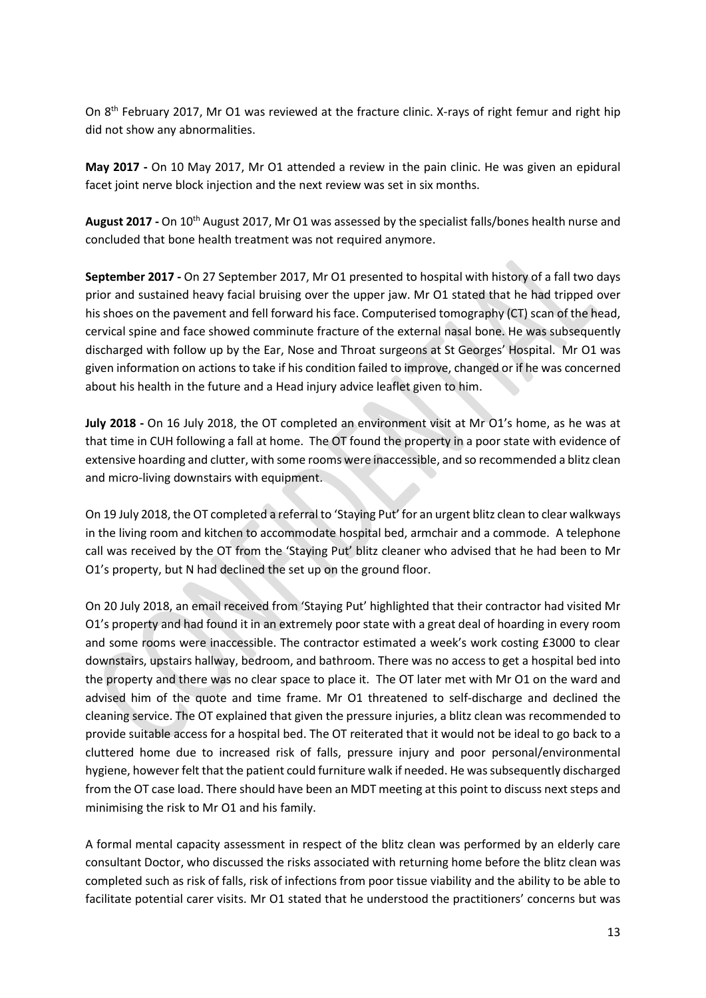On 8<sup>th</sup> February 2017, Mr O1 was reviewed at the fracture clinic. X-rays of right femur and right hip did not show any abnormalities.

**May 2017 -** On 10 May 2017, Mr O1 attended a review in the pain clinic. He was given an epidural facet joint nerve block injection and the next review was set in six months.

**August 2017 -** On 10th August 2017, Mr O1 was assessed by the specialist falls/bones health nurse and concluded that bone health treatment was not required anymore.

**September 2017 -** On 27 September 2017, Mr O1 presented to hospital with history of a fall two days prior and sustained heavy facial bruising over the upper jaw. Mr O1 stated that he had tripped over his shoes on the pavement and fell forward his face. Computerised tomography (CT) scan of the head, cervical spine and face showed comminute fracture of the external nasal bone. He was subsequently discharged with follow up by the Ear, Nose and Throat surgeons at St Georges' Hospital. Mr O1 was given information on actions to take if his condition failed to improve, changed or if he was concerned about his health in the future and a Head injury advice leaflet given to him.

**July 2018 -** On 16 July 2018, the OT completed an environment visit at Mr O1's home, as he was at that time in CUH following a fall at home. The OT found the property in a poor state with evidence of extensive hoarding and clutter, with some rooms were inaccessible, and so recommended a blitz clean and micro-living downstairs with equipment.

On 19 July 2018, the OT completed a referral to 'Staying Put' for an urgent blitz clean to clear walkways in the living room and kitchen to accommodate hospital bed, armchair and a commode. A telephone call was received by the OT from the 'Staying Put' blitz cleaner who advised that he had been to Mr O1's property, but N had declined the set up on the ground floor.

On 20 July 2018, an email received from 'Staying Put' highlighted that their contractor had visited Mr O1's property and had found it in an extremely poor state with a great deal of hoarding in every room and some rooms were inaccessible. The contractor estimated a week's work costing £3000 to clear downstairs, upstairs hallway, bedroom, and bathroom. There was no access to get a hospital bed into the property and there was no clear space to place it. The OT later met with Mr O1 on the ward and advised him of the quote and time frame. Mr O1 threatened to self-discharge and declined the cleaning service. The OT explained that given the pressure injuries, a blitz clean was recommended to provide suitable access for a hospital bed. The OT reiterated that it would not be ideal to go back to a cluttered home due to increased risk of falls, pressure injury and poor personal/environmental hygiene, however felt that the patient could furniture walk if needed. He was subsequently discharged from the OT case load. There should have been an MDT meeting at this point to discuss next steps and minimising the risk to Mr O1 and his family.

A formal mental capacity assessment in respect of the blitz clean was performed by an elderly care consultant Doctor, who discussed the risks associated with returning home before the blitz clean was completed such as risk of falls, risk of infections from poor tissue viability and the ability to be able to facilitate potential carer visits. Mr O1 stated that he understood the practitioners' concerns but was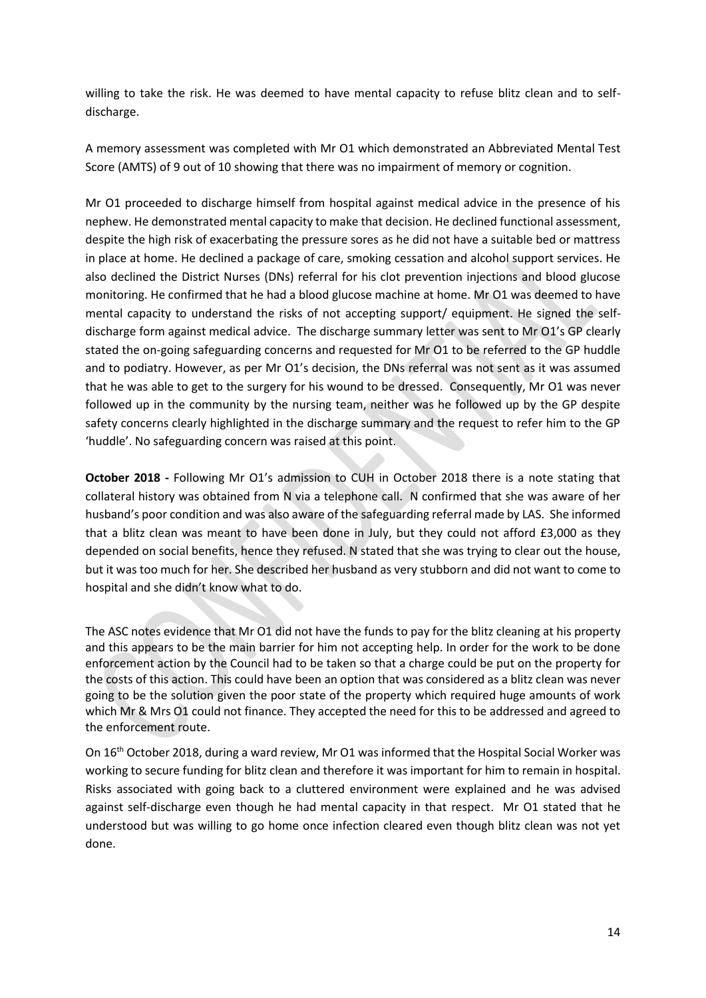willing to take the risk. He was deemed to have mental capacity to refuse blitz clean and to selfdischarge.

A memory assessment was completed with Mr O1 which demonstrated an Abbreviated Mental Test Score (AMTS) of 9 out of 10 showing that there was no impairment of memory or cognition.

Mr O1 proceeded to discharge himself from hospital against medical advice in the presence of his nephew. He demonstrated mental capacity to make that decision. He declined functional assessment, despite the high risk of exacerbating the pressure sores as he did not have a suitable bed or mattress in place at home. He declined a package of care, smoking cessation and alcohol support services. He also declined the District Nurses (DNs) referral for his clot prevention injections and blood glucose monitoring. He confirmed that he had a blood glucose machine at home. Mr O1 was deemed to have mental capacity to understand the risks of not accepting support/ equipment. He signed the selfdischarge form against medical advice. The discharge summary letter was sent to Mr O1's GP clearly stated the on-going safeguarding concerns and requested for Mr O1 to be referred to the GP huddle and to podiatry. However, as per Mr O1's decision, the DNs referral was not sent as it was assumed that he was able to get to the surgery for his wound to be dressed. Consequently, Mr O1 was never followed up in the community by the nursing team, neither was he followed up by the GP despite safety concerns clearly highlighted in the discharge summary and the request to refer him to the GP 'huddle'. No safeguarding concern was raised at this point.

**October 2018 -** Following Mr O1's admission to CUH in October 2018 there is a note stating that collateral history was obtained from N via a telephone call. N confirmed that she was aware of her husband's poor condition and was also aware of the safeguarding referral made by LAS. She informed that a blitz clean was meant to have been done in July, but they could not afford £3,000 as they depended on social benefits, hence they refused. N stated that she was trying to clear out the house, but it was too much for her. She described her husband as very stubborn and did not want to come to hospital and she didn't know what to do.

The ASC notes evidence that Mr O1 did not have the funds to pay for the blitz cleaning at his property and this appears to be the main barrier for him not accepting help. In order for the work to be done enforcement action by the Council had to be taken so that a charge could be put on the property for the costs of this action. This could have been an option that was considered as a blitz clean was never going to be the solution given the poor state of the property which required huge amounts of work which Mr & Mrs O1 could not finance. They accepted the need for this to be addressed and agreed to the enforcement route.

On 16<sup>th</sup> October 2018, during a ward review, Mr O1 was informed that the Hospital Social Worker was working to secure funding for blitz clean and therefore it was important for him to remain in hospital. Risks associated with going back to a cluttered environment were explained and he was advised against self-discharge even though he had mental capacity in that respect. Mr O1 stated that he understood but was willing to go home once infection cleared even though blitz clean was not yet done.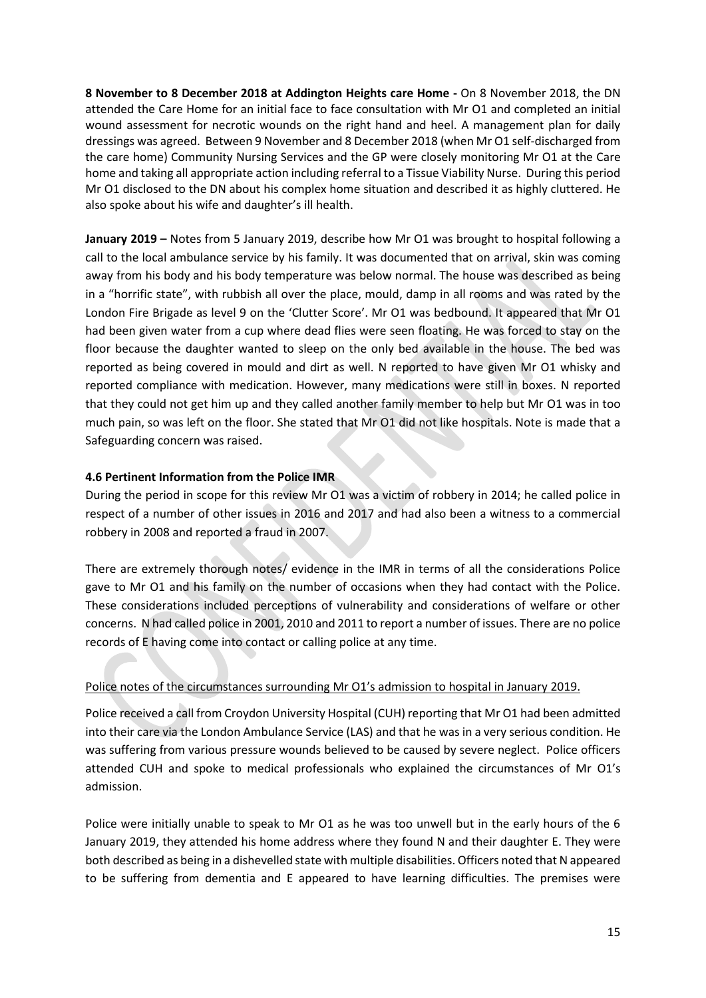**8 November to 8 December 2018 at Addington Heights care Home -** On 8 November 2018, the DN attended the Care Home for an initial face to face consultation with Mr O1 and completed an initial wound assessment for necrotic wounds on the right hand and heel. A management plan for daily dressings was agreed. Between 9 November and 8 December 2018 (when Mr O1 self-discharged from the care home) Community Nursing Services and the GP were closely monitoring Mr O1 at the Care home and taking all appropriate action including referral to a Tissue Viability Nurse. During this period Mr O1 disclosed to the DN about his complex home situation and described it as highly cluttered. He also spoke about his wife and daughter's ill health.

**January 2019 –** Notes from 5 January 2019, describe how Mr O1 was brought to hospital following a call to the local ambulance service by his family. It was documented that on arrival, skin was coming away from his body and his body temperature was below normal. The house was described as being in a "horrific state", with rubbish all over the place, mould, damp in all rooms and was rated by the London Fire Brigade as level 9 on the 'Clutter Score'. Mr O1 was bedbound. It appeared that Mr O1 had been given water from a cup where dead flies were seen floating. He was forced to stay on the floor because the daughter wanted to sleep on the only bed available in the house. The bed was reported as being covered in mould and dirt as well. N reported to have given Mr O1 whisky and reported compliance with medication. However, many medications were still in boxes. N reported that they could not get him up and they called another family member to help but Mr O1 was in too much pain, so was left on the floor. She stated that Mr O1 did not like hospitals. Note is made that a Safeguarding concern was raised.

# **4.6 Pertinent Information from the Police IMR**

During the period in scope for this review Mr O1 was a victim of robbery in 2014; he called police in respect of a number of other issues in 2016 and 2017 and had also been a witness to a commercial robbery in 2008 and reported a fraud in 2007.

There are extremely thorough notes/ evidence in the IMR in terms of all the considerations Police gave to Mr O1 and his family on the number of occasions when they had contact with the Police. These considerations included perceptions of vulnerability and considerations of welfare or other concerns. N had called police in 2001, 2010 and 2011 to report a number of issues. There are no police records of E having come into contact or calling police at any time.

# Police notes of the circumstances surrounding Mr O1's admission to hospital in January 2019.

Police received a call from Croydon University Hospital (CUH) reporting that Mr O1 had been admitted into their care via the London Ambulance Service (LAS) and that he was in a very serious condition. He was suffering from various pressure wounds believed to be caused by severe neglect. Police officers attended CUH and spoke to medical professionals who explained the circumstances of Mr O1's admission.

Police were initially unable to speak to Mr O1 as he was too unwell but in the early hours of the 6 January 2019, they attended his home address where they found N and their daughter E. They were both described as being in a dishevelled state with multiple disabilities. Officers noted that N appeared to be suffering from dementia and E appeared to have learning difficulties. The premises were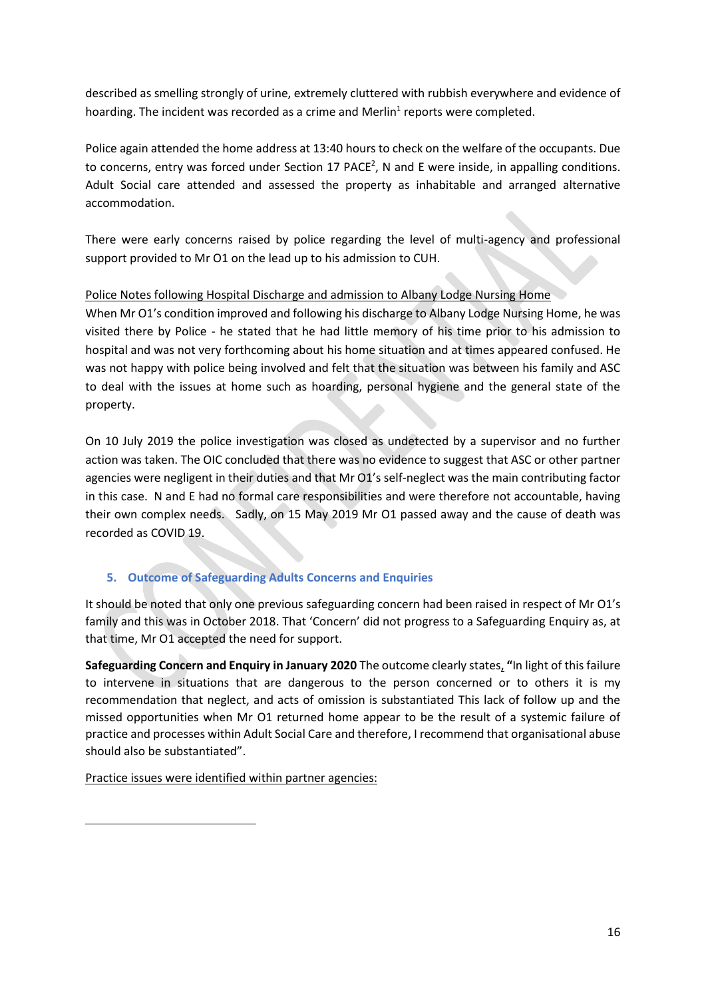described as smelling strongly of urine, extremely cluttered with rubbish everywhere and evidence of hoarding. The incident was recorded as a crime and Merlin<sup>1</sup> reports were completed.

Police again attended the home address at 13:40 hours to check on the welfare of the occupants. Due to concerns, entry was forced under Section 17 PACE<sup>2</sup>, N and E were inside, in appalling conditions. Adult Social care attended and assessed the property as inhabitable and arranged alternative accommodation.

There were early concerns raised by police regarding the level of multi-agency and professional support provided to Mr O1 on the lead up to his admission to CUH.

# Police Notes following Hospital Discharge and admission to Albany Lodge Nursing Home

When Mr O1's condition improved and following his discharge to Albany Lodge Nursing Home, he was visited there by Police - he stated that he had little memory of his time prior to his admission to hospital and was not very forthcoming about his home situation and at times appeared confused. He was not happy with police being involved and felt that the situation was between his family and ASC to deal with the issues at home such as hoarding, personal hygiene and the general state of the property.

On 10 July 2019 the police investigation was closed as undetected by a supervisor and no further action was taken. The OIC concluded that there was no evidence to suggest that ASC or other partner agencies were negligent in their duties and that Mr O1's self-neglect was the main contributing factor in this case. N and E had no formal care responsibilities and were therefore not accountable, having their own complex needs. Sadly, on 15 May 2019 Mr O1 passed away and the cause of death was recorded as COVID 19.

# **5. Outcome of Safeguarding Adults Concerns and Enquiries**

It should be noted that only one previous safeguarding concern had been raised in respect of Mr O1's family and this was in October 2018. That 'Concern' did not progress to a Safeguarding Enquiry as, at that time, Mr O1 accepted the need for support.

**Safeguarding Concern and Enquiry in January 2020** The outcome clearly states, **"**In light of this failure to intervene in situations that are dangerous to the person concerned or to others it is my recommendation that neglect, and acts of omission is substantiated This lack of follow up and the missed opportunities when Mr O1 returned home appear to be the result of a systemic failure of practice and processes within Adult Social Care and therefore, I recommend that organisational abuse should also be substantiated".

Practice issues were identified within partner agencies: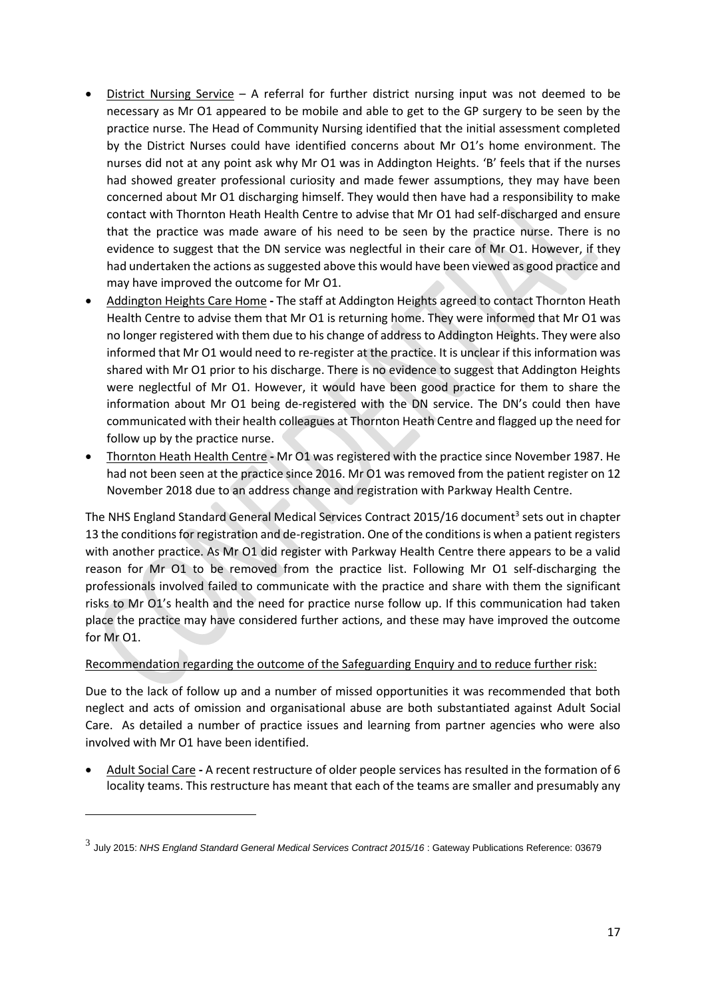- District Nursing Service A referral for further district nursing input was not deemed to be necessary as Mr O1 appeared to be mobile and able to get to the GP surgery to be seen by the practice nurse. The Head of Community Nursing identified that the initial assessment completed by the District Nurses could have identified concerns about Mr O1's home environment. The nurses did not at any point ask why Mr O1 was in Addington Heights. 'B' feels that if the nurses had showed greater professional curiosity and made fewer assumptions, they may have been concerned about Mr O1 discharging himself. They would then have had a responsibility to make contact with Thornton Heath Health Centre to advise that Mr O1 had self-discharged and ensure that the practice was made aware of his need to be seen by the practice nurse. There is no evidence to suggest that the DN service was neglectful in their care of Mr O1. However, if they had undertaken the actions as suggested above this would have been viewed as good practice and may have improved the outcome for Mr O1.
- Addington Heights Care Home **-** The staff at Addington Heights agreed to contact Thornton Heath Health Centre to advise them that Mr O1 is returning home. They were informed that Mr O1 was no longer registered with them due to his change of address to Addington Heights. They were also informed that Mr O1 would need to re-register at the practice. It is unclear if this information was shared with Mr O1 prior to his discharge. There is no evidence to suggest that Addington Heights were neglectful of Mr O1. However, it would have been good practice for them to share the information about Mr O1 being de-registered with the DN service. The DN's could then have communicated with their health colleagues at Thornton Heath Centre and flagged up the need for follow up by the practice nurse.
- Thornton Heath Health Centre **-** Mr O1 was registered with the practice since November 1987. He had not been seen at the practice since 2016. Mr O1 was removed from the patient register on 12 November 2018 due to an address change and registration with Parkway Health Centre.

The NHS England Standard General Medical Services Contract 2015/16 document<sup>3</sup> sets out in chapter 13 the conditions for registration and de-registration. One of the conditions is when a patient registers with another practice. As Mr O1 did register with Parkway Health Centre there appears to be a valid reason for Mr O1 to be removed from the practice list. Following Mr O1 self-discharging the professionals involved failed to communicate with the practice and share with them the significant risks to Mr O1's health and the need for practice nurse follow up. If this communication had taken place the practice may have considered further actions, and these may have improved the outcome for Mr O1.

# Recommendation regarding the outcome of the Safeguarding Enquiry and to reduce further risk:

Due to the lack of follow up and a number of missed opportunities it was recommended that both neglect and acts of omission and organisational abuse are both substantiated against Adult Social Care. As detailed a number of practice issues and learning from partner agencies who were also involved with Mr O1 have been identified.

• Adult Social Care **-** A recent restructure of older people services has resulted in the formation of 6 locality teams. This restructure has meant that each of the teams are smaller and presumably any

<sup>3</sup> July 2015: *NHS England Standard General Medical Services Contract 2015/16* : Gateway Publications Reference: 03679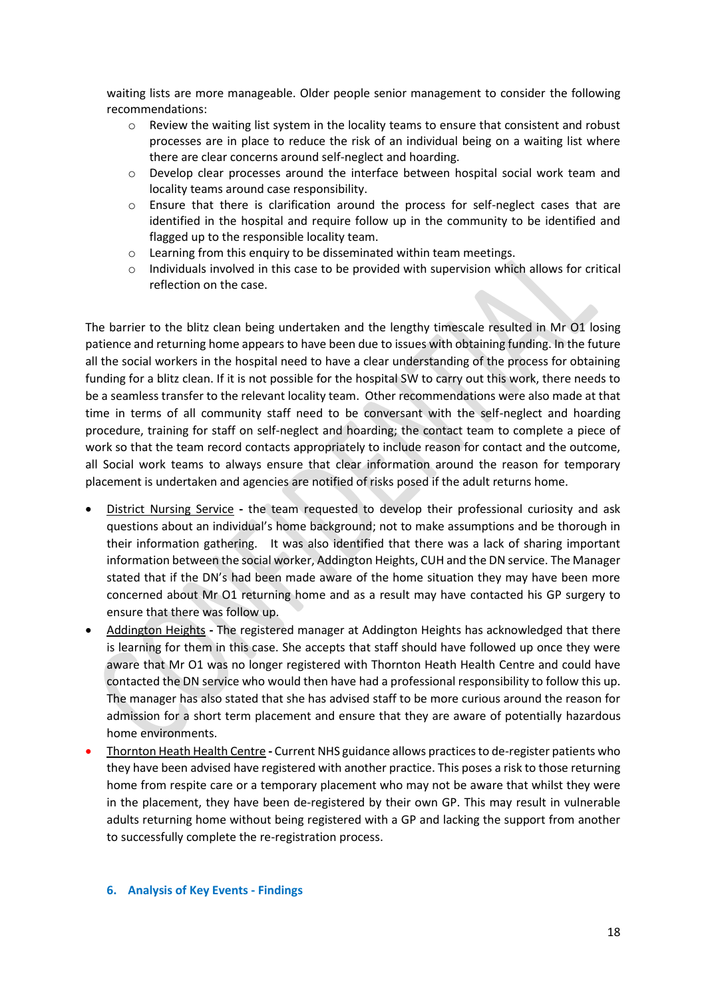waiting lists are more manageable. Older people senior management to consider the following recommendations:

- $\circ$  Review the waiting list system in the locality teams to ensure that consistent and robust processes are in place to reduce the risk of an individual being on a waiting list where there are clear concerns around self-neglect and hoarding.
- o Develop clear processes around the interface between hospital social work team and locality teams around case responsibility.
- o Ensure that there is clarification around the process for self-neglect cases that are identified in the hospital and require follow up in the community to be identified and flagged up to the responsible locality team.
- o Learning from this enquiry to be disseminated within team meetings.
- $\circ$  Individuals involved in this case to be provided with supervision which allows for critical reflection on the case.

The barrier to the blitz clean being undertaken and the lengthy timescale resulted in Mr O1 losing patience and returning home appears to have been due to issues with obtaining funding. In the future all the social workers in the hospital need to have a clear understanding of the process for obtaining funding for a blitz clean. If it is not possible for the hospital SW to carry out this work, there needs to be a seamless transfer to the relevant locality team. Other recommendations were also made at that time in terms of all community staff need to be conversant with the self-neglect and hoarding procedure, training for staff on self-neglect and hoarding; the contact team to complete a piece of work so that the team record contacts appropriately to include reason for contact and the outcome, all Social work teams to always ensure that clear information around the reason for temporary placement is undertaken and agencies are notified of risks posed if the adult returns home.

- District Nursing Service **-** the team requested to develop their professional curiosity and ask questions about an individual's home background; not to make assumptions and be thorough in their information gathering. It was also identified that there was a lack of sharing important information between the social worker, Addington Heights, CUH and the DN service. The Manager stated that if the DN's had been made aware of the home situation they may have been more concerned about Mr O1 returning home and as a result may have contacted his GP surgery to ensure that there was follow up.
- Addington Heights **-** The registered manager at Addington Heights has acknowledged that there is learning for them in this case. She accepts that staff should have followed up once they were aware that Mr O1 was no longer registered with Thornton Heath Health Centre and could have contacted the DN service who would then have had a professional responsibility to follow this up. The manager has also stated that she has advised staff to be more curious around the reason for admission for a short term placement and ensure that they are aware of potentially hazardous home environments.
- Thornton Heath Health Centre **-** Current NHS guidance allows practices to de-register patients who they have been advised have registered with another practice. This poses a risk to those returning home from respite care or a temporary placement who may not be aware that whilst they were in the placement, they have been de-registered by their own GP. This may result in vulnerable adults returning home without being registered with a GP and lacking the support from another to successfully complete the re-registration process.

#### **6. Analysis of Key Events - Findings**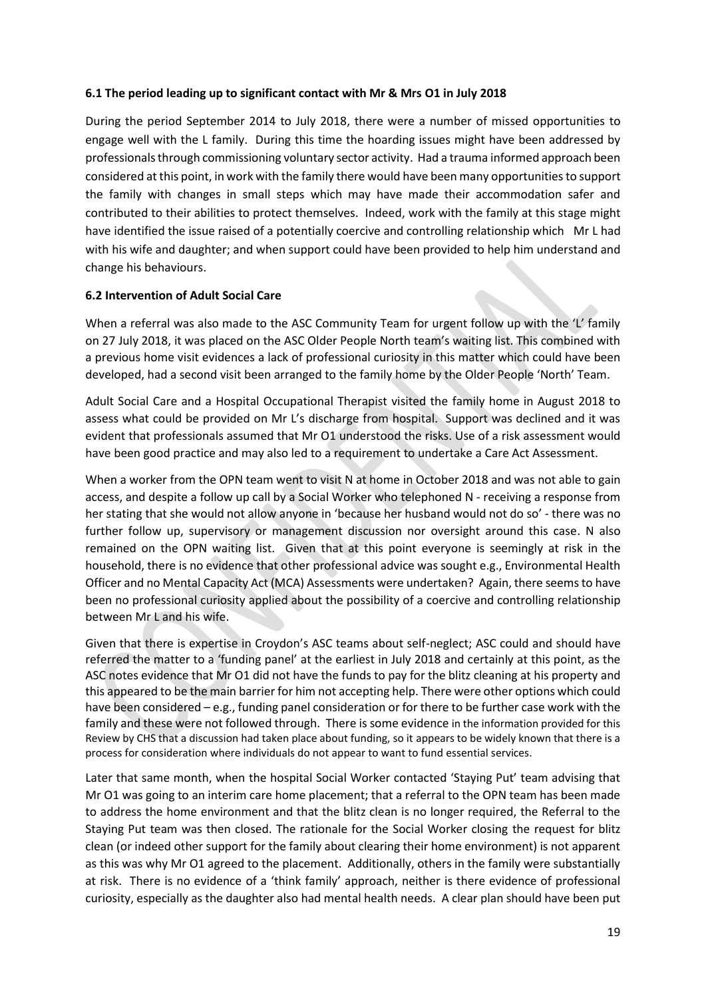#### **6.1 The period leading up to significant contact with Mr & Mrs O1 in July 2018**

During the period September 2014 to July 2018, there were a number of missed opportunities to engage well with the L family. During this time the hoarding issues might have been addressed by professionals through commissioning voluntary sector activity. Had a trauma informed approach been considered at this point, in work with the family there would have been many opportunities to support the family with changes in small steps which may have made their accommodation safer and contributed to their abilities to protect themselves. Indeed, work with the family at this stage might have identified the issue raised of a potentially coercive and controlling relationship which Mr L had with his wife and daughter; and when support could have been provided to help him understand and change his behaviours.

# **6.2 Intervention of Adult Social Care**

When a referral was also made to the ASC Community Team for urgent follow up with the 'L' family on 27 July 2018, it was placed on the ASC Older People North team's waiting list. This combined with a previous home visit evidences a lack of professional curiosity in this matter which could have been developed, had a second visit been arranged to the family home by the Older People 'North' Team.

Adult Social Care and a Hospital Occupational Therapist visited the family home in August 2018 to assess what could be provided on Mr L's discharge from hospital. Support was declined and it was evident that professionals assumed that Mr O1 understood the risks. Use of a risk assessment would have been good practice and may also led to a requirement to undertake a Care Act Assessment.

When a worker from the OPN team went to visit N at home in October 2018 and was not able to gain access, and despite a follow up call by a Social Worker who telephoned N - receiving a response from her stating that she would not allow anyone in 'because her husband would not do so' - there was no further follow up, supervisory or management discussion nor oversight around this case. N also remained on the OPN waiting list. Given that at this point everyone is seemingly at risk in the household, there is no evidence that other professional advice was sought e.g., Environmental Health Officer and no Mental Capacity Act (MCA) Assessments were undertaken? Again, there seems to have been no professional curiosity applied about the possibility of a coercive and controlling relationship between Mr L and his wife.

Given that there is expertise in Croydon's ASC teams about self-neglect; ASC could and should have referred the matter to a 'funding panel' at the earliest in July 2018 and certainly at this point, as the ASC notes evidence that Mr O1 did not have the funds to pay for the blitz cleaning at his property and this appeared to be the main barrier for him not accepting help. There were other options which could have been considered – e.g., funding panel consideration or for there to be further case work with the family and these were not followed through. There is some evidence in the information provided for this Review by CHS that a discussion had taken place about funding, so it appears to be widely known that there is a process for consideration where individuals do not appear to want to fund essential services.

Later that same month, when the hospital Social Worker contacted 'Staying Put' team advising that Mr O1 was going to an interim care home placement; that a referral to the OPN team has been made to address the home environment and that the blitz clean is no longer required, the Referral to the Staying Put team was then closed. The rationale for the Social Worker closing the request for blitz clean (or indeed other support for the family about clearing their home environment) is not apparent as this was why Mr O1 agreed to the placement. Additionally, others in the family were substantially at risk. There is no evidence of a 'think family' approach, neither is there evidence of professional curiosity, especially as the daughter also had mental health needs. A clear plan should have been put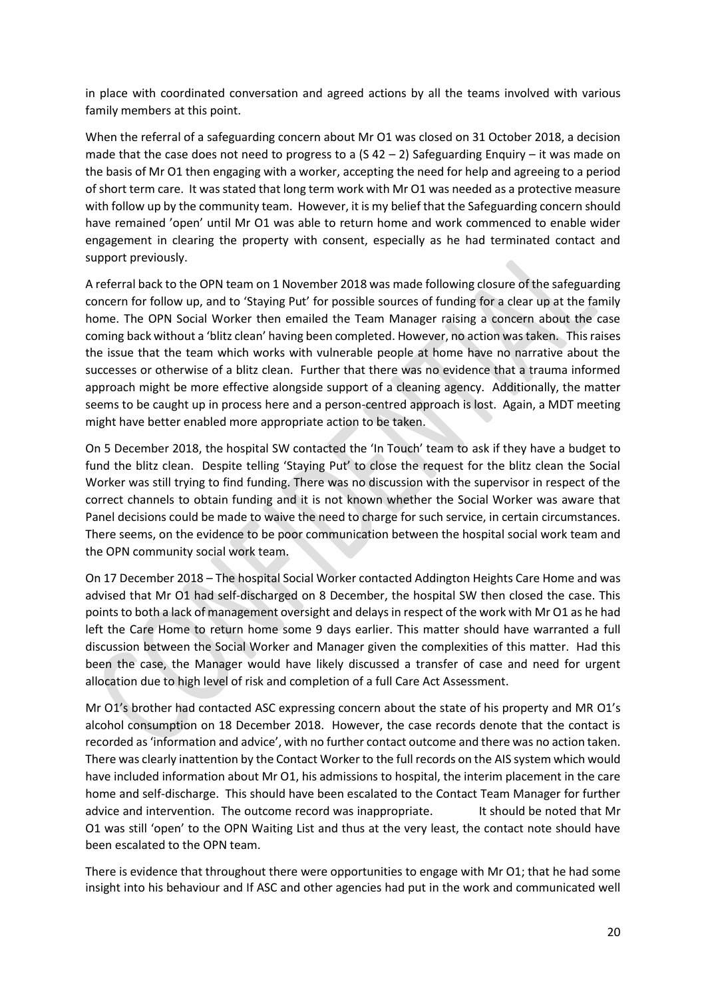in place with coordinated conversation and agreed actions by all the teams involved with various family members at this point.

When the referral of a safeguarding concern about Mr O1 was closed on 31 October 2018, a decision made that the case does not need to progress to a  $(5 42 - 2)$  Safeguarding Enquiry – it was made on the basis of Mr O1 then engaging with a worker, accepting the need for help and agreeing to a period of short term care. It was stated that long term work with Mr O1 was needed as a protective measure with follow up by the community team. However, it is my belief that the Safeguarding concern should have remained 'open' until Mr O1 was able to return home and work commenced to enable wider engagement in clearing the property with consent, especially as he had terminated contact and support previously.

A referral back to the OPN team on 1 November 2018 was made following closure of the safeguarding concern for follow up, and to 'Staying Put' for possible sources of funding for a clear up at the family home. The OPN Social Worker then emailed the Team Manager raising a concern about the case coming back without a 'blitz clean' having been completed. However, no action was taken. This raises the issue that the team which works with vulnerable people at home have no narrative about the successes or otherwise of a blitz clean. Further that there was no evidence that a trauma informed approach might be more effective alongside support of a cleaning agency. Additionally, the matter seems to be caught up in process here and a person-centred approach is lost. Again, a MDT meeting might have better enabled more appropriate action to be taken.

On 5 December 2018, the hospital SW contacted the 'In Touch' team to ask if they have a budget to fund the blitz clean. Despite telling 'Staying Put' to close the request for the blitz clean the Social Worker was still trying to find funding. There was no discussion with the supervisor in respect of the correct channels to obtain funding and it is not known whether the Social Worker was aware that Panel decisions could be made to waive the need to charge for such service, in certain circumstances. There seems, on the evidence to be poor communication between the hospital social work team and the OPN community social work team.

On 17 December 2018 – The hospital Social Worker contacted Addington Heights Care Home and was advised that Mr O1 had self-discharged on 8 December, the hospital SW then closed the case. This points to both a lack of management oversight and delays in respect of the work with Mr O1 as he had left the Care Home to return home some 9 days earlier. This matter should have warranted a full discussion between the Social Worker and Manager given the complexities of this matter. Had this been the case, the Manager would have likely discussed a transfer of case and need for urgent allocation due to high level of risk and completion of a full Care Act Assessment.

Mr O1's brother had contacted ASC expressing concern about the state of his property and MR O1's alcohol consumption on 18 December 2018. However, the case records denote that the contact is recorded as 'information and advice', with no further contact outcome and there was no action taken. There was clearly inattention by the Contact Worker to the full records on the AIS system which would have included information about Mr O1, his admissions to hospital, the interim placement in the care home and self-discharge. This should have been escalated to the Contact Team Manager for further advice and intervention. The outcome record was inappropriate. It should be noted that Mr O1 was still 'open' to the OPN Waiting List and thus at the very least, the contact note should have been escalated to the OPN team.

There is evidence that throughout there were opportunities to engage with Mr O1; that he had some insight into his behaviour and If ASC and other agencies had put in the work and communicated well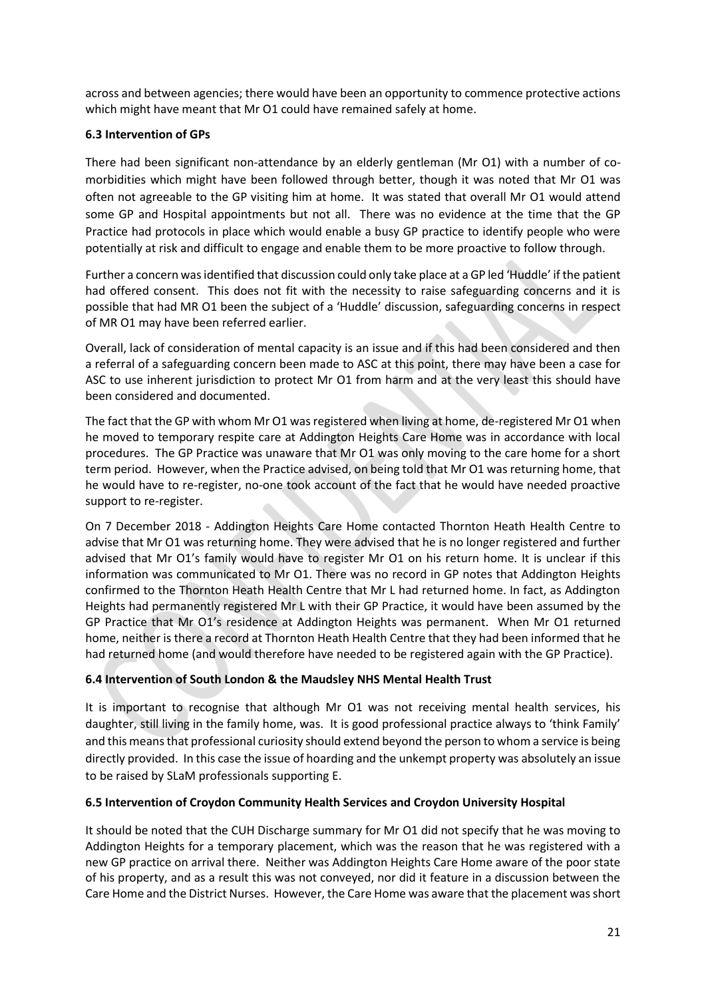across and between agencies; there would have been an opportunity to commence protective actions which might have meant that Mr O1 could have remained safely at home.

# **6.3 Intervention of GPs**

There had been significant non-attendance by an elderly gentleman (Mr O1) with a number of comorbidities which might have been followed through better, though it was noted that Mr O1 was often not agreeable to the GP visiting him at home. It was stated that overall Mr O1 would attend some GP and Hospital appointments but not all. There was no evidence at the time that the GP Practice had protocols in place which would enable a busy GP practice to identify people who were potentially at risk and difficult to engage and enable them to be more proactive to follow through.

Further a concern wasidentified that discussion could only take place at a GP led 'Huddle' if the patient had offered consent. This does not fit with the necessity to raise safeguarding concerns and it is possible that had MR O1 been the subject of a 'Huddle' discussion, safeguarding concerns in respect of MR O1 may have been referred earlier.

Overall, lack of consideration of mental capacity is an issue and if this had been considered and then a referral of a safeguarding concern been made to ASC at this point, there may have been a case for ASC to use inherent jurisdiction to protect Mr O1 from harm and at the very least this should have been considered and documented.

The fact that the GP with whom Mr O1 was registered when living at home, de-registered Mr O1 when he moved to temporary respite care at Addington Heights Care Home was in accordance with local procedures. The GP Practice was unaware that Mr O1 was only moving to the care home for a short term period. However, when the Practice advised, on being told that Mr O1 was returning home, that he would have to re-register, no-one took account of the fact that he would have needed proactive support to re-register.

On 7 December 2018 - Addington Heights Care Home contacted Thornton Heath Health Centre to advise that Mr O1 was returning home. They were advised that he is no longer registered and further advised that Mr O1's family would have to register Mr O1 on his return home. It is unclear if this information was communicated to Mr O1. There was no record in GP notes that Addington Heights confirmed to the Thornton Heath Health Centre that Mr L had returned home. In fact, as Addington Heights had permanently registered Mr L with their GP Practice, it would have been assumed by the GP Practice that Mr O1's residence at Addington Heights was permanent. When Mr O1 returned home, neither is there a record at Thornton Heath Health Centre that they had been informed that he had returned home (and would therefore have needed to be registered again with the GP Practice).

# **6.4 Intervention of South London & the Maudsley NHS Mental Health Trust**

It is important to recognise that although Mr O1 was not receiving mental health services, his daughter, still living in the family home, was. It is good professional practice always to 'think Family' and this means that professional curiosity should extend beyond the person to whom a service is being directly provided. In this case the issue of hoarding and the unkempt property was absolutely an issue to be raised by SLaM professionals supporting E.

#### **6.5 Intervention of Croydon Community Health Services and Croydon University Hospital**

It should be noted that the CUH Discharge summary for Mr O1 did not specify that he was moving to Addington Heights for a temporary placement, which was the reason that he was registered with a new GP practice on arrival there. Neither was Addington Heights Care Home aware of the poor state of his property, and as a result this was not conveyed, nor did it feature in a discussion between the Care Home and the District Nurses. However, the Care Home was aware that the placement was short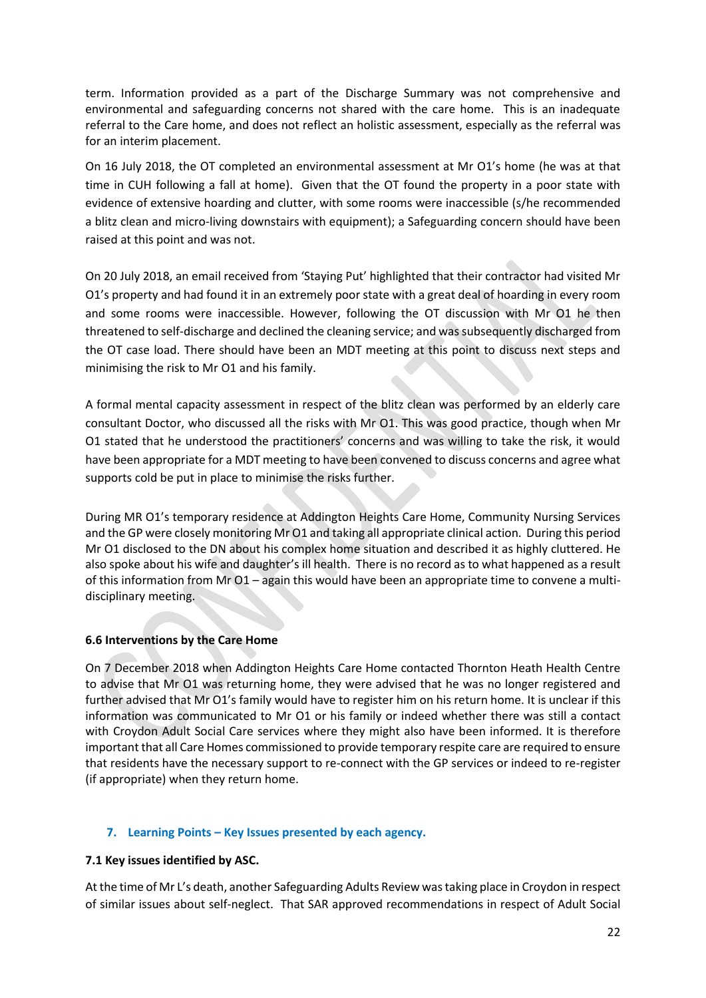term. Information provided as a part of the Discharge Summary was not comprehensive and environmental and safeguarding concerns not shared with the care home. This is an inadequate referral to the Care home, and does not reflect an holistic assessment, especially as the referral was for an interim placement.

On 16 July 2018, the OT completed an environmental assessment at Mr O1's home (he was at that time in CUH following a fall at home). Given that the OT found the property in a poor state with evidence of extensive hoarding and clutter, with some rooms were inaccessible (s/he recommended a blitz clean and micro-living downstairs with equipment); a Safeguarding concern should have been raised at this point and was not.

On 20 July 2018, an email received from 'Staying Put' highlighted that their contractor had visited Mr O1's property and had found it in an extremely poor state with a great deal of hoarding in every room and some rooms were inaccessible. However, following the OT discussion with Mr O1 he then threatened to self-discharge and declined the cleaning service; and was subsequently discharged from the OT case load. There should have been an MDT meeting at this point to discuss next steps and minimising the risk to Mr O1 and his family.

A formal mental capacity assessment in respect of the blitz clean was performed by an elderly care consultant Doctor, who discussed all the risks with Mr O1. This was good practice, though when Mr O1 stated that he understood the practitioners' concerns and was willing to take the risk, it would have been appropriate for a MDT meeting to have been convened to discuss concerns and agree what supports cold be put in place to minimise the risks further.

During MR O1's temporary residence at Addington Heights Care Home, Community Nursing Services and the GP were closely monitoring Mr O1 and taking all appropriate clinical action. During this period Mr O1 disclosed to the DN about his complex home situation and described it as highly cluttered. He also spoke about his wife and daughter's ill health. There is no record as to what happened as a result of this information from Mr O1 – again this would have been an appropriate time to convene a multidisciplinary meeting.

# **6.6 Interventions by the Care Home**

On 7 December 2018 when Addington Heights Care Home contacted Thornton Heath Health Centre to advise that Mr O1 was returning home, they were advised that he was no longer registered and further advised that Mr O1's family would have to register him on his return home. It is unclear if this information was communicated to Mr O1 or his family or indeed whether there was still a contact with Croydon Adult Social Care services where they might also have been informed. It is therefore important that all Care Homes commissioned to provide temporary respite care are required to ensure that residents have the necessary support to re-connect with the GP services or indeed to re-register (if appropriate) when they return home.

#### **7. Learning Points – Key Issues presented by each agency.**

# **7.1 Key issues identified by ASC.**

At the time of Mr L's death, another Safeguarding Adults Review was taking place in Croydon in respect of similar issues about self-neglect. That SAR approved recommendations in respect of Adult Social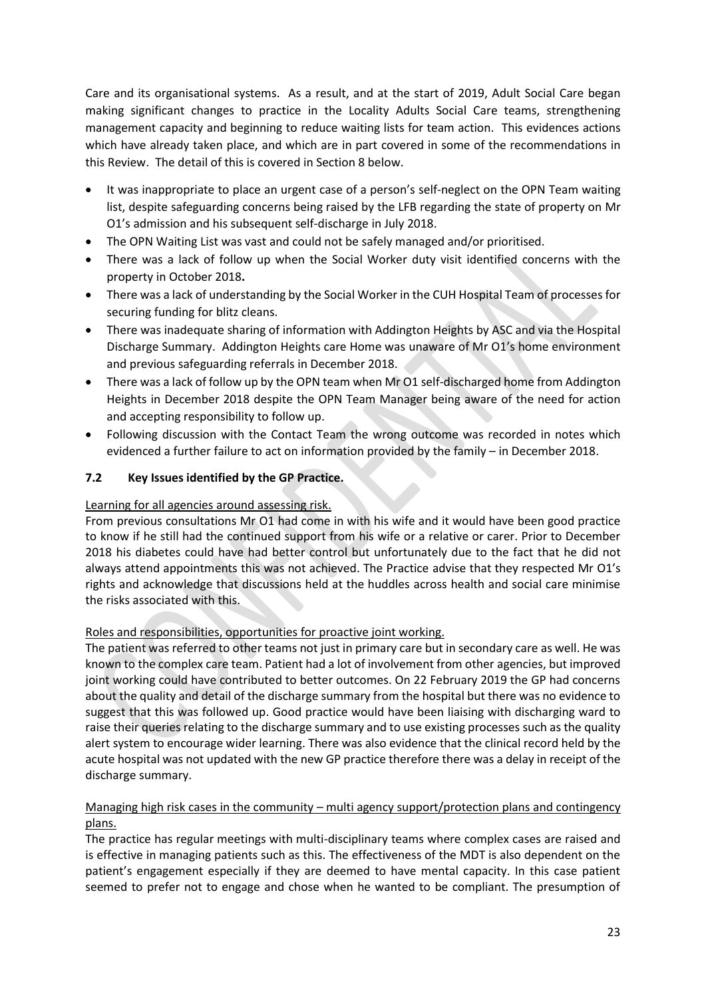Care and its organisational systems. As a result, and at the start of 2019, Adult Social Care began making significant changes to practice in the Locality Adults Social Care teams, strengthening management capacity and beginning to reduce waiting lists for team action. This evidences actions which have already taken place, and which are in part covered in some of the recommendations in this Review. The detail of this is covered in Section 8 below.

- It was inappropriate to place an urgent case of a person's self-neglect on the OPN Team waiting list, despite safeguarding concerns being raised by the LFB regarding the state of property on Mr O1's admission and his subsequent self-discharge in July 2018.
- The OPN Waiting List was vast and could not be safely managed and/or prioritised.
- There was a lack of follow up when the Social Worker duty visit identified concerns with the property in October 2018**.**
- There was a lack of understanding by the Social Worker in the CUH Hospital Team of processes for securing funding for blitz cleans.
- There was inadequate sharing of information with Addington Heights by ASC and via the Hospital Discharge Summary. Addington Heights care Home was unaware of Mr O1's home environment and previous safeguarding referrals in December 2018.
- There was a lack of follow up by the OPN team when Mr O1 self-discharged home from Addington Heights in December 2018 despite the OPN Team Manager being aware of the need for action and accepting responsibility to follow up.
- Following discussion with the Contact Team the wrong outcome was recorded in notes which evidenced a further failure to act on information provided by the family – in December 2018.

# **7.2 Key Issues identified by the GP Practice.**

## Learning for all agencies around assessing risk.

From previous consultations Mr O1 had come in with his wife and it would have been good practice to know if he still had the continued support from his wife or a relative or carer. Prior to December 2018 his diabetes could have had better control but unfortunately due to the fact that he did not always attend appointments this was not achieved. The Practice advise that they respected Mr O1's rights and acknowledge that discussions held at the huddles across health and social care minimise the risks associated with this.

# Roles and responsibilities, opportunities for proactive joint working.

The patient was referred to other teams not just in primary care but in secondary care as well. He was known to the complex care team. Patient had a lot of involvement from other agencies, but improved joint working could have contributed to better outcomes. On 22 February 2019 the GP had concerns about the quality and detail of the discharge summary from the hospital but there was no evidence to suggest that this was followed up. Good practice would have been liaising with discharging ward to raise their queries relating to the discharge summary and to use existing processes such as the quality alert system to encourage wider learning. There was also evidence that the clinical record held by the acute hospital was not updated with the new GP practice therefore there was a delay in receipt of the discharge summary.

# Managing high risk cases in the community – multi agency support/protection plans and contingency plans.

The practice has regular meetings with multi-disciplinary teams where complex cases are raised and is effective in managing patients such as this. The effectiveness of the MDT is also dependent on the patient's engagement especially if they are deemed to have mental capacity. In this case patient seemed to prefer not to engage and chose when he wanted to be compliant. The presumption of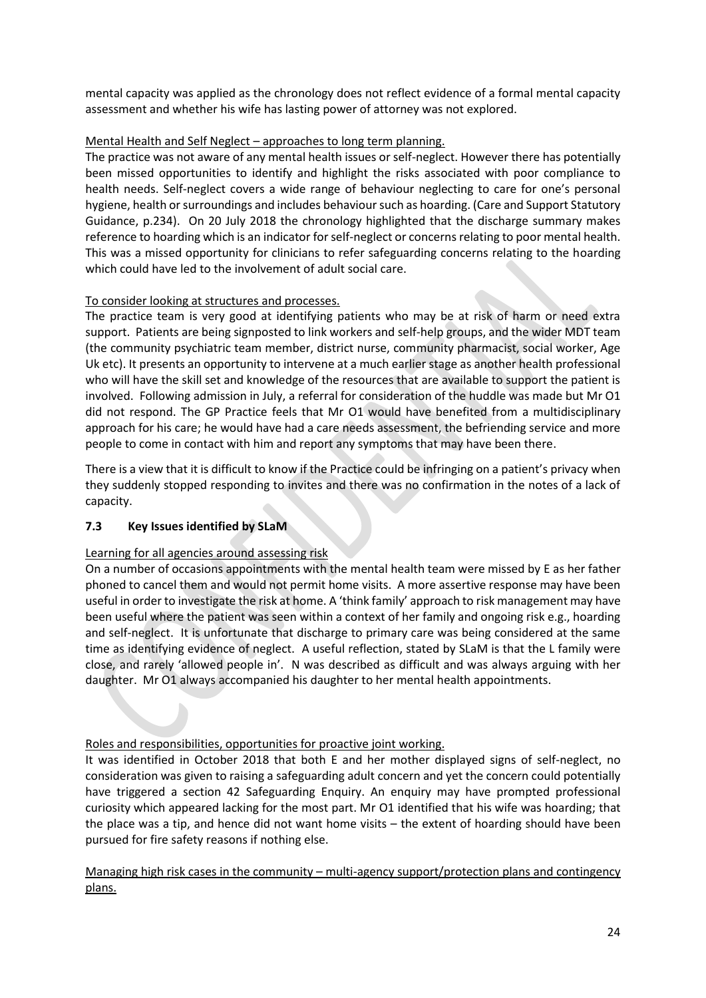mental capacity was applied as the chronology does not reflect evidence of a formal mental capacity assessment and whether his wife has lasting power of attorney was not explored.

# Mental Health and Self Neglect – approaches to long term planning.

The practice was not aware of any mental health issues or self-neglect. However there has potentially been missed opportunities to identify and highlight the risks associated with poor compliance to health needs. Self-neglect covers a wide range of behaviour neglecting to care for one's personal hygiene, health or surroundings and includes behaviour such as hoarding. (Care and Support Statutory Guidance, p.234). On 20 July 2018 the chronology highlighted that the discharge summary makes reference to hoarding which is an indicator for self-neglect or concerns relating to poor mental health. This was a missed opportunity for clinicians to refer safeguarding concerns relating to the hoarding which could have led to the involvement of adult social care.

# To consider looking at structures and processes.

The practice team is very good at identifying patients who may be at risk of harm or need extra support. Patients are being signposted to link workers and self-help groups, and the wider MDT team (the community psychiatric team member, district nurse, community pharmacist, social worker, Age Uk etc). It presents an opportunity to intervene at a much earlier stage as another health professional who will have the skill set and knowledge of the resources that are available to support the patient is involved. Following admission in July, a referral for consideration of the huddle was made but Mr O1 did not respond. The GP Practice feels that Mr O1 would have benefited from a multidisciplinary approach for his care; he would have had a care needs assessment, the befriending service and more people to come in contact with him and report any symptoms that may have been there.

There is a view that it is difficult to know if the Practice could be infringing on a patient's privacy when they suddenly stopped responding to invites and there was no confirmation in the notes of a lack of capacity.

# **7.3 Key Issues identified by SLaM**

# Learning for all agencies around assessing risk

On a number of occasions appointments with the mental health team were missed by E as her father phoned to cancel them and would not permit home visits. A more assertive response may have been useful in order to investigate the risk at home. A 'think family' approach to risk management may have been useful where the patient was seen within a context of her family and ongoing risk e.g., hoarding and self-neglect. It is unfortunate that discharge to primary care was being considered at the same time as identifying evidence of neglect. A useful reflection, stated by SLaM is that the L family were close, and rarely 'allowed people in'. N was described as difficult and was always arguing with her daughter. Mr O1 always accompanied his daughter to her mental health appointments.

# Roles and responsibilities, opportunities for proactive joint working.

It was identified in October 2018 that both E and her mother displayed signs of self-neglect, no consideration was given to raising a safeguarding adult concern and yet the concern could potentially have triggered a section 42 Safeguarding Enquiry. An enquiry may have prompted professional curiosity which appeared lacking for the most part. Mr O1 identified that his wife was hoarding; that the place was a tip, and hence did not want home visits – the extent of hoarding should have been pursued for fire safety reasons if nothing else.

Managing high risk cases in the community – multi-agency support/protection plans and contingency plans.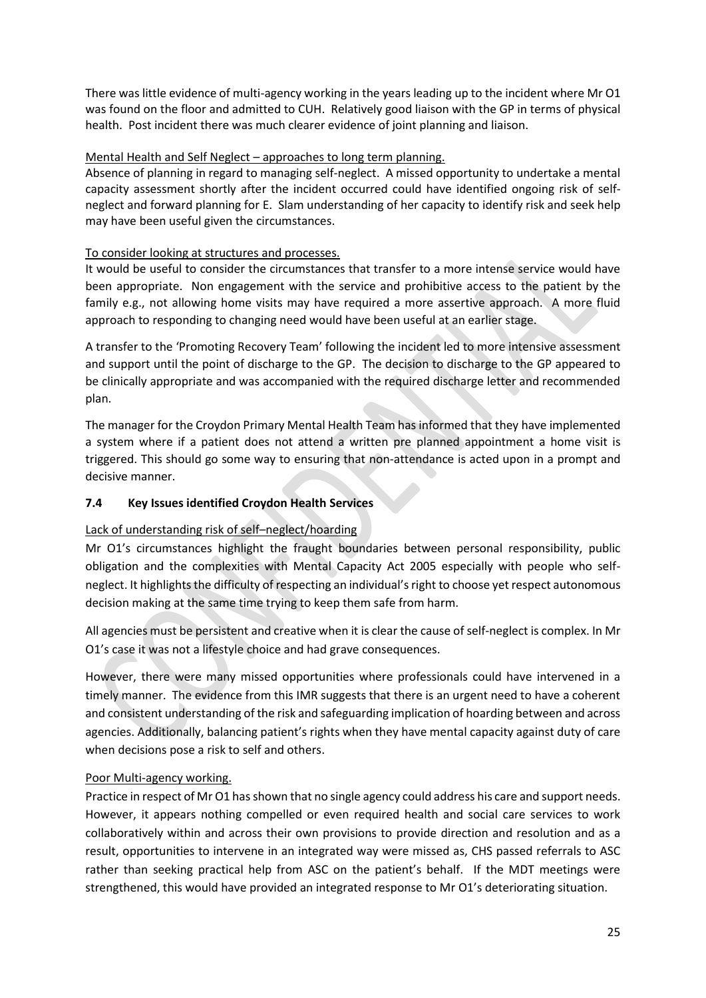There was little evidence of multi-agency working in the years leading up to the incident where Mr O1 was found on the floor and admitted to CUH. Relatively good liaison with the GP in terms of physical health. Post incident there was much clearer evidence of joint planning and liaison.

# Mental Health and Self Neglect – approaches to long term planning.

Absence of planning in regard to managing self-neglect. A missed opportunity to undertake a mental capacity assessment shortly after the incident occurred could have identified ongoing risk of selfneglect and forward planning for E. Slam understanding of her capacity to identify risk and seek help may have been useful given the circumstances.

# To consider looking at structures and processes.

It would be useful to consider the circumstances that transfer to a more intense service would have been appropriate. Non engagement with the service and prohibitive access to the patient by the family e.g., not allowing home visits may have required a more assertive approach. A more fluid approach to responding to changing need would have been useful at an earlier stage.

A transfer to the 'Promoting Recovery Team' following the incident led to more intensive assessment and support until the point of discharge to the GP. The decision to discharge to the GP appeared to be clinically appropriate and was accompanied with the required discharge letter and recommended plan.

The manager for the Croydon Primary Mental Health Team has informed that they have implemented a system where if a patient does not attend a written pre planned appointment a home visit is triggered. This should go some way to ensuring that non-attendance is acted upon in a prompt and decisive manner.

# **7.4 Key Issues identified Croydon Health Services**

# Lack of understanding risk of self–neglect/hoarding

Mr O1's circumstances highlight the fraught boundaries between personal responsibility, public obligation and the complexities with Mental Capacity Act 2005 especially with people who selfneglect. It highlights the difficulty of respecting an individual's right to choose yet respect autonomous decision making at the same time trying to keep them safe from harm.

All agencies must be persistent and creative when it is clear the cause of self-neglect is complex. In Mr O1's case it was not a lifestyle choice and had grave consequences.

However, there were many missed opportunities where professionals could have intervened in a timely manner. The evidence from this IMR suggests that there is an urgent need to have a coherent and consistent understanding of the risk and safeguarding implication of hoarding between and across agencies. Additionally, balancing patient's rights when they have mental capacity against duty of care when decisions pose a risk to self and others.

# Poor Multi-agency working.

Practice in respect of Mr O1 has shown that no single agency could address his care and support needs. However, it appears nothing compelled or even required health and social care services to work collaboratively within and across their own provisions to provide direction and resolution and as a result, opportunities to intervene in an integrated way were missed as, CHS passed referrals to ASC rather than seeking practical help from ASC on the patient's behalf. If the MDT meetings were strengthened, this would have provided an integrated response to Mr O1's deteriorating situation.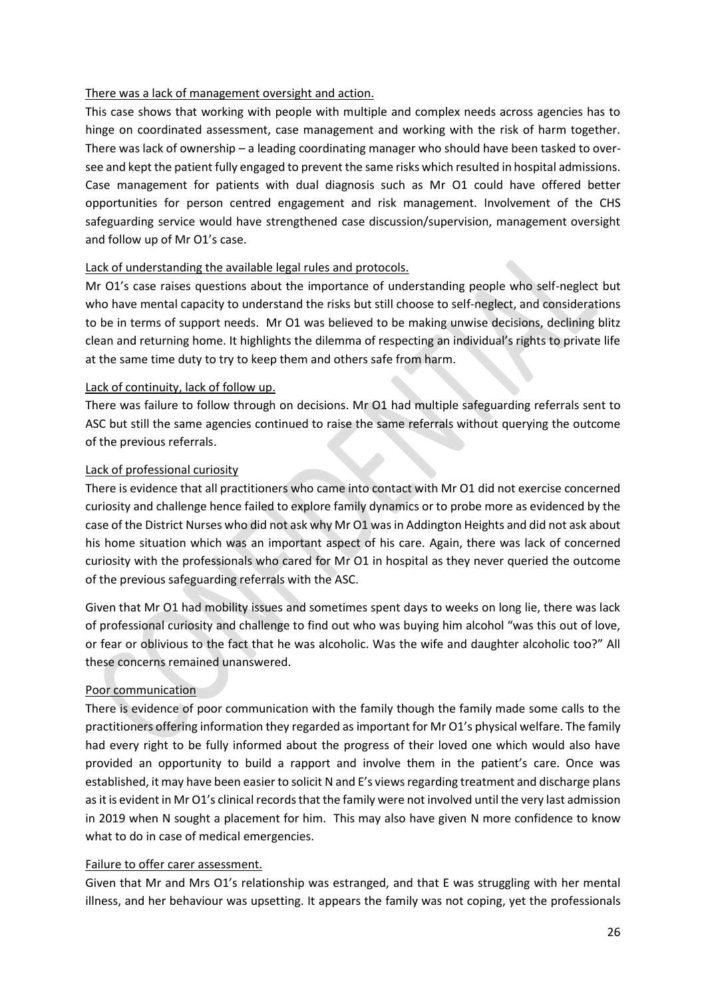## There was a lack of management oversight and action.

This case shows that working with people with multiple and complex needs across agencies has to hinge on coordinated assessment, case management and working with the risk of harm together. There was lack of ownership – a leading coordinating manager who should have been tasked to oversee and kept the patient fully engaged to prevent the same risks which resulted in hospital admissions. Case management for patients with dual diagnosis such as Mr O1 could have offered better opportunities for person centred engagement and risk management. Involvement of the CHS safeguarding service would have strengthened case discussion/supervision, management oversight and follow up of Mr O1's case.

## Lack of understanding the available legal rules and protocols.

Mr O1's case raises questions about the importance of understanding people who self-neglect but who have mental capacity to understand the risks but still choose to self-neglect, and considerations to be in terms of support needs. Mr O1 was believed to be making unwise decisions, declining blitz clean and returning home. It highlights the dilemma of respecting an individual's rights to private life at the same time duty to try to keep them and others safe from harm.

## Lack of continuity, lack of follow up.

There was failure to follow through on decisions. Mr O1 had multiple safeguarding referrals sent to ASC but still the same agencies continued to raise the same referrals without querying the outcome of the previous referrals.

## Lack of professional curiosity

There is evidence that all practitioners who came into contact with Mr O1 did not exercise concerned curiosity and challenge hence failed to explore family dynamics or to probe more as evidenced by the case of the District Nurses who did not ask why Mr O1 was in Addington Heights and did not ask about his home situation which was an important aspect of his care. Again, there was lack of concerned curiosity with the professionals who cared for Mr O1 in hospital as they never queried the outcome of the previous safeguarding referrals with the ASC.

Given that Mr O1 had mobility issues and sometimes spent days to weeks on long lie, there was lack of professional curiosity and challenge to find out who was buying him alcohol "was this out of love, or fear or oblivious to the fact that he was alcoholic. Was the wife and daughter alcoholic too?" All these concerns remained unanswered.

# Poor communication

There is evidence of poor communication with the family though the family made some calls to the practitioners offering information they regarded as important for Mr O1's physical welfare. The family had every right to be fully informed about the progress of their loved one which would also have provided an opportunity to build a rapport and involve them in the patient's care. Once was established, it may have been easier to solicit N and E's views regarding treatment and discharge plans as it is evident in Mr O1's clinical records that the family were not involved until the very last admission in 2019 when N sought a placement for him. This may also have given N more confidence to know what to do in case of medical emergencies.

# Failure to offer carer assessment.

Given that Mr and Mrs O1's relationship was estranged, and that E was struggling with her mental illness, and her behaviour was upsetting. It appears the family was not coping, yet the professionals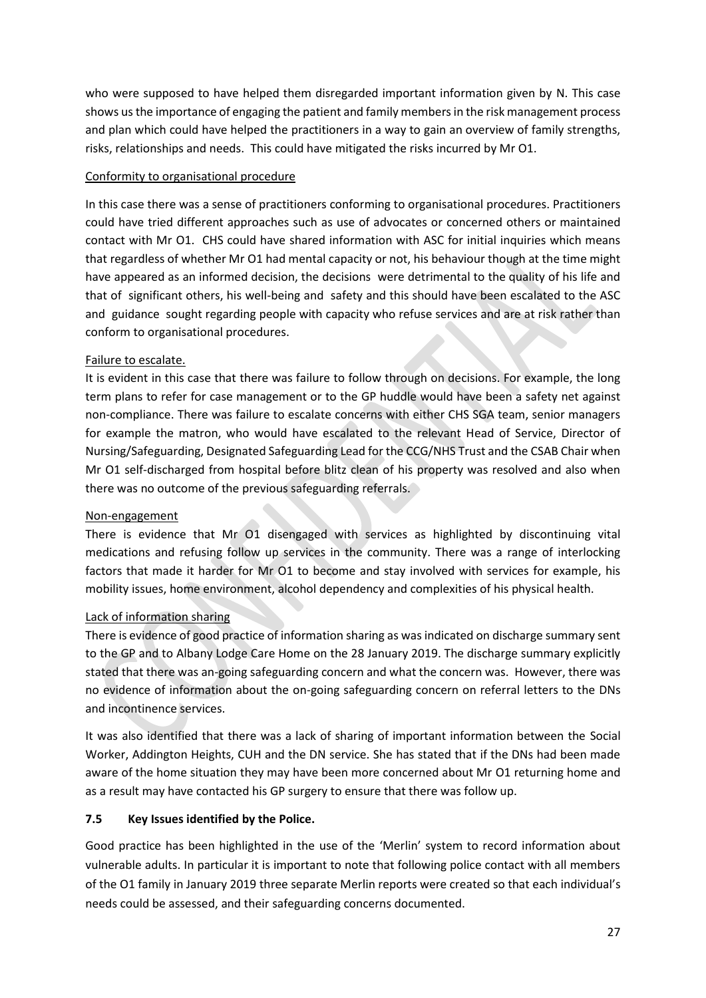who were supposed to have helped them disregarded important information given by N. This case shows usthe importance of engaging the patient and family members in the risk management process and plan which could have helped the practitioners in a way to gain an overview of family strengths, risks, relationships and needs. This could have mitigated the risks incurred by Mr O1.

# Conformity to organisational procedure

In this case there was a sense of practitioners conforming to organisational procedures. Practitioners could have tried different approaches such as use of advocates or concerned others or maintained contact with Mr O1. CHS could have shared information with ASC for initial inquiries which means that regardless of whether Mr O1 had mental capacity or not, his behaviour though at the time might have appeared as an informed decision, the decisions were detrimental to the quality of his life and that of significant others, his well-being and safety and this should have been escalated to the ASC and guidance sought regarding people with capacity who refuse services and are at risk rather than conform to organisational procedures.

# Failure to escalate.

It is evident in this case that there was failure to follow through on decisions. For example, the long term plans to refer for case management or to the GP huddle would have been a safety net against non-compliance. There was failure to escalate concerns with either CHS SGA team, senior managers for example the matron, who would have escalated to the relevant Head of Service, Director of Nursing/Safeguarding, Designated Safeguarding Lead for the CCG/NHS Trust and the CSAB Chair when Mr O1 self-discharged from hospital before blitz clean of his property was resolved and also when there was no outcome of the previous safeguarding referrals.

# Non-engagement

There is evidence that Mr O1 disengaged with services as highlighted by discontinuing vital medications and refusing follow up services in the community. There was a range of interlocking factors that made it harder for Mr O1 to become and stay involved with services for example, his mobility issues, home environment, alcohol dependency and complexities of his physical health.

# Lack of information sharing

There is evidence of good practice of information sharing as was indicated on discharge summary sent to the GP and to Albany Lodge Care Home on the 28 January 2019. The discharge summary explicitly stated that there was an-going safeguarding concern and what the concern was. However, there was no evidence of information about the on-going safeguarding concern on referral letters to the DNs and incontinence services.

It was also identified that there was a lack of sharing of important information between the Social Worker, Addington Heights, CUH and the DN service. She has stated that if the DNs had been made aware of the home situation they may have been more concerned about Mr O1 returning home and as a result may have contacted his GP surgery to ensure that there was follow up.

# **7.5 Key Issues identified by the Police.**

Good practice has been highlighted in the use of the 'Merlin' system to record information about vulnerable adults. In particular it is important to note that following police contact with all members of the O1 family in January 2019 three separate Merlin reports were created so that each individual's needs could be assessed, and their safeguarding concerns documented.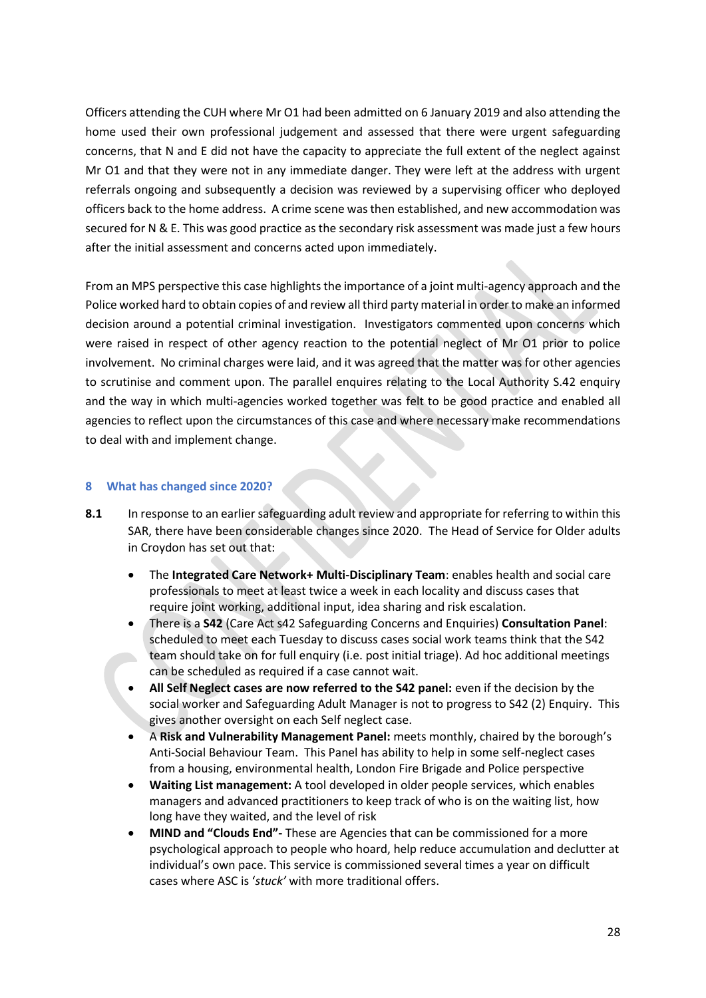Officers attending the CUH where Mr O1 had been admitted on 6 January 2019 and also attending the home used their own professional judgement and assessed that there were urgent safeguarding concerns, that N and E did not have the capacity to appreciate the full extent of the neglect against Mr O1 and that they were not in any immediate danger. They were left at the address with urgent referrals ongoing and subsequently a decision was reviewed by a supervising officer who deployed officers back to the home address. A crime scene was then established, and new accommodation was secured for N & E. This was good practice as the secondary risk assessment was made just a few hours after the initial assessment and concerns acted upon immediately.

From an MPS perspective this case highlights the importance of a joint multi-agency approach and the Police worked hard to obtain copies of and review all third party material in order to make an informed decision around a potential criminal investigation. Investigators commented upon concerns which were raised in respect of other agency reaction to the potential neglect of Mr O1 prior to police involvement. No criminal charges were laid, and it was agreed that the matter was for other agencies to scrutinise and comment upon. The parallel enquires relating to the Local Authority S.42 enquiry and the way in which multi-agencies worked together was felt to be good practice and enabled all agencies to reflect upon the circumstances of this case and where necessary make recommendations to deal with and implement change.

## **8 What has changed since 2020?**

- **8.1** In response to an earlier safeguarding adult review and appropriate for referring to within this SAR, there have been considerable changes since 2020. The Head of Service for Older adults in Croydon has set out that:
	- The **Integrated Care Network+ Multi-Disciplinary Team**: enables health and social care professionals to meet at least twice a week in each locality and discuss cases that require joint working, additional input, idea sharing and risk escalation.
	- There is a **S42** (Care Act s42 Safeguarding Concerns and Enquiries) **Consultation Panel**: scheduled to meet each Tuesday to discuss cases social work teams think that the S42 team should take on for full enquiry (i.e. post initial triage). Ad hoc additional meetings can be scheduled as required if a case cannot wait.
	- **All Self Neglect cases are now referred to the S42 panel:** even if the decision by the social worker and Safeguarding Adult Manager is not to progress to S42 (2) Enquiry. This gives another oversight on each Self neglect case.
	- A **Risk and Vulnerability Management Panel:** meets monthly, chaired by the borough's Anti-Social Behaviour Team. This Panel has ability to help in some self-neglect cases from a housing, environmental health, London Fire Brigade and Police perspective
	- **Waiting List management:** A tool developed in older people services, which enables managers and advanced practitioners to keep track of who is on the waiting list, how long have they waited, and the level of risk
	- **MIND and "Clouds End"-** These are Agencies that can be commissioned for a more psychological approach to people who hoard, help reduce accumulation and declutter at individual's own pace. This service is commissioned several times a year on difficult cases where ASC is '*stuck'* with more traditional offers.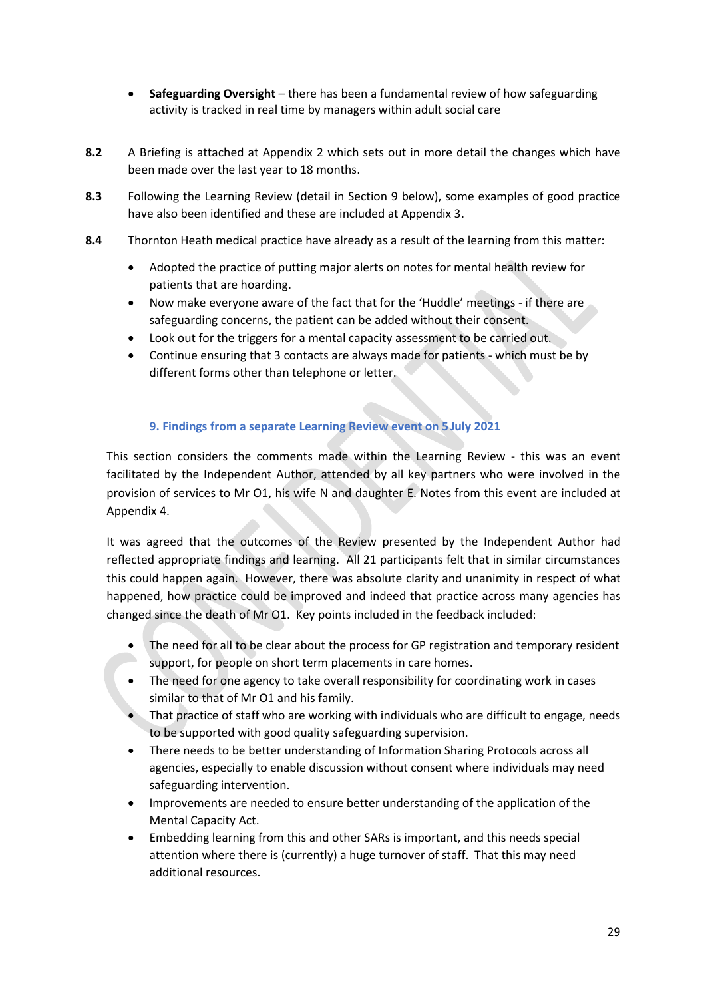- **Safeguarding Oversight** there has been a fundamental review of how safeguarding activity is tracked in real time by managers within adult social care
- **8.2** A Briefing is attached at Appendix 2 which sets out in more detail the changes which have been made over the last year to 18 months.
- **8.3** Following the Learning Review (detail in Section 9 below), some examples of good practice have also been identified and these are included at Appendix 3.
- **8.4** Thornton Heath medical practice have already as a result of the learning from this matter:
	- Adopted the practice of putting major alerts on notes for mental health review for patients that are hoarding.
	- Now make everyone aware of the fact that for the 'Huddle' meetings if there are safeguarding concerns, the patient can be added without their consent.
	- Look out for the triggers for a mental capacity assessment to be carried out.
	- Continue ensuring that 3 contacts are always made for patients which must be by different forms other than telephone or letter.

# **9. Findings from a separate Learning Review event on 5 July 2021**

This section considers the comments made within the Learning Review - this was an event facilitated by the Independent Author, attended by all key partners who were involved in the provision of services to Mr O1, his wife N and daughter E. Notes from this event are included at Appendix 4.

It was agreed that the outcomes of the Review presented by the Independent Author had reflected appropriate findings and learning. All 21 participants felt that in similar circumstances this could happen again. However, there was absolute clarity and unanimity in respect of what happened, how practice could be improved and indeed that practice across many agencies has changed since the death of Mr O1. Key points included in the feedback included:

- The need for all to be clear about the process for GP registration and temporary resident support, for people on short term placements in care homes.
- The need for one agency to take overall responsibility for coordinating work in cases similar to that of Mr O1 and his family.
- That practice of staff who are working with individuals who are difficult to engage, needs to be supported with good quality safeguarding supervision.
- There needs to be better understanding of Information Sharing Protocols across all agencies, especially to enable discussion without consent where individuals may need safeguarding intervention.
- Improvements are needed to ensure better understanding of the application of the Mental Capacity Act.
- Embedding learning from this and other SARs is important, and this needs special attention where there is (currently) a huge turnover of staff. That this may need additional resources.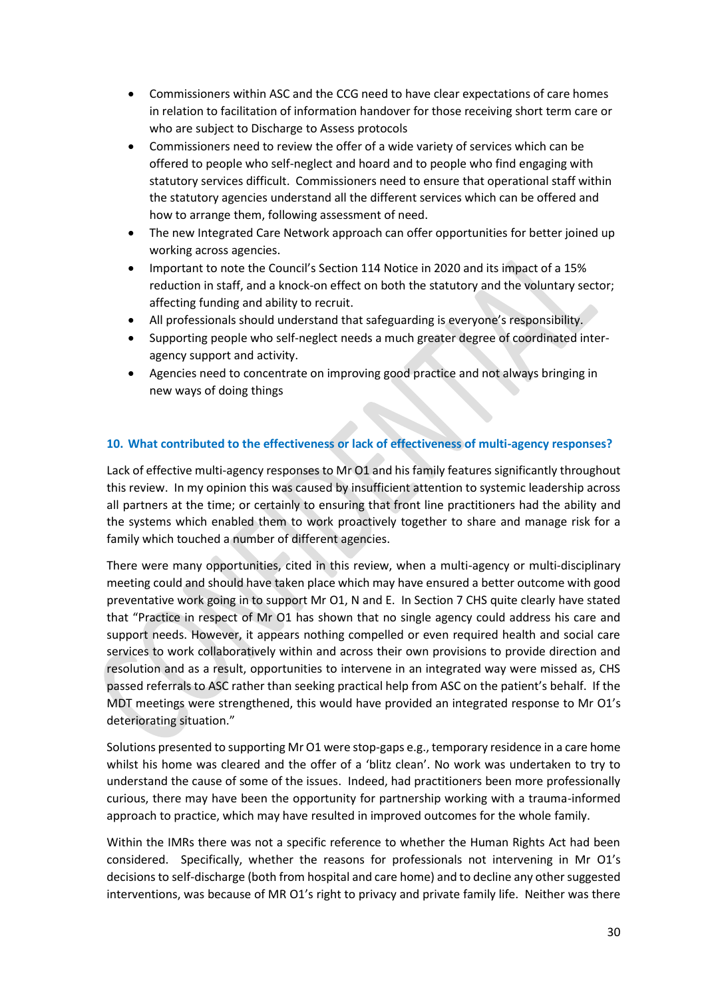- Commissioners within ASC and the CCG need to have clear expectations of care homes in relation to facilitation of information handover for those receiving short term care or who are subject to Discharge to Assess protocols
- Commissioners need to review the offer of a wide variety of services which can be offered to people who self-neglect and hoard and to people who find engaging with statutory services difficult. Commissioners need to ensure that operational staff within the statutory agencies understand all the different services which can be offered and how to arrange them, following assessment of need.
- The new Integrated Care Network approach can offer opportunities for better joined up working across agencies.
- Important to note the Council's Section 114 Notice in 2020 and its impact of a 15% reduction in staff, and a knock-on effect on both the statutory and the voluntary sector; affecting funding and ability to recruit.
- All professionals should understand that safeguarding is everyone's responsibility.
- Supporting people who self-neglect needs a much greater degree of coordinated interagency support and activity.
- Agencies need to concentrate on improving good practice and not always bringing in new ways of doing things

## **10. What contributed to the effectiveness or lack of effectiveness of multi-agency responses?**

Lack of effective multi-agency responses to Mr O1 and his family features significantly throughout this review. In my opinion this was caused by insufficient attention to systemic leadership across all partners at the time; or certainly to ensuring that front line practitioners had the ability and the systems which enabled them to work proactively together to share and manage risk for a family which touched a number of different agencies.

There were many opportunities, cited in this review, when a multi-agency or multi-disciplinary meeting could and should have taken place which may have ensured a better outcome with good preventative work going in to support Mr O1, N and E. In Section 7 CHS quite clearly have stated that "Practice in respect of Mr O1 has shown that no single agency could address his care and support needs. However, it appears nothing compelled or even required health and social care services to work collaboratively within and across their own provisions to provide direction and resolution and as a result, opportunities to intervene in an integrated way were missed as, CHS passed referrals to ASC rather than seeking practical help from ASC on the patient's behalf. If the MDT meetings were strengthened, this would have provided an integrated response to Mr O1's deteriorating situation."

Solutions presented to supporting Mr O1 were stop-gaps e.g., temporary residence in a care home whilst his home was cleared and the offer of a 'blitz clean'. No work was undertaken to try to understand the cause of some of the issues. Indeed, had practitioners been more professionally curious, there may have been the opportunity for partnership working with a trauma-informed approach to practice, which may have resulted in improved outcomes for the whole family.

Within the IMRs there was not a specific reference to whether the Human Rights Act had been considered. Specifically, whether the reasons for professionals not intervening in Mr O1's decisions to self-discharge (both from hospital and care home) and to decline any other suggested interventions, was because of MR O1's right to privacy and private family life. Neither was there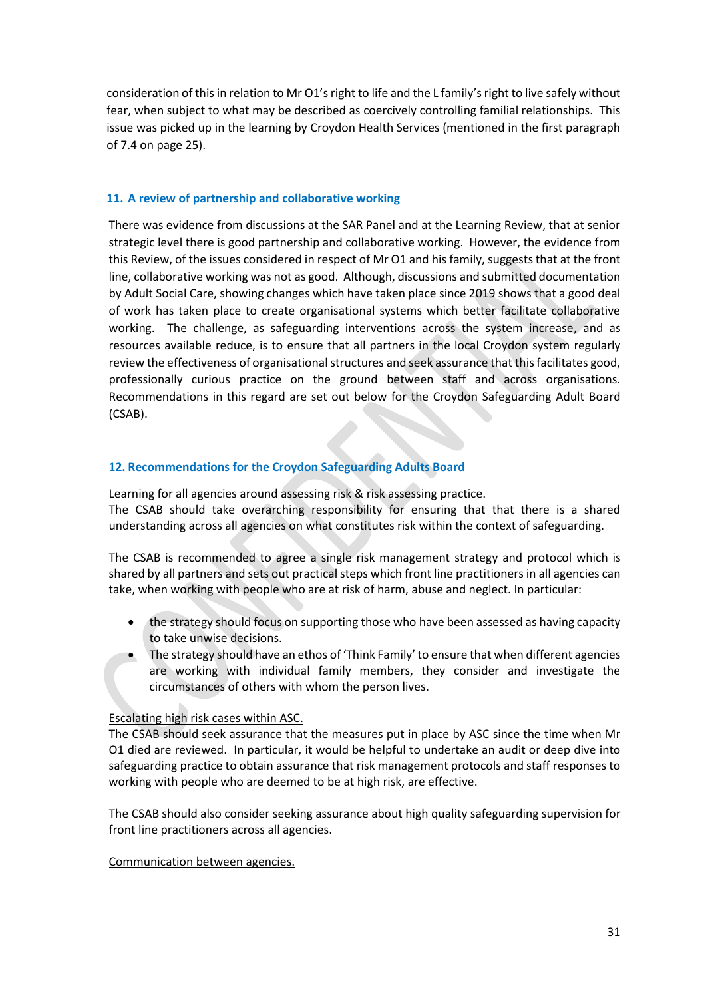consideration of this in relation to Mr O1's right to life and the L family's right to live safely without fear, when subject to what may be described as coercively controlling familial relationships. This issue was picked up in the learning by Croydon Health Services (mentioned in the first paragraph of 7.4 on page 25).

## **11. A review of partnership and collaborative working**

There was evidence from discussions at the SAR Panel and at the Learning Review, that at senior strategic level there is good partnership and collaborative working. However, the evidence from this Review, of the issues considered in respect of Mr O1 and his family, suggests that at the front line, collaborative working was not as good. Although, discussions and submitted documentation by Adult Social Care, showing changes which have taken place since 2019 shows that a good deal of work has taken place to create organisational systems which better facilitate collaborative working. The challenge, as safeguarding interventions across the system increase, and as resources available reduce, is to ensure that all partners in the local Croydon system regularly review the effectiveness of organisational structures and seek assurance that this facilitates good, professionally curious practice on the ground between staff and across organisations. Recommendations in this regard are set out below for the Croydon Safeguarding Adult Board (CSAB).

## **12. Recommendations for the Croydon Safeguarding Adults Board**

Learning for all agencies around assessing risk & risk assessing practice. The CSAB should take overarching responsibility for ensuring that that there is a shared understanding across all agencies on what constitutes risk within the context of safeguarding.

The CSAB is recommended to agree a single risk management strategy and protocol which is shared by all partners and sets out practical steps which front line practitioners in all agencies can take, when working with people who are at risk of harm, abuse and neglect. In particular:

- the strategy should focus on supporting those who have been assessed as having capacity to take unwise decisions.
- The strategy should have an ethos of 'Think Family' to ensure that when different agencies are working with individual family members, they consider and investigate the circumstances of others with whom the person lives.

# Escalating high risk cases within ASC.

The CSAB should seek assurance that the measures put in place by ASC since the time when Mr O1 died are reviewed. In particular, it would be helpful to undertake an audit or deep dive into safeguarding practice to obtain assurance that risk management protocols and staff responses to working with people who are deemed to be at high risk, are effective.

The CSAB should also consider seeking assurance about high quality safeguarding supervision for front line practitioners across all agencies.

#### Communication between agencies.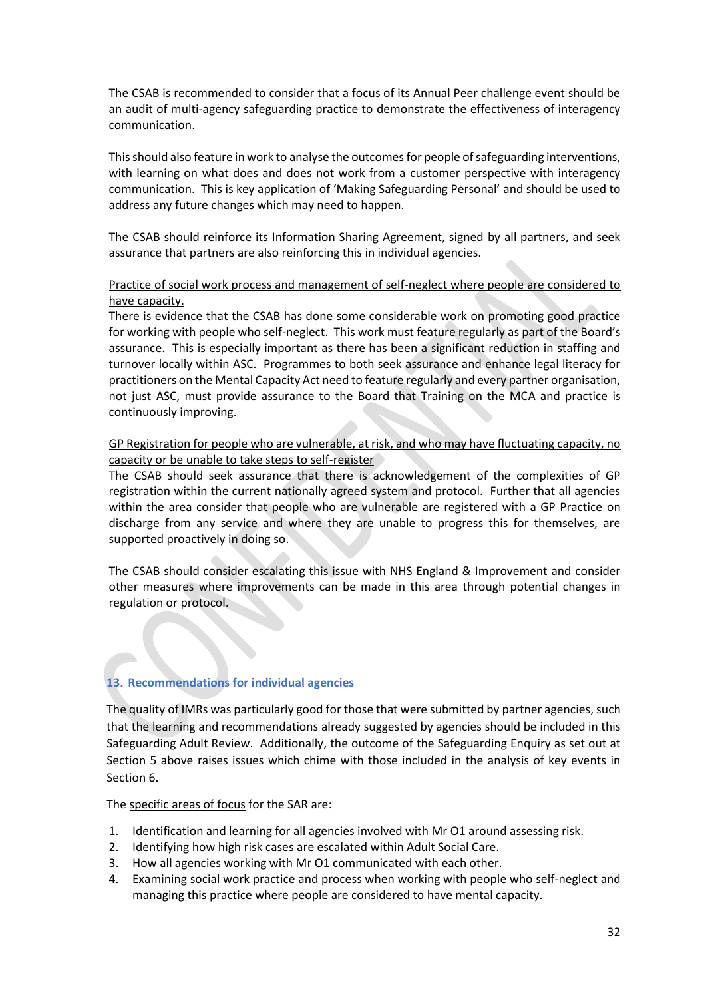The CSAB is recommended to consider that a focus of its Annual Peer challenge event should be an audit of multi-agency safeguarding practice to demonstrate the effectiveness of interagency communication.

This should also feature in work to analyse the outcomes for people of safeguarding interventions, with learning on what does and does not work from a customer perspective with interagency communication. This is key application of 'Making Safeguarding Personal' and should be used to address any future changes which may need to happen.

The CSAB should reinforce its Information Sharing Agreement, signed by all partners, and seek assurance that partners are also reinforcing this in individual agencies.

## Practice of social work process and management of self-neglect where people are considered to have capacity.

There is evidence that the CSAB has done some considerable work on promoting good practice for working with people who self-neglect. This work must feature regularly as part of the Board's assurance. This is especially important as there has been a significant reduction in staffing and turnover locally within ASC. Programmes to both seek assurance and enhance legal literacy for practitioners on the Mental Capacity Act need to feature regularly and every partner organisation, not just ASC, must provide assurance to the Board that Training on the MCA and practice is continuously improving.

## GP Registration for people who are vulnerable, at risk, and who may have fluctuating capacity, no capacity or be unable to take steps to self-register

The CSAB should seek assurance that there is acknowledgement of the complexities of GP registration within the current nationally agreed system and protocol. Further that all agencies within the area consider that people who are vulnerable are registered with a GP Practice on discharge from any service and where they are unable to progress this for themselves, are supported proactively in doing so.

The CSAB should consider escalating this issue with NHS England & Improvement and consider other measures where improvements can be made in this area through potential changes in regulation or protocol.

# **13. Recommendations for individual agencies**

The quality of IMRs was particularly good for those that were submitted by partner agencies, such that the learning and recommendations already suggested by agencies should be included in this Safeguarding Adult Review. Additionally, the outcome of the Safeguarding Enquiry as set out at Section 5 above raises issues which chime with those included in the analysis of key events in Section 6.

The specific areas of focus for the SAR are:

- 1. Identification and learning for all agencies involved with Mr O1 around assessing risk.
- 2. Identifying how high risk cases are escalated within Adult Social Care.
- 3. How all agencies working with Mr O1 communicated with each other.
- 4. Examining social work practice and process when working with people who self-neglect and managing this practice where people are considered to have mental capacity.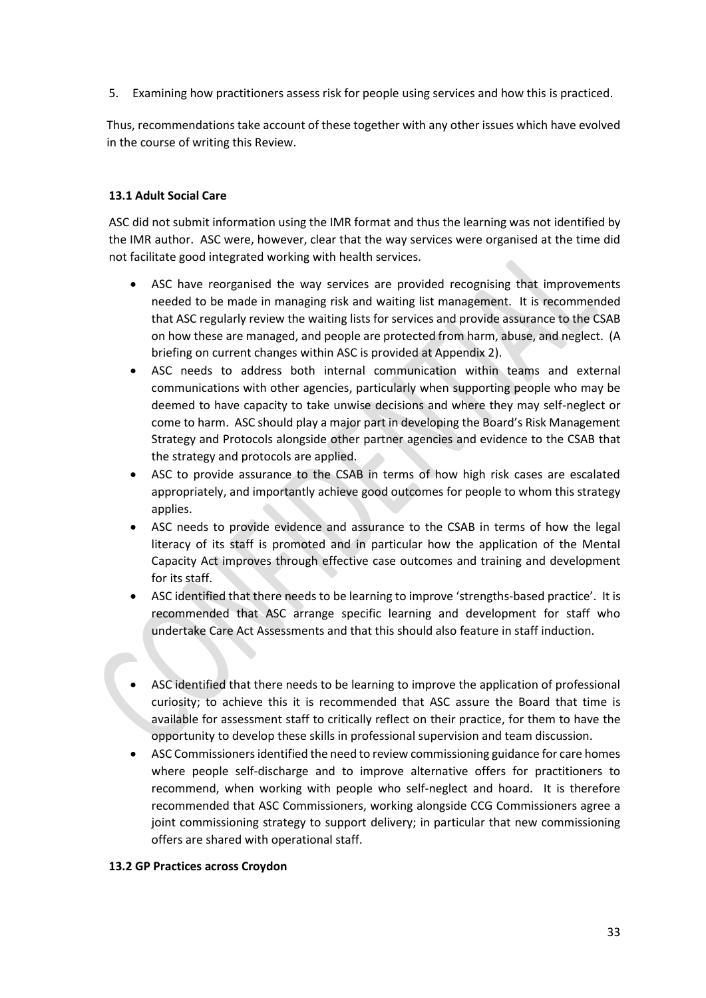5. Examining how practitioners assess risk for people using services and how this is practiced.

Thus, recommendations take account of these together with any other issues which have evolved in the course of writing this Review.

## **13.1 Adult Social Care**

ASC did not submit information using the IMR format and thus the learning was not identified by the IMR author. ASC were, however, clear that the way services were organised at the time did not facilitate good integrated working with health services.

- ASC have reorganised the way services are provided recognising that improvements needed to be made in managing risk and waiting list management. It is recommended that ASC regularly review the waiting lists for services and provide assurance to the CSAB on how these are managed, and people are protected from harm, abuse, and neglect. (A briefing on current changes within ASC is provided at Appendix 2).
- ASC needs to address both internal communication within teams and external communications with other agencies, particularly when supporting people who may be deemed to have capacity to take unwise decisions and where they may self-neglect or come to harm. ASC should play a major part in developing the Board's Risk Management Strategy and Protocols alongside other partner agencies and evidence to the CSAB that the strategy and protocols are applied.
- ASC to provide assurance to the CSAB in terms of how high risk cases are escalated appropriately, and importantly achieve good outcomes for people to whom this strategy applies.
- ASC needs to provide evidence and assurance to the CSAB in terms of how the legal literacy of its staff is promoted and in particular how the application of the Mental Capacity Act improves through effective case outcomes and training and development for its staff.
- ASC identified that there needs to be learning to improve 'strengths-based practice'. It is recommended that ASC arrange specific learning and development for staff who undertake Care Act Assessments and that this should also feature in staff induction.
- ASC identified that there needs to be learning to improve the application of professional curiosity; to achieve this it is recommended that ASC assure the Board that time is available for assessment staff to critically reflect on their practice, for them to have the opportunity to develop these skills in professional supervision and team discussion.
- ASC Commissioners identified the need to review commissioning guidance for care homes where people self-discharge and to improve alternative offers for practitioners to recommend, when working with people who self-neglect and hoard. It is therefore recommended that ASC Commissioners, working alongside CCG Commissioners agree a joint commissioning strategy to support delivery; in particular that new commissioning offers are shared with operational staff.

#### **13.2 GP Practices across Croydon**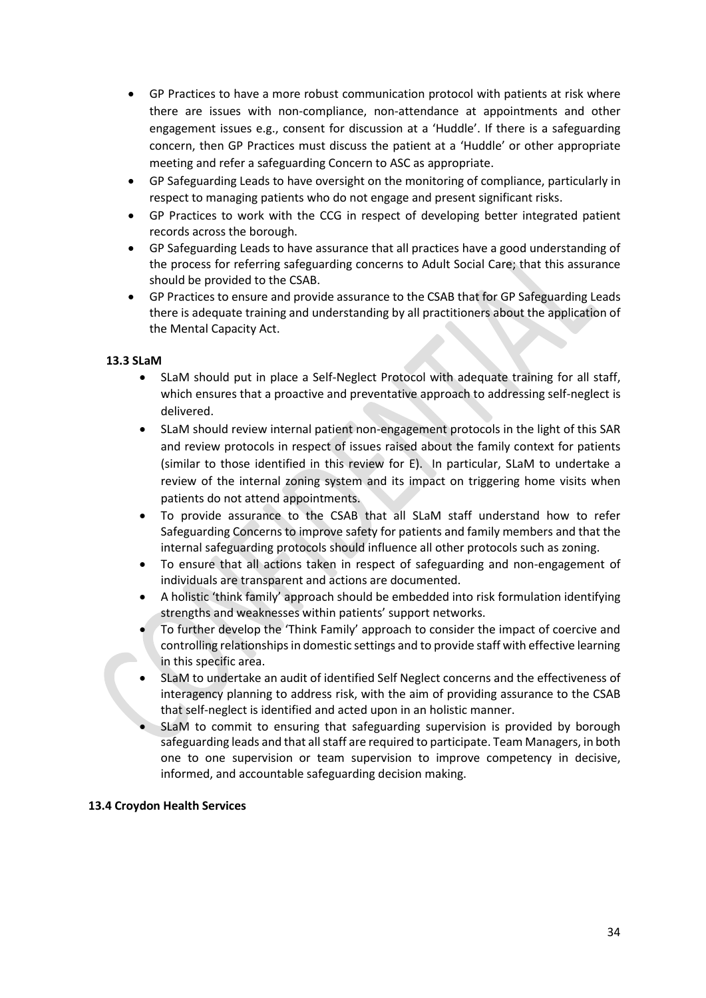- GP Practices to have a more robust communication protocol with patients at risk where there are issues with non-compliance, non-attendance at appointments and other engagement issues e.g., consent for discussion at a 'Huddle'. If there is a safeguarding concern, then GP Practices must discuss the patient at a 'Huddle' or other appropriate meeting and refer a safeguarding Concern to ASC as appropriate.
- GP Safeguarding Leads to have oversight on the monitoring of compliance, particularly in respect to managing patients who do not engage and present significant risks.
- GP Practices to work with the CCG in respect of developing better integrated patient records across the borough.
- GP Safeguarding Leads to have assurance that all practices have a good understanding of the process for referring safeguarding concerns to Adult Social Care; that this assurance should be provided to the CSAB.
- GP Practices to ensure and provide assurance to the CSAB that for GP Safeguarding Leads there is adequate training and understanding by all practitioners about the application of the Mental Capacity Act.

# **13.3 SLaM**

- SLaM should put in place a Self-Neglect Protocol with adequate training for all staff, which ensures that a proactive and preventative approach to addressing self-neglect is delivered.
- SLaM should review internal patient non-engagement protocols in the light of this SAR and review protocols in respect of issues raised about the family context for patients (similar to those identified in this review for E). In particular, SLaM to undertake a review of the internal zoning system and its impact on triggering home visits when patients do not attend appointments.
- To provide assurance to the CSAB that all SLaM staff understand how to refer Safeguarding Concerns to improve safety for patients and family members and that the internal safeguarding protocols should influence all other protocols such as zoning.
- To ensure that all actions taken in respect of safeguarding and non-engagement of individuals are transparent and actions are documented.
- A holistic 'think family' approach should be embedded into risk formulation identifying strengths and weaknesses within patients' support networks.
- To further develop the 'Think Family' approach to consider the impact of coercive and controlling relationships in domestic settings and to provide staff with effective learning in this specific area.
- SLaM to undertake an audit of identified Self Neglect concerns and the effectiveness of interagency planning to address risk, with the aim of providing assurance to the CSAB that self-neglect is identified and acted upon in an holistic manner.
- SLaM to commit to ensuring that safeguarding supervision is provided by borough safeguarding leads and that all staff are required to participate. Team Managers, in both one to one supervision or team supervision to improve competency in decisive, informed, and accountable safeguarding decision making.

#### **13.4 Croydon Health Services**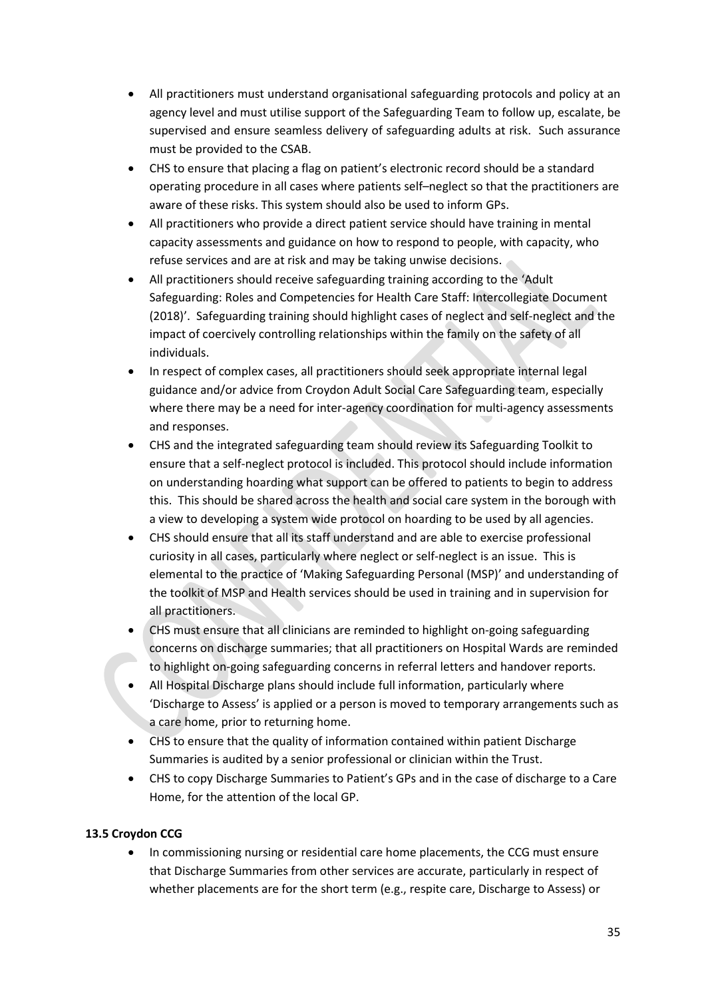- All practitioners must understand organisational safeguarding protocols and policy at an agency level and must utilise support of the Safeguarding Team to follow up, escalate, be supervised and ensure seamless delivery of safeguarding adults at risk. Such assurance must be provided to the CSAB.
- CHS to ensure that placing a flag on patient's electronic record should be a standard operating procedure in all cases where patients self–neglect so that the practitioners are aware of these risks. This system should also be used to inform GPs.
- All practitioners who provide a direct patient service should have training in mental capacity assessments and guidance on how to respond to people, with capacity, who refuse services and are at risk and may be taking unwise decisions.
- All practitioners should receive safeguarding training according to the 'Adult Safeguarding: Roles and Competencies for Health Care Staff: Intercollegiate Document (2018)'. Safeguarding training should highlight cases of neglect and self-neglect and the impact of coercively controlling relationships within the family on the safety of all individuals.
- In respect of complex cases, all practitioners should seek appropriate internal legal guidance and/or advice from Croydon Adult Social Care Safeguarding team, especially where there may be a need for inter-agency coordination for multi-agency assessments and responses.
- CHS and the integrated safeguarding team should review its Safeguarding Toolkit to ensure that a self-neglect protocol is included. This protocol should include information on understanding hoarding what support can be offered to patients to begin to address this. This should be shared across the health and social care system in the borough with a view to developing a system wide protocol on hoarding to be used by all agencies.
- CHS should ensure that all its staff understand and are able to exercise professional curiosity in all cases, particularly where neglect or self-neglect is an issue. This is elemental to the practice of 'Making Safeguarding Personal (MSP)' and understanding of the toolkit of MSP and Health services should be used in training and in supervision for all practitioners.
- CHS must ensure that all clinicians are reminded to highlight on-going safeguarding concerns on discharge summaries; that all practitioners on Hospital Wards are reminded to highlight on-going safeguarding concerns in referral letters and handover reports.
- All Hospital Discharge plans should include full information, particularly where 'Discharge to Assess' is applied or a person is moved to temporary arrangements such as a care home, prior to returning home.
- CHS to ensure that the quality of information contained within patient Discharge Summaries is audited by a senior professional or clinician within the Trust.
- CHS to copy Discharge Summaries to Patient's GPs and in the case of discharge to a Care Home, for the attention of the local GP.

# **13.5 Croydon CCG**

• In commissioning nursing or residential care home placements, the CCG must ensure that Discharge Summaries from other services are accurate, particularly in respect of whether placements are for the short term (e.g., respite care, Discharge to Assess) or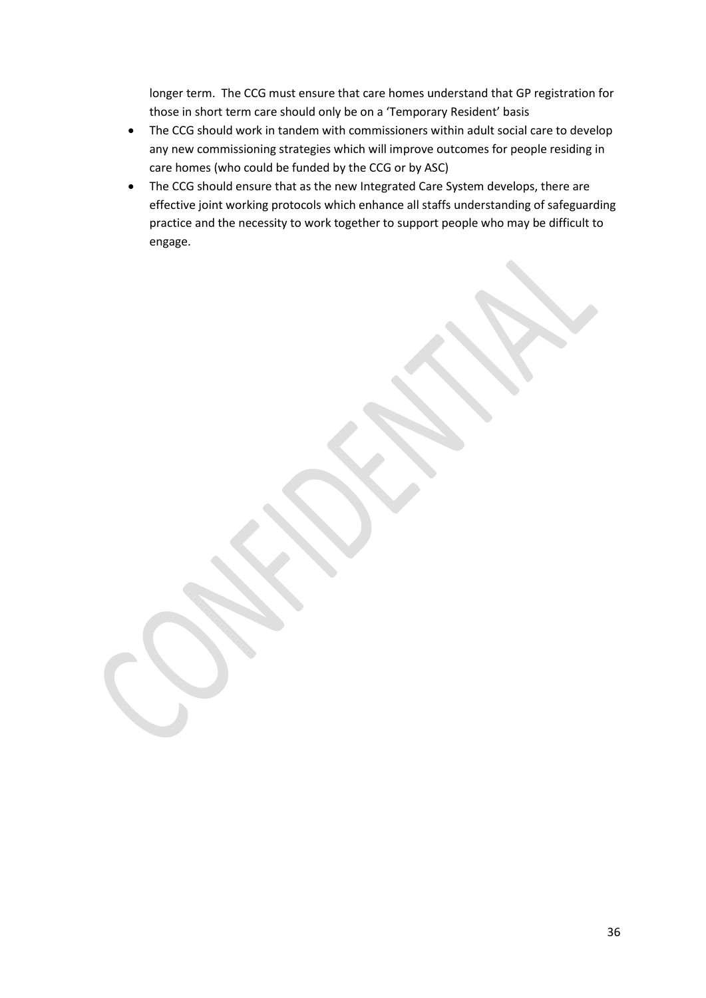longer term. The CCG must ensure that care homes understand that GP registration for those in short term care should only be on a 'Temporary Resident' basis

- The CCG should work in tandem with commissioners within adult social care to develop any new commissioning strategies which will improve outcomes for people residing in care homes (who could be funded by the CCG or by ASC)
- The CCG should ensure that as the new Integrated Care System develops, there are effective joint working protocols which enhance all staffs understanding of safeguarding practice and the necessity to work together to support people who may be difficult to engage.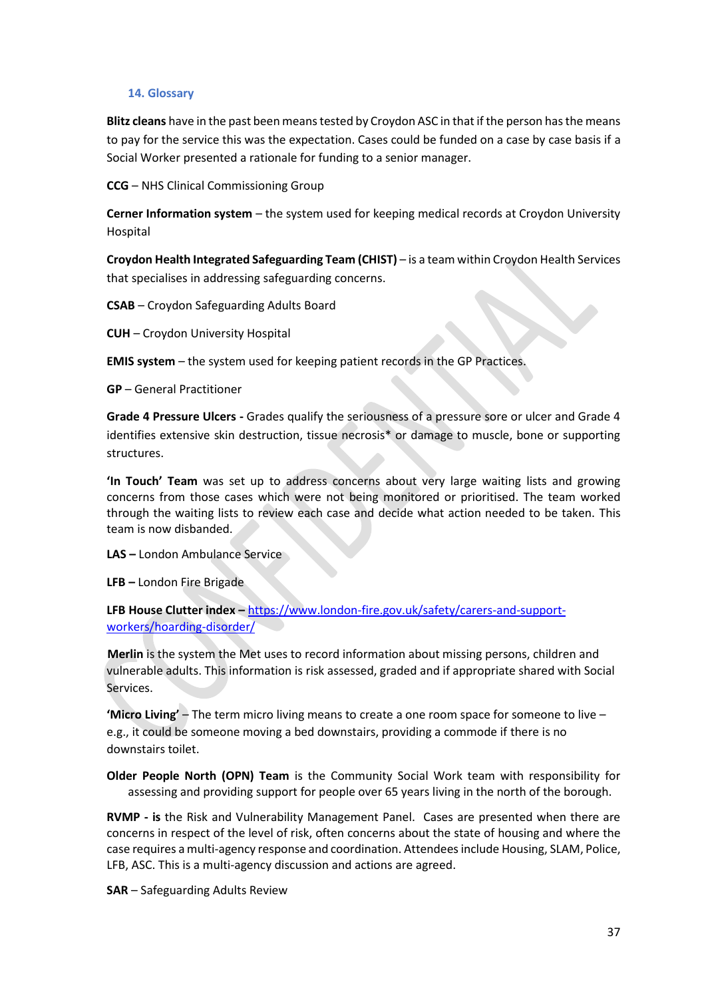#### **14. Glossary**

**Blitz cleans** have in the past been means tested by Croydon ASC in that if the person has the means to pay for the service this was the expectation. Cases could be funded on a case by case basis if a Social Worker presented a rationale for funding to a senior manager.

**CCG** – NHS Clinical Commissioning Group

**Cerner Information system** – the system used for keeping medical records at Croydon University Hospital

**Croydon Health Integrated Safeguarding Team (CHIST)** – is a team within Croydon Health Services that specialises in addressing safeguarding concerns.

**CSAB** – Croydon Safeguarding Adults Board

**CUH** – Croydon University Hospital

**EMIS system** – the system used for keeping patient records in the GP Practices.

**GP** – General Practitioner

**Grade 4 Pressure Ulcers -** Grades qualify the seriousness of a pressure sore or ulcer and Grade 4 identifies extensive skin destruction, tissue necrosis\* or damage to muscle, bone or supporting structures.

**'In Touch' Team** was set up to address concerns about very large waiting lists and growing concerns from those cases which were not being monitored or prioritised. The team worked through the waiting lists to review each case and decide what action needed to be taken. This team is now disbanded.

**LAS –** London Ambulance Service

**LFB –** London Fire Brigade

# **LFB House Clutter index –** [https://www.london-fire.gov.uk/safety/carers-and-support](https://www.london-fire.gov.uk/safety/carers-and-support-workers/hoarding-disorder/)[workers/hoarding-disorder/](https://www.london-fire.gov.uk/safety/carers-and-support-workers/hoarding-disorder/)

**Merlin** is the system the Met uses to record information about missing persons, children and vulnerable adults. This information is risk assessed, graded and if appropriate shared with Social Services.

**'Micro Living'** – The term micro living means to create a one room space for someone to live – e.g., it could be someone moving a bed downstairs, providing a commode if there is no downstairs toilet.

**Older People North (OPN) Team** is the Community Social Work team with responsibility for assessing and providing support for people over 65 years living in the north of the borough.

**RVMP - is** the Risk and Vulnerability Management Panel. Cases are presented when there are concerns in respect of the level of risk, often concerns about the state of housing and where the case requires a multi-agency response and coordination. Attendees include Housing, SLAM, Police, LFB, ASC. This is a multi-agency discussion and actions are agreed.

**SAR** – Safeguarding Adults Review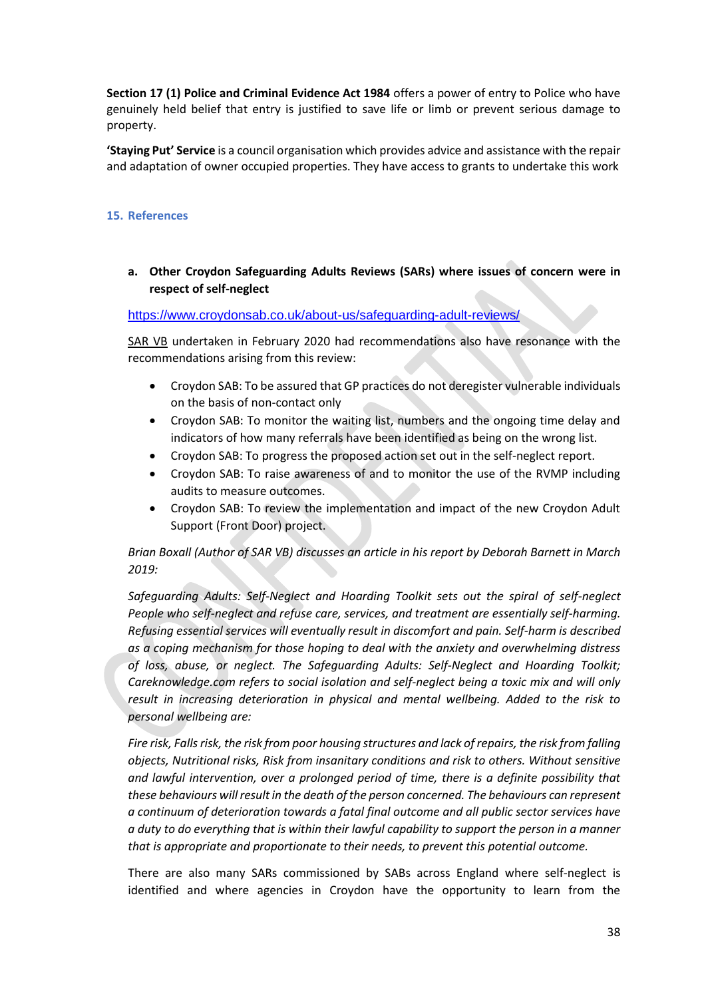**Section 17 (1) Police and Criminal Evidence Act 1984** offers a power of entry to Police who have genuinely held belief that entry is justified to save life or limb or prevent serious damage to property.

**'Staying Put' Service** is a council organisation which provides advice and assistance with the repair and adaptation of owner occupied properties. They have access to grants to undertake this work

## **15. References**

# **a. Other Croydon Safeguarding Adults Reviews (SARs) where issues of concern were in respect of self-neglect**

## <https://www.croydonsab.co.uk/about-us/safeguarding-adult-reviews/>

SAR VB undertaken in February 2020 had recommendations also have resonance with the recommendations arising from this review:

- Croydon SAB: To be assured that GP practices do not deregister vulnerable individuals on the basis of non-contact only
- Croydon SAB: To monitor the waiting list, numbers and the ongoing time delay and indicators of how many referrals have been identified as being on the wrong list.
- Croydon SAB: To progress the proposed action set out in the self-neglect report.
- Croydon SAB: To raise awareness of and to monitor the use of the RVMP including audits to measure outcomes.
- Croydon SAB: To review the implementation and impact of the new Croydon Adult Support (Front Door) project.

*Brian Boxall (Author of SAR VB) discusses an article in his report by Deborah Barnett in March 2019:* 

*Safeguarding Adults: Self-Neglect and Hoarding Toolkit sets out the spiral of self-neglect People who self-neglect and refuse care, services, and treatment are essentially self-harming. Refusing essential services will eventually result in discomfort and pain. Self-harm is described as a coping mechanism for those hoping to deal with the anxiety and overwhelming distress of loss, abuse, or neglect. The Safeguarding Adults: Self-Neglect and Hoarding Toolkit; Careknowledge.com refers to social isolation and self-neglect being a toxic mix and will only result in increasing deterioration in physical and mental wellbeing. Added to the risk to personal wellbeing are:* 

*Fire risk, Falls risk, the risk from poor housing structures and lack of repairs, the risk from falling objects, Nutritional risks, Risk from insanitary conditions and risk to others. Without sensitive and lawful intervention, over a prolonged period of time, there is a definite possibility that these behaviours will result in the death of the person concerned. The behaviours can represent a continuum of deterioration towards a fatal final outcome and all public sector services have a duty to do everything that is within their lawful capability to support the person in a manner that is appropriate and proportionate to their needs, to prevent this potential outcome.*

There are also many SARs commissioned by SABs across England where self-neglect is identified and where agencies in Croydon have the opportunity to learn from the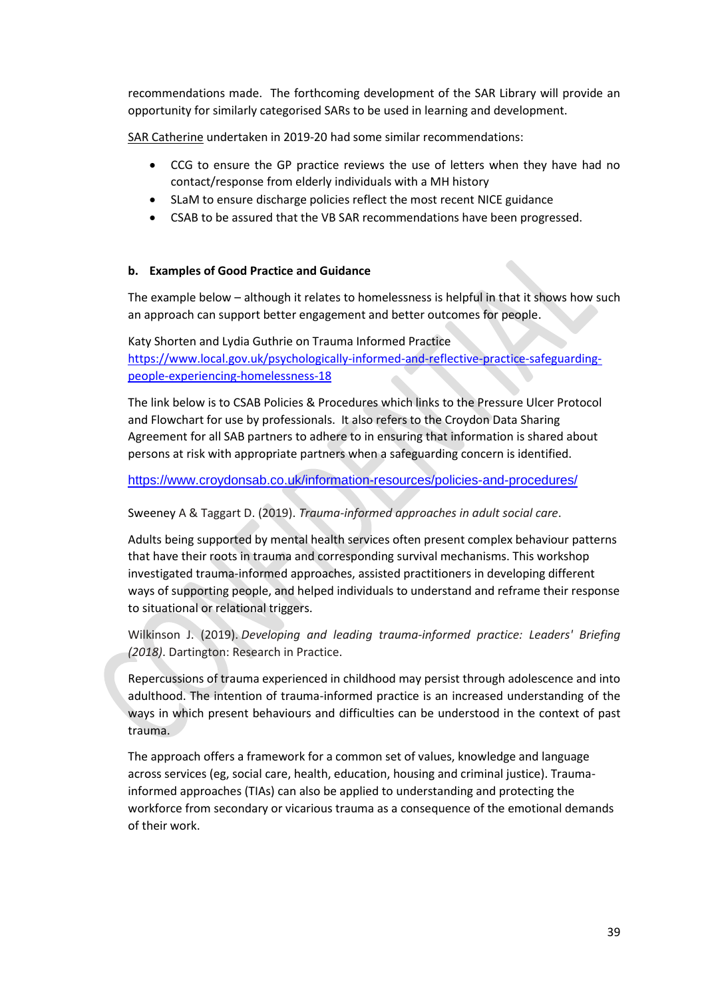recommendations made. The forthcoming development of the SAR Library will provide an opportunity for similarly categorised SARs to be used in learning and development.

SAR Catherine undertaken in 2019-20 had some similar recommendations:

- CCG to ensure the GP practice reviews the use of letters when they have had no contact/response from elderly individuals with a MH history
- SLaM to ensure discharge policies reflect the most recent NICE guidance
- CSAB to be assured that the VB SAR recommendations have been progressed.

#### **b. Examples of Good Practice and Guidance**

The example below – although it relates to homelessness is helpful in that it shows how such an approach can support better engagement and better outcomes for people.

Katy Shorten and Lydia Guthrie on Trauma Informed Practice [https://www.local.gov.uk/psychologically-informed-and-reflective-practice-safeguarding](https://emea01.safelinks.protection.outlook.com/?url=https%3A%2F%2Fwww.local.gov.uk%2Fpsychologically-informed-and-reflective-practice-safeguarding-people-experiencing-homelessness-18&data=04%7C01%7C%7Ca08cd8d841f944927c6908d95332e966%7C84df9e7fe9f640afb435aaaaaaaaaaaa%7C1%7C0%7C637632300396024999%7CUnknown%7CTWFpbGZsb3d8eyJWIjoiMC4wLjAwMDAiLCJQIjoiV2luMzIiLCJBTiI6Ik1haWwiLCJXVCI6Mn0%3D%7C1000&sdata=zj9fKQFwiQP5t46BwDLWsP1HdMPXS1bSgpJ6mmTWMJ4%3D&reserved=0)[people-experiencing-homelessness-18](https://emea01.safelinks.protection.outlook.com/?url=https%3A%2F%2Fwww.local.gov.uk%2Fpsychologically-informed-and-reflective-practice-safeguarding-people-experiencing-homelessness-18&data=04%7C01%7C%7Ca08cd8d841f944927c6908d95332e966%7C84df9e7fe9f640afb435aaaaaaaaaaaa%7C1%7C0%7C637632300396024999%7CUnknown%7CTWFpbGZsb3d8eyJWIjoiMC4wLjAwMDAiLCJQIjoiV2luMzIiLCJBTiI6Ik1haWwiLCJXVCI6Mn0%3D%7C1000&sdata=zj9fKQFwiQP5t46BwDLWsP1HdMPXS1bSgpJ6mmTWMJ4%3D&reserved=0)

The link below is to CSAB Policies & Procedures which links to the Pressure Ulcer Protocol and Flowchart for use by professionals. It also refers to the Croydon Data Sharing Agreement for all SAB partners to adhere to in ensuring that information is shared about persons at risk with appropriate partners when a safeguarding concern is identified.

<https://www.croydonsab.co.uk/information-resources/policies-and-procedures/>

Sweeney A & Taggart D. (2019). *Trauma-informed approaches in adult social care*.

Adults being supported by mental health services often present complex behaviour patterns that have their roots in trauma and corresponding survival mechanisms. This workshop investigated trauma-informed approaches, assisted practitioners in developing different ways of supporting people, and helped individuals to understand and reframe their response to situational or relational triggers.

Wilkinson J. (2019). *Developing and leading trauma-informed practice: Leaders' Briefing (2018)*. Dartington: Research in Practice.

Repercussions of trauma experienced in childhood may persist through adolescence and into adulthood. The intention of trauma-informed practice is an increased understanding of the ways in which present behaviours and difficulties can be understood in the context of past trauma.

The approach offers a framework for a common set of values, knowledge and language across services (eg, social care, health, education, housing and criminal justice). Traumainformed approaches (TIAs) can also be applied to understanding and protecting the workforce from secondary or vicarious trauma as a consequence of the emotional demands of their work.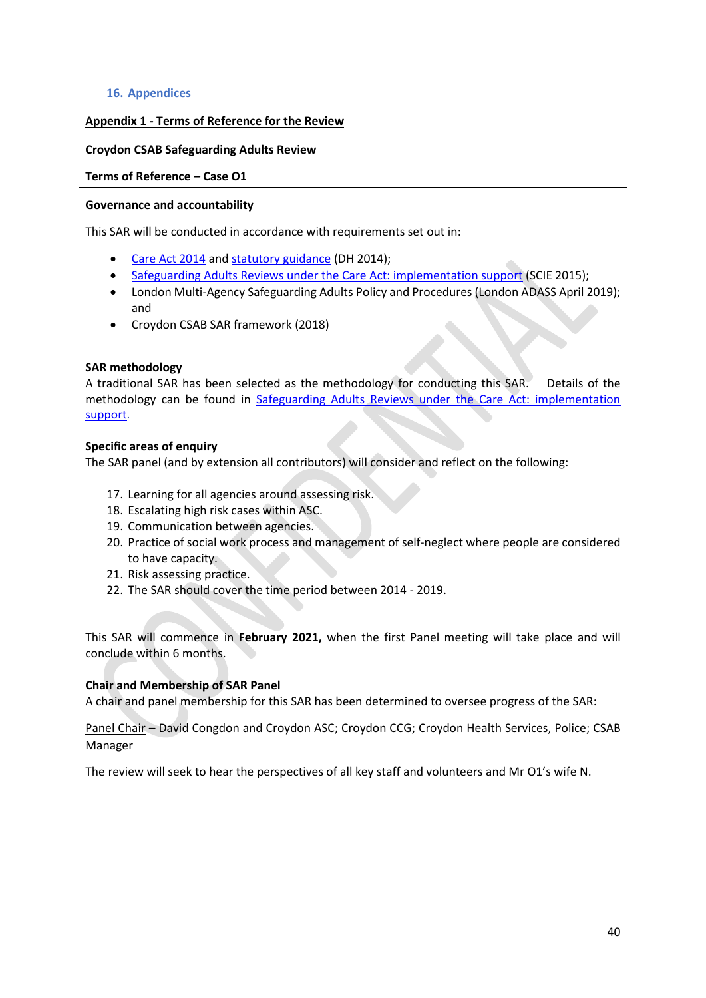#### **16. Appendices**

# **Appendix 1 - Terms of Reference for the Review**

#### **Croydon CSAB Safeguarding Adults Review**

**Terms of Reference – Case O1**

#### **Governance and accountability**

This SAR will be conducted in accordance with requirements set out in:

- [Care Act 2014](http://www.google.co.uk/url?sa=t&rct=j&q=&esrc=s&source=web&cd=1&cad=rja&uact=8&ved=0CDsQFjAAahUKEwjCmuik4ofGAhXoS9sKHUqtAII&url=http%3A%2F%2Fwww.legislation.gov.uk%2Fukpga%2F2014%2F23%2Fcontents%2Fenacted&ei=8I95VcLiKOiX7QbK2oKQCA&usg=AFQjCNGllCcgtGuvyoz9W9GiHGj8PIT-KQ&sig2=AKBFcoXdTIfRCboc0nGT7A&bvm=bv.95277229,d.bGg) and [statutory guidance](https://www.gov.uk/government/uploads/system/uploads/attachment_data/file/366104/43380_23902777_Care_Act_Book.pdf) (DH 2014);
- [Safeguarding Adults Reviews under the Care Act: implementation support](http://www.scie.org.uk/care-act-2014/safeguarding-adults/reviews/) (SCIE 2015);
- London Multi-Agency Safeguarding Adults Policy and Procedures (London ADASS April 2019); and
- Croydon CSAB SAR framework (2018)

## **SAR methodology**

A traditional SAR has been selected as the methodology for conducting this SAR. Details of the methodology can be found in [Safeguarding Adults Reviews under the Care Act: implementation](http://www.scie.org.uk/care-act-2014/safeguarding-adults/reviews/)  [support.](http://www.scie.org.uk/care-act-2014/safeguarding-adults/reviews/)

## **Specific areas of enquiry**

The SAR panel (and by extension all contributors) will consider and reflect on the following:

- 17. Learning for all agencies around assessing risk.
- 18. Escalating high risk cases within ASC.
- 19. Communication between agencies.
- 20. Practice of social work process and management of self-neglect where people are considered to have capacity.
- 21. Risk assessing practice.
- 22. The SAR should cover the time period between 2014 2019.

This SAR will commence in **February 2021,** when the first Panel meeting will take place and will conclude within 6 months.

# **Chair and Membership of SAR Panel**

A chair and panel membership for this SAR has been determined to oversee progress of the SAR:

Panel Chair – David Congdon and Croydon ASC; Croydon CCG; Croydon Health Services, Police; CSAB Manager

The review will seek to hear the perspectives of all key staff and volunteers and Mr O1's wife N.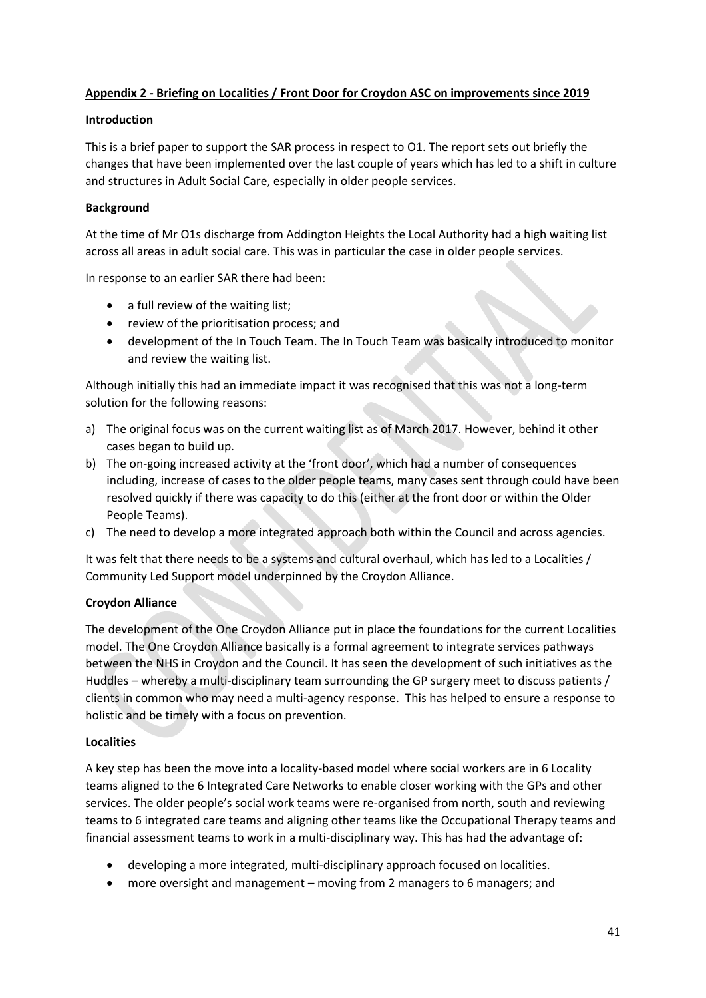# **Appendix 2 - Briefing on Localities / Front Door for Croydon ASC on improvements since 2019**

## **Introduction**

This is a brief paper to support the SAR process in respect to O1. The report sets out briefly the changes that have been implemented over the last couple of years which has led to a shift in culture and structures in Adult Social Care, especially in older people services.

## **Background**

At the time of Mr O1s discharge from Addington Heights the Local Authority had a high waiting list across all areas in adult social care. This was in particular the case in older people services.

In response to an earlier SAR there had been:

- a full review of the waiting list;
- review of the prioritisation process; and
- development of the In Touch Team. The In Touch Team was basically introduced to monitor and review the waiting list.

Although initially this had an immediate impact it was recognised that this was not a long-term solution for the following reasons:

- a) The original focus was on the current waiting list as of March 2017. However, behind it other cases began to build up.
- b) The on-going increased activity at the 'front door', which had a number of consequences including, increase of cases to the older people teams, many cases sent through could have been resolved quickly if there was capacity to do this (either at the front door or within the Older People Teams).
- c) The need to develop a more integrated approach both within the Council and across agencies.

It was felt that there needs to be a systems and cultural overhaul, which has led to a Localities / Community Led Support model underpinned by the Croydon Alliance.

# **Croydon Alliance**

The development of the One Croydon Alliance put in place the foundations for the current Localities model. The One Croydon Alliance basically is a formal agreement to integrate services pathways between the NHS in Croydon and the Council. It has seen the development of such initiatives as the Huddles – whereby a multi-disciplinary team surrounding the GP surgery meet to discuss patients / clients in common who may need a multi-agency response. This has helped to ensure a response to holistic and be timely with a focus on prevention.

#### **Localities**

A key step has been the move into a locality-based model where social workers are in 6 Locality teams aligned to the 6 Integrated Care Networks to enable closer working with the GPs and other services. The older people's social work teams were re-organised from north, south and reviewing teams to 6 integrated care teams and aligning other teams like the Occupational Therapy teams and financial assessment teams to work in a multi-disciplinary way. This has had the advantage of:

- developing a more integrated, multi-disciplinary approach focused on localities.
- more oversight and management moving from 2 managers to 6 managers; and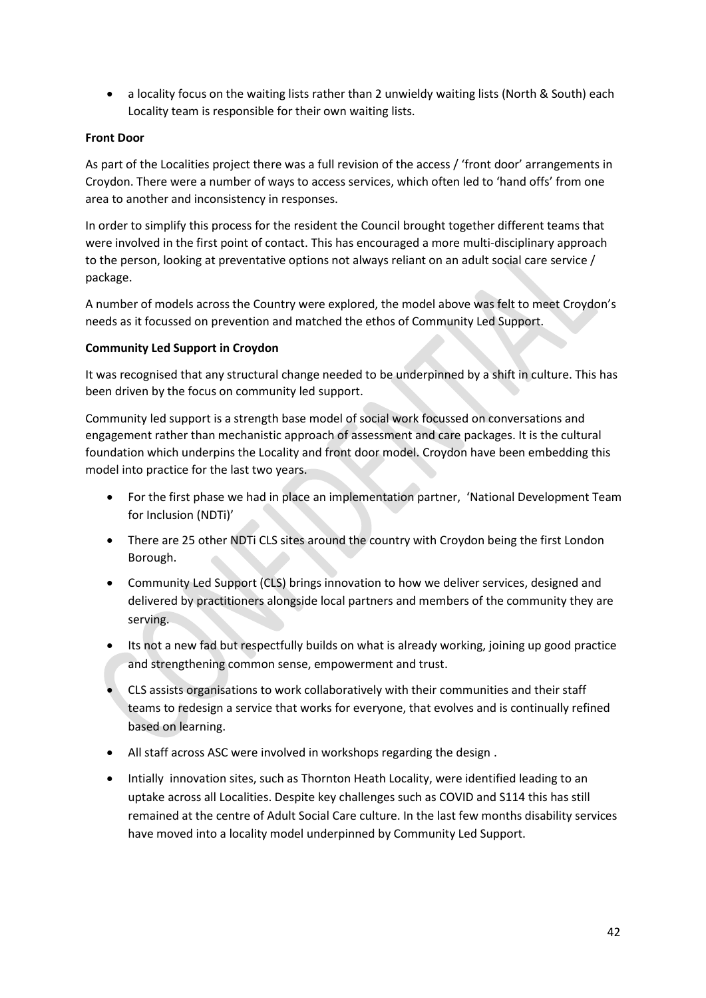• a locality focus on the waiting lists rather than 2 unwieldy waiting lists (North & South) each Locality team is responsible for their own waiting lists.

## **Front Door**

As part of the Localities project there was a full revision of the access / 'front door' arrangements in Croydon. There were a number of ways to access services, which often led to 'hand offs' from one area to another and inconsistency in responses.

In order to simplify this process for the resident the Council brought together different teams that were involved in the first point of contact. This has encouraged a more multi-disciplinary approach to the person, looking at preventative options not always reliant on an adult social care service / package.

A number of models across the Country were explored, the model above was felt to meet Croydon's needs as it focussed on prevention and matched the ethos of Community Led Support.

## **Community Led Support in Croydon**

It was recognised that any structural change needed to be underpinned by a shift in culture. This has been driven by the focus on community led support.

Community led support is a strength base model of social work focussed on conversations and engagement rather than mechanistic approach of assessment and care packages. It is the cultural foundation which underpins the Locality and front door model. Croydon have been embedding this model into practice for the last two years.

- For the first phase we had in place an implementation partner, 'National Development Team for Inclusion (NDTi)'
- There are 25 other NDTi CLS sites around the country with Croydon being the first London Borough.
- Community Led Support (CLS) brings innovation to how we deliver services, designed and delivered by practitioners alongside local partners and members of the community they are serving.
- Its not a new fad but respectfully builds on what is already working, joining up good practice and strengthening common sense, empowerment and trust.
- CLS assists organisations to work collaboratively with their communities and their staff teams to redesign a service that works for everyone, that evolves and is continually refined based on learning.
- All staff across ASC were involved in workshops regarding the design .
- Intially innovation sites, such as Thornton Heath Locality, were identified leading to an uptake across all Localities. Despite key challenges such as COVID and S114 this has still remained at the centre of Adult Social Care culture. In the last few months disability services have moved into a locality model underpinned by Community Led Support.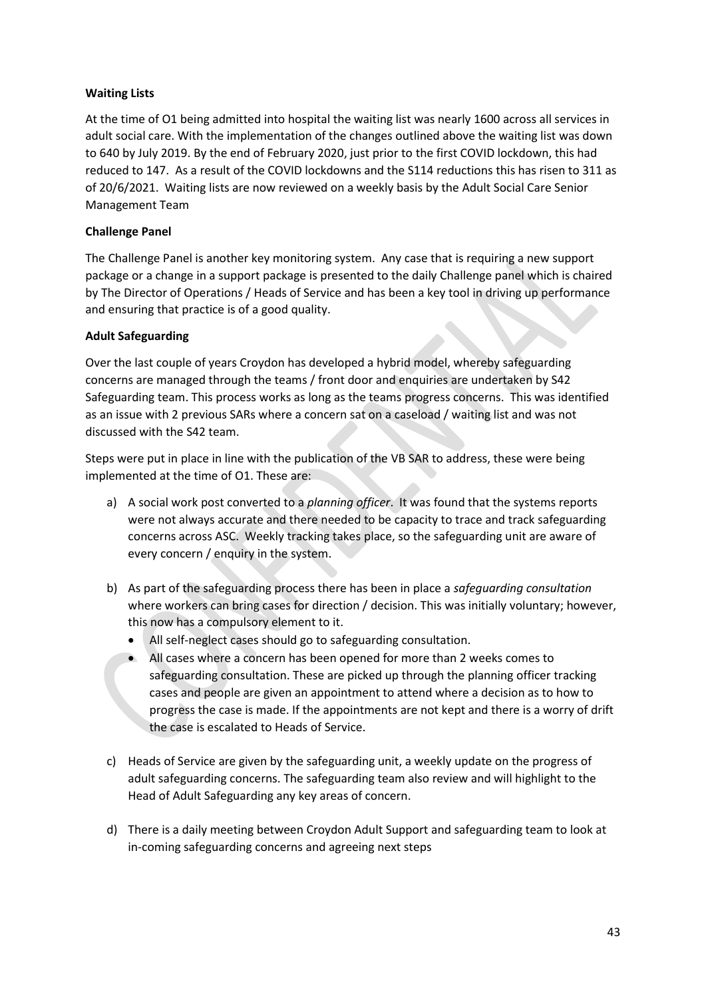# **Waiting Lists**

At the time of O1 being admitted into hospital the waiting list was nearly 1600 across all services in adult social care. With the implementation of the changes outlined above the waiting list was down to 640 by July 2019. By the end of February 2020, just prior to the first COVID lockdown, this had reduced to 147. As a result of the COVID lockdowns and the S114 reductions this has risen to 311 as of 20/6/2021. Waiting lists are now reviewed on a weekly basis by the Adult Social Care Senior Management Team

## **Challenge Panel**

The Challenge Panel is another key monitoring system. Any case that is requiring a new support package or a change in a support package is presented to the daily Challenge panel which is chaired by The Director of Operations / Heads of Service and has been a key tool in driving up performance and ensuring that practice is of a good quality.

## **Adult Safeguarding**

Over the last couple of years Croydon has developed a hybrid model, whereby safeguarding concerns are managed through the teams / front door and enquiries are undertaken by S42 Safeguarding team. This process works as long as the teams progress concerns. This was identified as an issue with 2 previous SARs where a concern sat on a caseload / waiting list and was not discussed with the S42 team.

Steps were put in place in line with the publication of the VB SAR to address, these were being implemented at the time of O1. These are:

- a) A social work post converted to a *planning officer*. It was found that the systems reports were not always accurate and there needed to be capacity to trace and track safeguarding concerns across ASC. Weekly tracking takes place, so the safeguarding unit are aware of every concern / enquiry in the system.
- b) As part of the safeguarding process there has been in place a *safeguarding consultation* where workers can bring cases for direction / decision. This was initially voluntary; however, this now has a compulsory element to it.
	- All self-neglect cases should go to safeguarding consultation.
	- All cases where a concern has been opened for more than 2 weeks comes to safeguarding consultation. These are picked up through the planning officer tracking cases and people are given an appointment to attend where a decision as to how to progress the case is made. If the appointments are not kept and there is a worry of drift the case is escalated to Heads of Service.
- c) Heads of Service are given by the safeguarding unit, a weekly update on the progress of adult safeguarding concerns. The safeguarding team also review and will highlight to the Head of Adult Safeguarding any key areas of concern.
- d) There is a daily meeting between Croydon Adult Support and safeguarding team to look at in-coming safeguarding concerns and agreeing next steps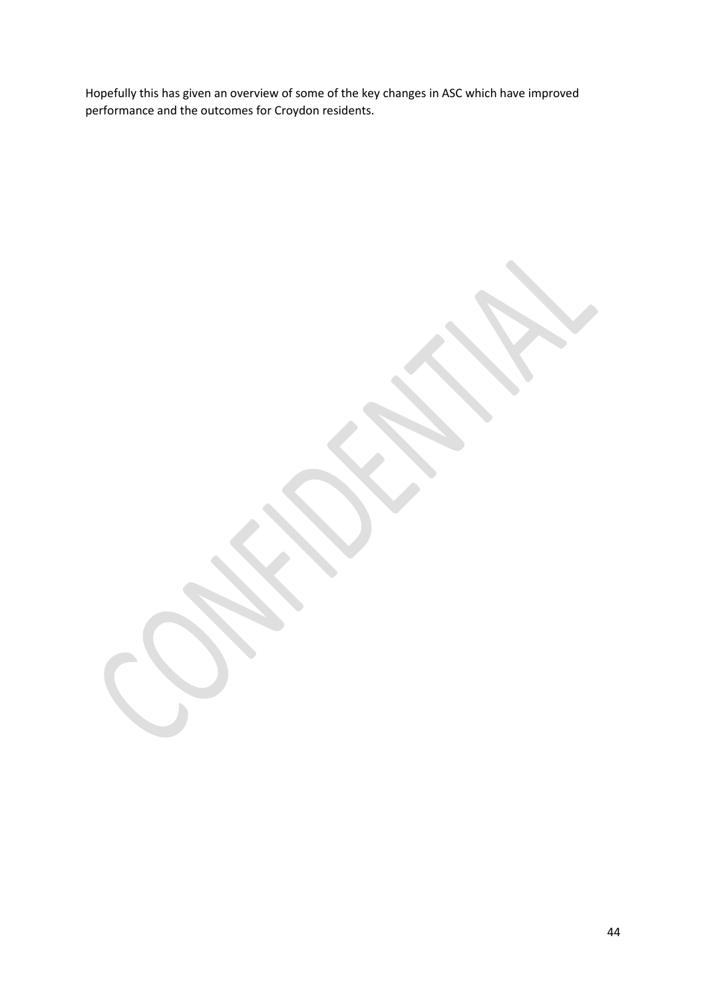Hopefully this has given an overview of some of the key changes in ASC which have improved performance and the outcomes for Croydon residents.

44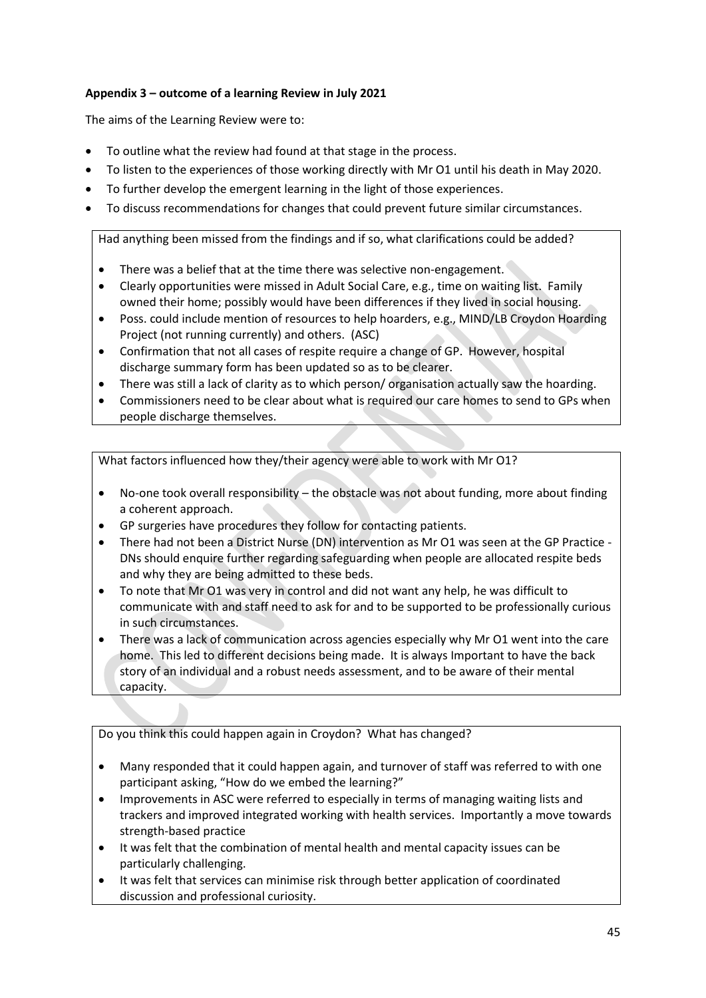# **Appendix 3 – outcome of a learning Review in July 2021**

The aims of the Learning Review were to:

- To outline what the review had found at that stage in the process.
- To listen to the experiences of those working directly with Mr O1 until his death in May 2020.
- To further develop the emergent learning in the light of those experiences.
- To discuss recommendations for changes that could prevent future similar circumstances.

Had anything been missed from the findings and if so, what clarifications could be added?

- There was a belief that at the time there was selective non-engagement.
- Clearly opportunities were missed in Adult Social Care, e.g., time on waiting list. Family owned their home; possibly would have been differences if they lived in social housing.
- Poss. could include mention of resources to help hoarders, e.g., MIND/LB Croydon Hoarding Project (not running currently) and others. (ASC)
- Confirmation that not all cases of respite require a change of GP. However, hospital discharge summary form has been updated so as to be clearer.
- There was still a lack of clarity as to which person/ organisation actually saw the hoarding.
- Commissioners need to be clear about what is required our care homes to send to GPs when people discharge themselves.

What factors influenced how they/their agency were able to work with Mr O1?

- No-one took overall responsibility the obstacle was not about funding, more about finding a coherent approach.
- GP surgeries have procedures they follow for contacting patients.
- There had not been a District Nurse (DN) intervention as Mr O1 was seen at the GP Practice DNs should enquire further regarding safeguarding when people are allocated respite beds and why they are being admitted to these beds.
- To note that Mr O1 was very in control and did not want any help, he was difficult to communicate with and staff need to ask for and to be supported to be professionally curious in such circumstances.
- There was a lack of communication across agencies especially why Mr O1 went into the care home. This led to different decisions being made. It is always Important to have the back story of an individual and a robust needs assessment, and to be aware of their mental capacity.

Do you think this could happen again in Croydon? What has changed?

- Many responded that it could happen again, and turnover of staff was referred to with one participant asking, "How do we embed the learning?"
- Improvements in ASC were referred to especially in terms of managing waiting lists and trackers and improved integrated working with health services. Importantly a move towards strength-based practice
- It was felt that the combination of mental health and mental capacity issues can be particularly challenging.
- It was felt that services can minimise risk through better application of coordinated discussion and professional curiosity.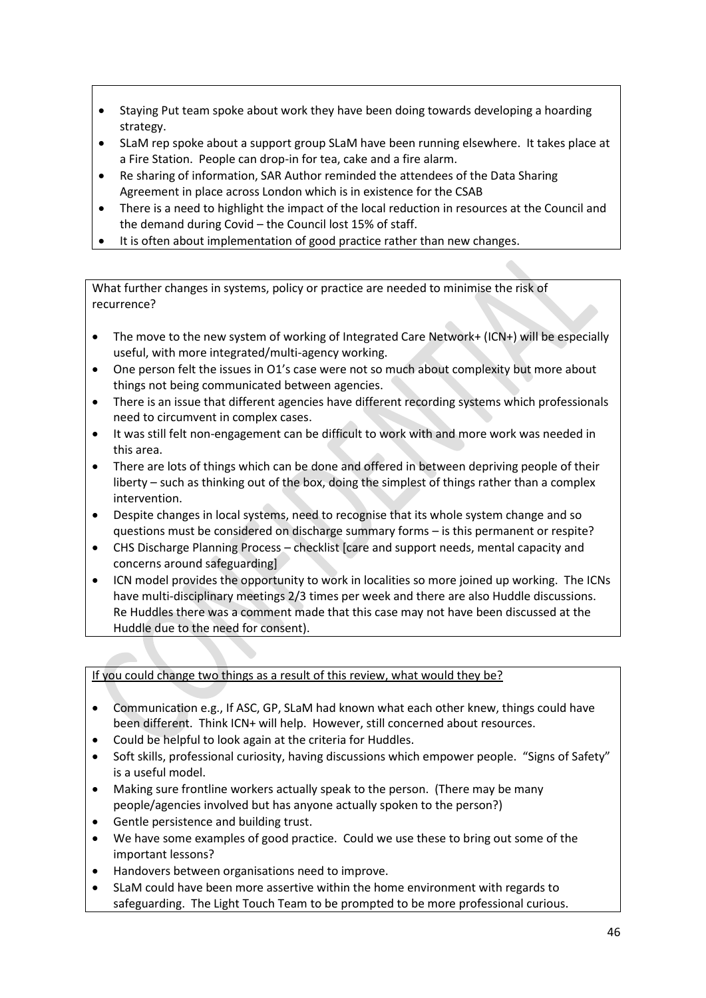- Staying Put team spoke about work they have been doing towards developing a hoarding strategy.
- SLaM rep spoke about a support group SLaM have been running elsewhere. It takes place at a Fire Station. People can drop-in for tea, cake and a fire alarm.
- Re sharing of information, SAR Author reminded the attendees of the Data Sharing Agreement in place across London which is in existence for the CSAB
- There is a need to highlight the impact of the local reduction in resources at the Council and the demand during Covid – the Council lost 15% of staff.
- It is often about implementation of good practice rather than new changes.

What further changes in systems, policy or practice are needed to minimise the risk of recurrence?

- The move to the new system of working of Integrated Care Network+ (ICN+) will be especially useful, with more integrated/multi-agency working.
- One person felt the issues in O1's case were not so much about complexity but more about things not being communicated between agencies.
- There is an issue that different agencies have different recording systems which professionals need to circumvent in complex cases.
- It was still felt non-engagement can be difficult to work with and more work was needed in this area.
- There are lots of things which can be done and offered in between depriving people of their liberty – such as thinking out of the box, doing the simplest of things rather than a complex intervention.
- Despite changes in local systems, need to recognise that its whole system change and so questions must be considered on discharge summary forms – is this permanent or respite?
- CHS Discharge Planning Process checklist [care and support needs, mental capacity and concerns around safeguarding]
- ICN model provides the opportunity to work in localities so more joined up working. The ICNs have multi-disciplinary meetings 2/3 times per week and there are also Huddle discussions. Re Huddles there was a comment made that this case may not have been discussed at the Huddle due to the need for consent).

If you could change two things as a result of this review, what would they be?

- Communication e.g., If ASC, GP, SLaM had known what each other knew, things could have been different. Think ICN+ will help. However, still concerned about resources.
- Could be helpful to look again at the criteria for Huddles.
- Soft skills, professional curiosity, having discussions which empower people. "Signs of Safety" is a useful model.
- Making sure frontline workers actually speak to the person. (There may be many people/agencies involved but has anyone actually spoken to the person?)
- Gentle persistence and building trust.
- We have some examples of good practice. Could we use these to bring out some of the important lessons?
- Handovers between organisations need to improve.
- SLaM could have been more assertive within the home environment with regards to safeguarding. The Light Touch Team to be prompted to be more professional curious.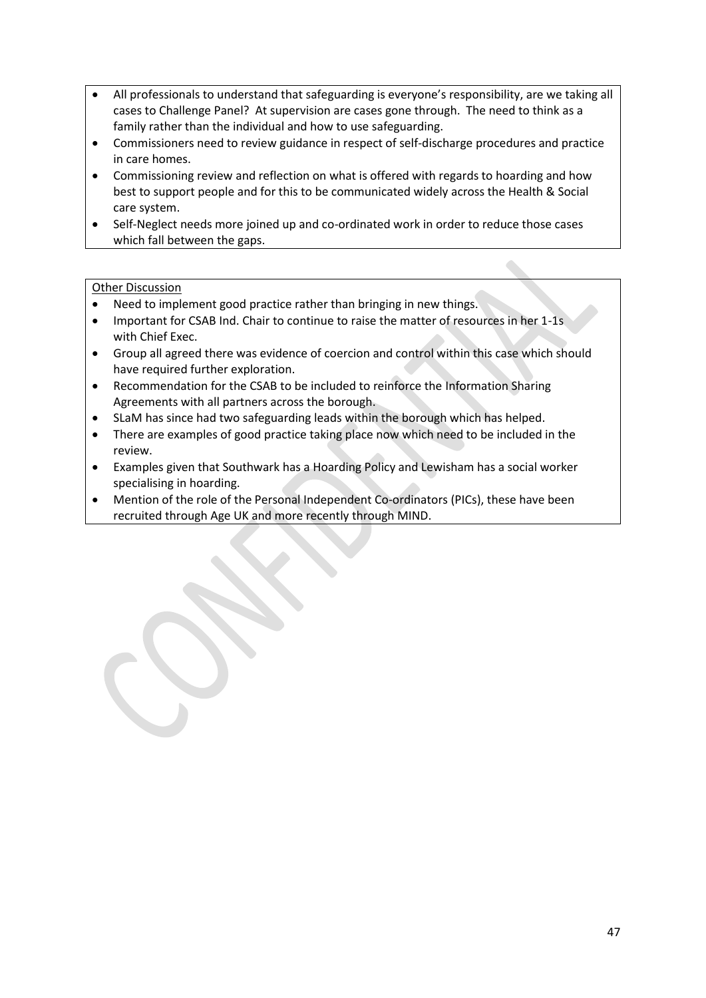- All professionals to understand that safeguarding is everyone's responsibility, are we taking all cases to Challenge Panel? At supervision are cases gone through. The need to think as a family rather than the individual and how to use safeguarding.
- Commissioners need to review guidance in respect of self-discharge procedures and practice in care homes.
- Commissioning review and reflection on what is offered with regards to hoarding and how best to support people and for this to be communicated widely across the Health & Social care system.
- Self-Neglect needs more joined up and co-ordinated work in order to reduce those cases which fall between the gaps.

## Other Discussion

- Need to implement good practice rather than bringing in new things.
- Important for CSAB Ind. Chair to continue to raise the matter of resources in her 1-1s with Chief Exec.
- Group all agreed there was evidence of coercion and control within this case which should have required further exploration.
- Recommendation for the CSAB to be included to reinforce the Information Sharing Agreements with all partners across the borough.
- SLaM has since had two safeguarding leads within the borough which has helped.
- There are examples of good practice taking place now which need to be included in the review.
- Examples given that Southwark has a Hoarding Policy and Lewisham has a social worker specialising in hoarding.
- Mention of the role of the Personal Independent Co-ordinators (PICs), these have been recruited through Age UK and more recently through MIND.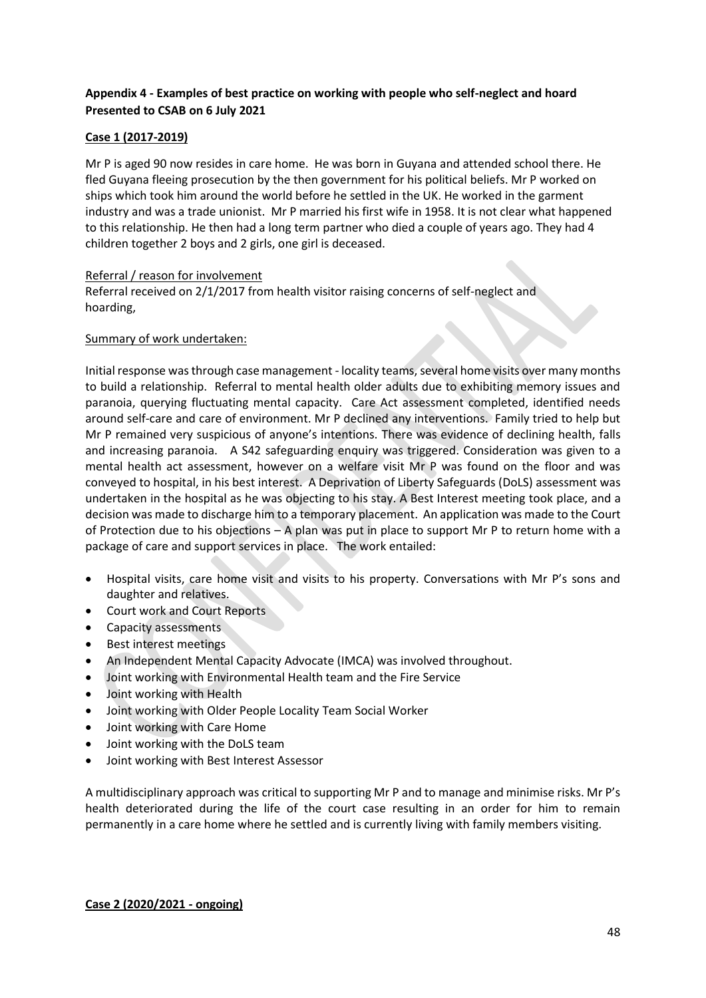# **Appendix 4 - Examples of best practice on working with people who self-neglect and hoard Presented to CSAB on 6 July 2021**

# **Case 1 (2017-2019)**

Mr P is aged 90 now resides in care home. He was born in Guyana and attended school there. He fled Guyana fleeing prosecution by the then government for his political beliefs. Mr P worked on ships which took him around the world before he settled in the UK. He worked in the garment industry and was a trade unionist. Mr P married his first wife in 1958. It is not clear what happened to this relationship. He then had a long term partner who died a couple of years ago. They had 4 children together 2 boys and 2 girls, one girl is deceased.

#### Referral / reason for involvement

Referral received on 2/1/2017 from health visitor raising concerns of self-neglect and hoarding,

#### Summary of work undertaken:

Initial response was through case management - locality teams, several home visits over many months to build a relationship. Referral to mental health older adults due to exhibiting memory issues and paranoia, querying fluctuating mental capacity. Care Act assessment completed, identified needs around self-care and care of environment. Mr P declined any interventions. Family tried to help but Mr P remained very suspicious of anyone's intentions. There was evidence of declining health, falls and increasing paranoia. A S42 safeguarding enquiry was triggered. Consideration was given to a mental health act assessment, however on a welfare visit Mr P was found on the floor and was conveyed to hospital, in his best interest. A Deprivation of Liberty Safeguards (DoLS) assessment was undertaken in the hospital as he was objecting to his stay. A Best Interest meeting took place, and a decision was made to discharge him to a temporary placement. An application was made to the Court of Protection due to his objections – A plan was put in place to support Mr P to return home with a package of care and support services in place. The work entailed:

- Hospital visits, care home visit and visits to his property. Conversations with Mr P's sons and daughter and relatives.
- Court work and Court Reports
- Capacity assessments
- Best interest meetings
- An Independent Mental Capacity Advocate (IMCA) was involved throughout.
- Joint working with Environmental Health team and the Fire Service
- Joint working with Health
- Joint working with Older People Locality Team Social Worker
- Joint working with Care Home
- Joint working with the DoLS team
- Joint working with Best Interest Assessor

A multidisciplinary approach was critical to supporting Mr P and to manage and minimise risks. Mr P's health deteriorated during the life of the court case resulting in an order for him to remain permanently in a care home where he settled and is currently living with family members visiting.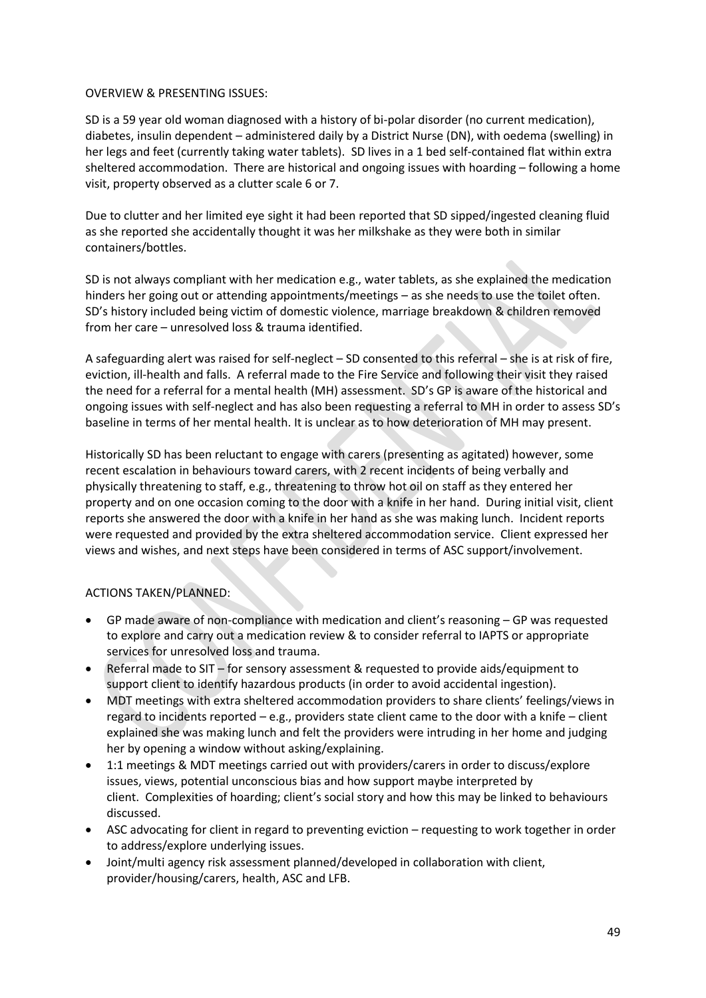#### OVERVIEW & PRESENTING ISSUES:

SD is a 59 year old woman diagnosed with a history of bi-polar disorder (no current medication), diabetes, insulin dependent – administered daily by a District Nurse (DN), with oedema (swelling) in her legs and feet (currently taking water tablets). SD lives in a 1 bed self-contained flat within extra sheltered accommodation. There are historical and ongoing issues with hoarding – following a home visit, property observed as a clutter scale 6 or 7.

Due to clutter and her limited eye sight it had been reported that SD sipped/ingested cleaning fluid as she reported she accidentally thought it was her milkshake as they were both in similar containers/bottles.

SD is not always compliant with her medication e.g., water tablets, as she explained the medication hinders her going out or attending appointments/meetings – as she needs to use the toilet often. SD's history included being victim of domestic violence, marriage breakdown & children removed from her care – unresolved loss & trauma identified.

A safeguarding alert was raised for self-neglect – SD consented to this referral – she is at risk of fire, eviction, ill-health and falls. A referral made to the Fire Service and following their visit they raised the need for a referral for a mental health (MH) assessment. SD's GP is aware of the historical and ongoing issues with self-neglect and has also been requesting a referral to MH in order to assess SD's baseline in terms of her mental health. It is unclear as to how deterioration of MH may present.

Historically SD has been reluctant to engage with carers (presenting as agitated) however, some recent escalation in behaviours toward carers, with 2 recent incidents of being verbally and physically threatening to staff, e.g., threatening to throw hot oil on staff as they entered her property and on one occasion coming to the door with a knife in her hand. During initial visit, client reports she answered the door with a knife in her hand as she was making lunch. Incident reports were requested and provided by the extra sheltered accommodation service. Client expressed her views and wishes, and next steps have been considered in terms of ASC support/involvement.

# ACTIONS TAKEN/PLANNED:

- GP made aware of non-compliance with medication and client's reasoning GP was requested to explore and carry out a medication review & to consider referral to IAPTS or appropriate services for unresolved loss and trauma.
- Referral made to SIT for sensory assessment & requested to provide aids/equipment to support client to identify hazardous products (in order to avoid accidental ingestion).
- MDT meetings with extra sheltered accommodation providers to share clients' feelings/views in regard to incidents reported – e.g., providers state client came to the door with a knife – client explained she was making lunch and felt the providers were intruding in her home and judging her by opening a window without asking/explaining.
- 1:1 meetings & MDT meetings carried out with providers/carers in order to discuss/explore issues, views, potential unconscious bias and how support maybe interpreted by client. Complexities of hoarding; client's social story and how this may be linked to behaviours discussed.
- ASC advocating for client in regard to preventing eviction requesting to work together in order to address/explore underlying issues.
- Joint/multi agency risk assessment planned/developed in collaboration with client, provider/housing/carers, health, ASC and LFB.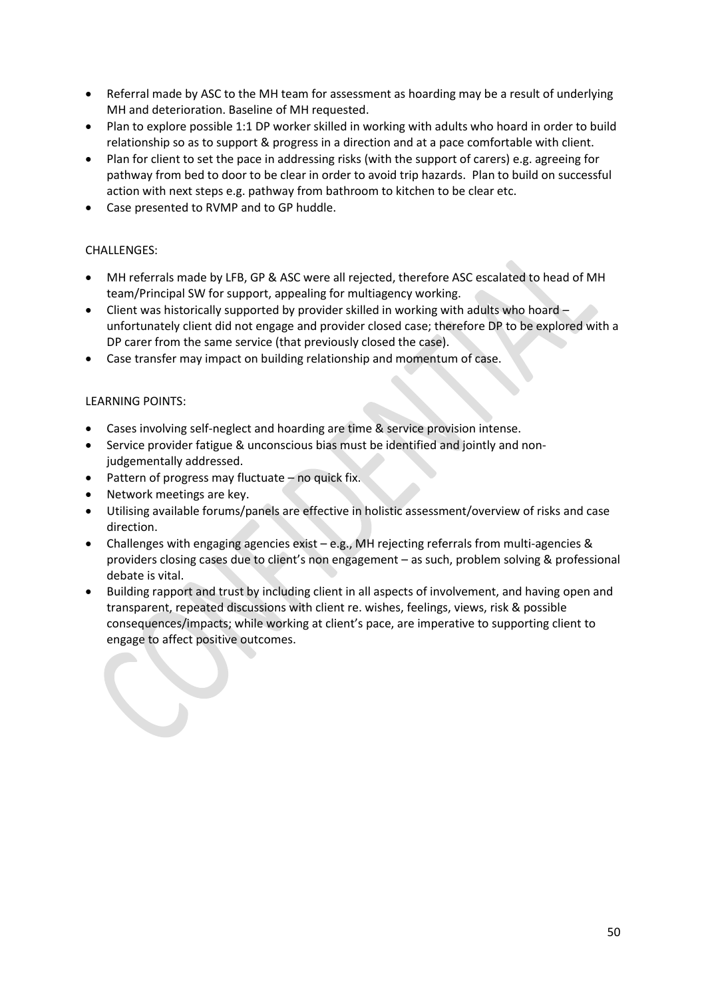- Referral made by ASC to the MH team for assessment as hoarding may be a result of underlying MH and deterioration. Baseline of MH requested.
- Plan to explore possible 1:1 DP worker skilled in working with adults who hoard in order to build relationship so as to support & progress in a direction and at a pace comfortable with client.
- Plan for client to set the pace in addressing risks (with the support of carers) e.g. agreeing for pathway from bed to door to be clear in order to avoid trip hazards. Plan to build on successful action with next steps e.g. pathway from bathroom to kitchen to be clear etc.
- Case presented to RVMP and to GP huddle.

# CHALLENGES:

- MH referrals made by LFB, GP & ASC were all rejected, therefore ASC escalated to head of MH team/Principal SW for support, appealing for multiagency working.
- Client was historically supported by provider skilled in working with adults who hoard unfortunately client did not engage and provider closed case; therefore DP to be explored with a DP carer from the same service (that previously closed the case).
- Case transfer may impact on building relationship and momentum of case.

# LEARNING POINTS:

- Cases involving self-neglect and hoarding are time & service provision intense.
- Service provider fatigue & unconscious bias must be identified and jointly and nonjudgementally addressed.
- Pattern of progress may fluctuate no quick fix.
- Network meetings are key.
- Utilising available forums/panels are effective in holistic assessment/overview of risks and case direction.
- Challenges with engaging agencies exist e.g., MH rejecting referrals from multi-agencies & providers closing cases due to client's non engagement – as such, problem solving & professional debate is vital.
- Building rapport and trust by including client in all aspects of involvement, and having open and transparent, repeated discussions with client re. wishes, feelings, views, risk & possible consequences/impacts; while working at client's pace, are imperative to supporting client to engage to affect positive outcomes.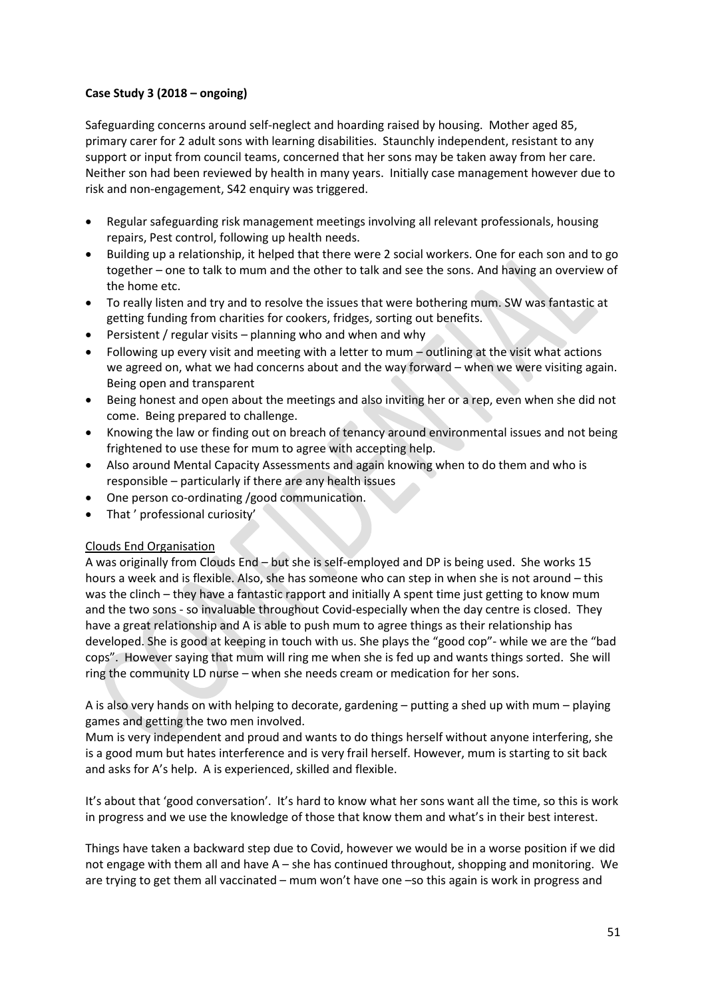# **Case Study 3 (2018 – ongoing)**

Safeguarding concerns around self-neglect and hoarding raised by housing. Mother aged 85, primary carer for 2 adult sons with learning disabilities. Staunchly independent, resistant to any support or input from council teams, concerned that her sons may be taken away from her care. Neither son had been reviewed by health in many years. Initially case management however due to risk and non-engagement, S42 enquiry was triggered.

- Regular safeguarding risk management meetings involving all relevant professionals, housing repairs, Pest control, following up health needs.
- Building up a relationship, it helped that there were 2 social workers. One for each son and to go together – one to talk to mum and the other to talk and see the sons. And having an overview of the home etc.
- To really listen and try and to resolve the issues that were bothering mum. SW was fantastic at getting funding from charities for cookers, fridges, sorting out benefits.
- Persistent / regular visits planning who and when and why
- Following up every visit and meeting with a letter to mum outlining at the visit what actions we agreed on, what we had concerns about and the way forward – when we were visiting again. Being open and transparent
- Being honest and open about the meetings and also inviting her or a rep, even when she did not come. Being prepared to challenge.
- Knowing the law or finding out on breach of tenancy around environmental issues and not being frightened to use these for mum to agree with accepting help.
- Also around Mental Capacity Assessments and again knowing when to do them and who is responsible – particularly if there are any health issues
- One person co-ordinating /good communication.
- That ' professional curiosity'

# Clouds End Organisation

A was originally from Clouds End – but she is self-employed and DP is being used. She works 15 hours a week and is flexible. Also, she has someone who can step in when she is not around – this was the clinch – they have a fantastic rapport and initially A spent time just getting to know mum and the two sons - so invaluable throughout Covid-especially when the day centre is closed. They have a great relationship and A is able to push mum to agree things as their relationship has developed. She is good at keeping in touch with us. She plays the "good cop"- while we are the "bad cops". However saying that mum will ring me when she is fed up and wants things sorted. She will ring the community LD nurse – when she needs cream or medication for her sons.

A is also very hands on with helping to decorate, gardening – putting a shed up with mum – playing games and getting the two men involved.

Mum is very independent and proud and wants to do things herself without anyone interfering, she is a good mum but hates interference and is very frail herself. However, mum is starting to sit back and asks for A's help. A is experienced, skilled and flexible.

It's about that 'good conversation'. It's hard to know what her sons want all the time, so this is work in progress and we use the knowledge of those that know them and what's in their best interest.

Things have taken a backward step due to Covid, however we would be in a worse position if we did not engage with them all and have A – she has continued throughout, shopping and monitoring. We are trying to get them all vaccinated – mum won't have one –so this again is work in progress and